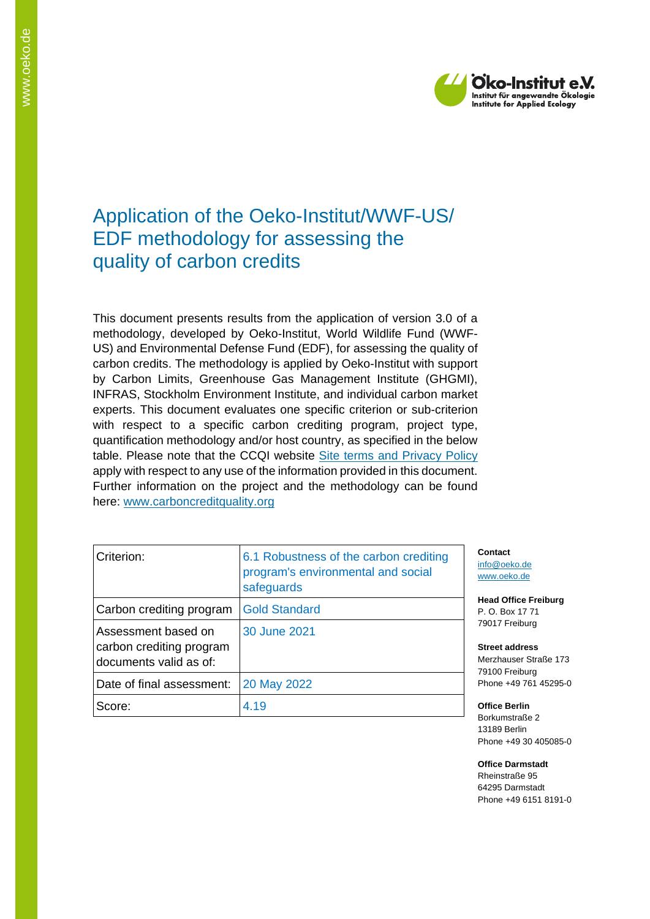

# Application of the Oeko-Institut/WWF-US/ EDF methodology for assessing the quality of carbon credits

This document presents results from the application of version 3.0 of a methodology, developed by Oeko-Institut, World Wildlife Fund (WWF-US) and Environmental Defense Fund (EDF), for assessing the quality of carbon credits. The methodology is applied by Oeko-Institut with support by Carbon Limits, Greenhouse Gas Management Institute (GHGMI), INFRAS, Stockholm Environment Institute, and individual carbon market experts. This document evaluates one specific criterion or sub-criterion with respect to a specific carbon crediting program, project type, quantification methodology and/or host country, as specified in the below table. Please note that the CCQI website [Site terms and Privacy Policy](https://carboncreditquality.org/terms.html) apply with respect to any use of the information provided in this document. Further information on the project and the methodology can be found here: [www.carboncreditquality.org](http://www.carboncreditquality.org/)

| Criterion:                                                                | 6.1 Robustness of the carbon crediting<br>program's environmental and social<br>safeguards |
|---------------------------------------------------------------------------|--------------------------------------------------------------------------------------------|
| Carbon crediting program                                                  | <b>Gold Standard</b>                                                                       |
| Assessment based on<br>carbon crediting program<br>documents valid as of: | 30 June 2021                                                                               |
| Date of final assessment:                                                 | 20 May 2022                                                                                |
| Score:                                                                    | 4.19                                                                                       |

**Contact** [info@oeko.de](mailto:info@oeko.de) [www.oeko.de](http://www.oeko.de/)

**Head Office Freiburg** P. O. Box 17 71 79017 Freiburg

**Street address** Merzhauser Straße 173 79100 Freiburg Phone +49 761 45295-0

**Office Berlin** Borkumstraße 2 13189 Berlin Phone +49 30 405085-0

**Office Darmstadt** Rheinstraße 95 64295 Darmstadt Phone +49 6151 8191-0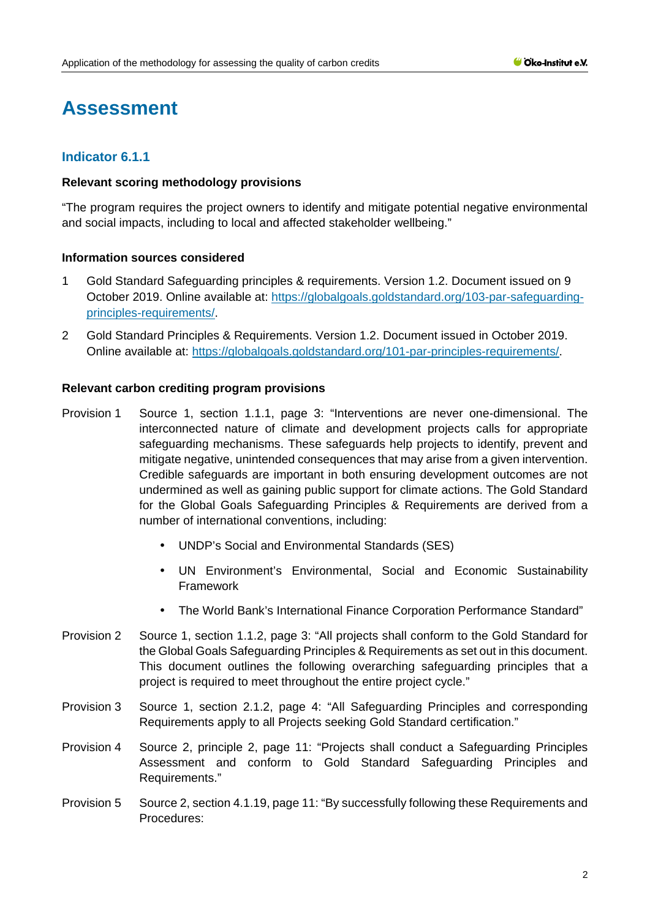# **Assessment**

# **Indicator 6.1.1**

### **Relevant scoring methodology provisions**

"The program requires the project owners to identify and mitigate potential negative environmental and social impacts, including to local and affected stakeholder wellbeing."

# **Information sources considered**

- 1 Gold Standard Safeguarding principles & requirements. Version 1.2. Document issued on 9 October 2019. Online available at: [https://globalgoals.goldstandard.org/103-par-safeguarding](https://globalgoals.goldstandard.org/103-par-safeguarding-principles-requirements/)[principles-requirements/.](https://globalgoals.goldstandard.org/103-par-safeguarding-principles-requirements/)
- 2 Gold Standard Principles & Requirements. Version 1.2. Document issued in October 2019. Online available at: [https://globalgoals.goldstandard.org/101-par-principles-requirements/.](https://globalgoals.goldstandard.org/101-par-principles-requirements/)

### **Relevant carbon crediting program provisions**

- Provision 1 Source 1, section 1.1.1, page 3: "Interventions are never one-dimensional. The interconnected nature of climate and development projects calls for appropriate safeguarding mechanisms. These safeguards help projects to identify, prevent and mitigate negative, unintended consequences that may arise from a given intervention. Credible safeguards are important in both ensuring development outcomes are not undermined as well as gaining public support for climate actions. The Gold Standard for the Global Goals Safeguarding Principles & Requirements are derived from a number of international conventions, including:
	- UNDP's Social and Environmental Standards (SES)
	- UN Environment's Environmental, Social and Economic Sustainability Framework
	- The World Bank's International Finance Corporation Performance Standard"
- Provision 2 Source 1, section 1.1.2, page 3: "All projects shall conform to the Gold Standard for the Global Goals Safeguarding Principles & Requirements as set out in this document. This document outlines the following overarching safeguarding principles that a project is required to meet throughout the entire project cycle."
- Provision 3 Source 1, section 2.1.2, page 4: "All Safeguarding Principles and corresponding Requirements apply to all Projects seeking Gold Standard certification."
- Provision 4 Source 2, principle 2, page 11: "Projects shall conduct a Safeguarding Principles Assessment and conform to Gold Standard Safeguarding Principles and Requirements."
- Provision 5 Source 2, section 4.1.19, page 11: "By successfully following these Requirements and Procedures: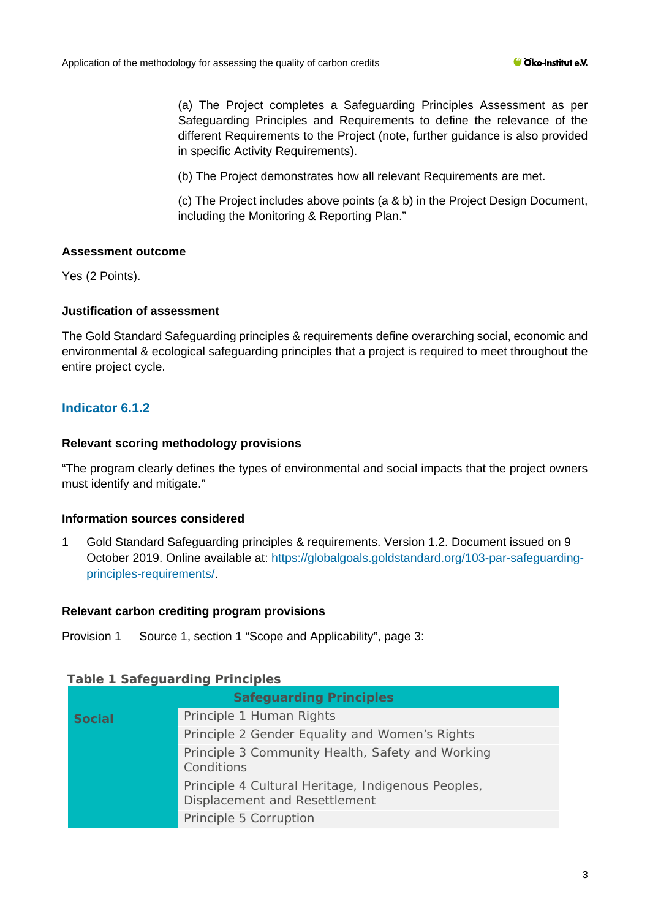(a) The Project completes a Safeguarding Principles Assessment as per Safeguarding Principles and Requirements to define the relevance of the different Requirements to the Project (note, further guidance is also provided in specific Activity Requirements).

(b) The Project demonstrates how all relevant Requirements are met.

(c) The Project includes above points (a & b) in the Project Design Document, including the Monitoring & Reporting Plan."

### **Assessment outcome**

Yes (2 Points).

### **Justification of assessment**

The Gold Standard Safeguarding principles & requirements define overarching social, economic and environmental & ecological safeguarding principles that a project is required to meet throughout the entire project cycle.

# **Indicator 6.1.2**

### **Relevant scoring methodology provisions**

"The program clearly defines the types of environmental and social impacts that the project owners must identify and mitigate."

#### **Information sources considered**

1 Gold Standard Safeguarding principles & requirements. Version 1.2. Document issued on 9 October 2019. Online available at: [https://globalgoals.goldstandard.org/103-par-safeguarding](https://globalgoals.goldstandard.org/103-par-safeguarding-principles-requirements/)[principles-requirements/.](https://globalgoals.goldstandard.org/103-par-safeguarding-principles-requirements/)

#### **Relevant carbon crediting program provisions**

Provision 1 Source 1, section 1 "Scope and Applicability", page 3:

#### **Table 1 Safeguarding Principles**

| <b>Safeguarding Principles</b> |                                                                                     |  |  |  |
|--------------------------------|-------------------------------------------------------------------------------------|--|--|--|
| <b>Social</b>                  | Principle 1 Human Rights                                                            |  |  |  |
|                                | Principle 2 Gender Equality and Women's Rights                                      |  |  |  |
|                                | Principle 3 Community Health, Safety and Working<br>Conditions                      |  |  |  |
|                                | Principle 4 Cultural Heritage, Indigenous Peoples,<br>Displacement and Resettlement |  |  |  |
|                                | Principle 5 Corruption                                                              |  |  |  |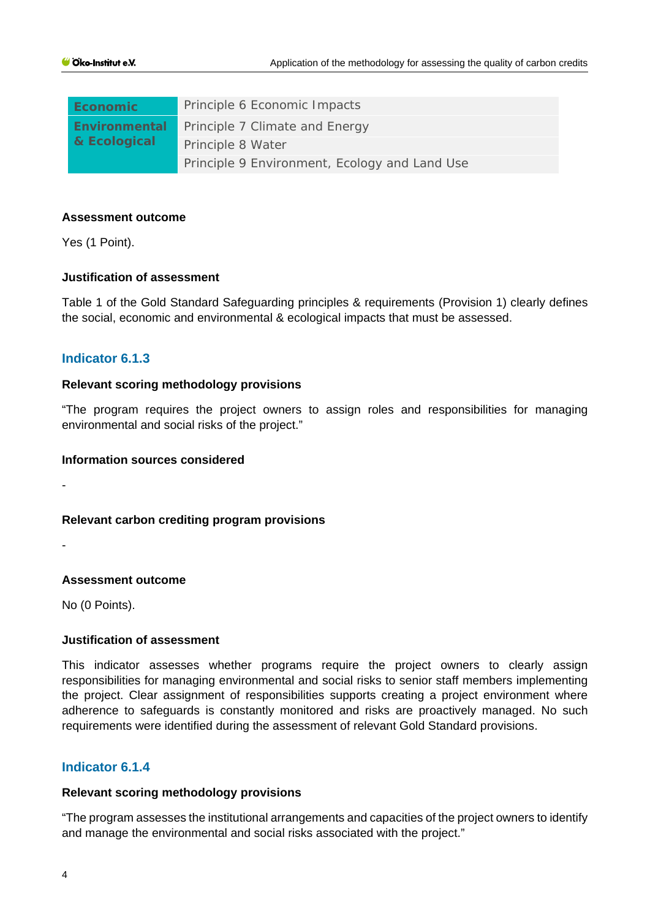| <b>Economic</b>               | Principle 6 Economic Impacts                  |  |  |
|-------------------------------|-----------------------------------------------|--|--|
| Environmental<br>& Ecological | Principle 7 Climate and Energy                |  |  |
|                               | Principle 8 Water                             |  |  |
|                               | Principle 9 Environment, Ecology and Land Use |  |  |

#### **Assessment outcome**

Yes (1 Point).

#### **Justification of assessment**

Table 1 of the Gold Standard Safeguarding principles & requirements (Provision 1) clearly defines the social, economic and environmental & ecological impacts that must be assessed.

# **Indicator 6.1.3**

### **Relevant scoring methodology provisions**

"The program requires the project owners to assign roles and responsibilities for managing environmental and social risks of the project."

### **Information sources considered**

-

#### **Relevant carbon crediting program provisions**

-

# **Assessment outcome**

No (0 Points).

# **Justification of assessment**

This indicator assesses whether programs require the project owners to clearly assign responsibilities for managing environmental and social risks to senior staff members implementing the project. Clear assignment of responsibilities supports creating a project environment where adherence to safeguards is constantly monitored and risks are proactively managed. No such requirements were identified during the assessment of relevant Gold Standard provisions.

# **Indicator 6.1.4**

# **Relevant scoring methodology provisions**

"The program assesses the institutional arrangements and capacities of the project owners to identify and manage the environmental and social risks associated with the project."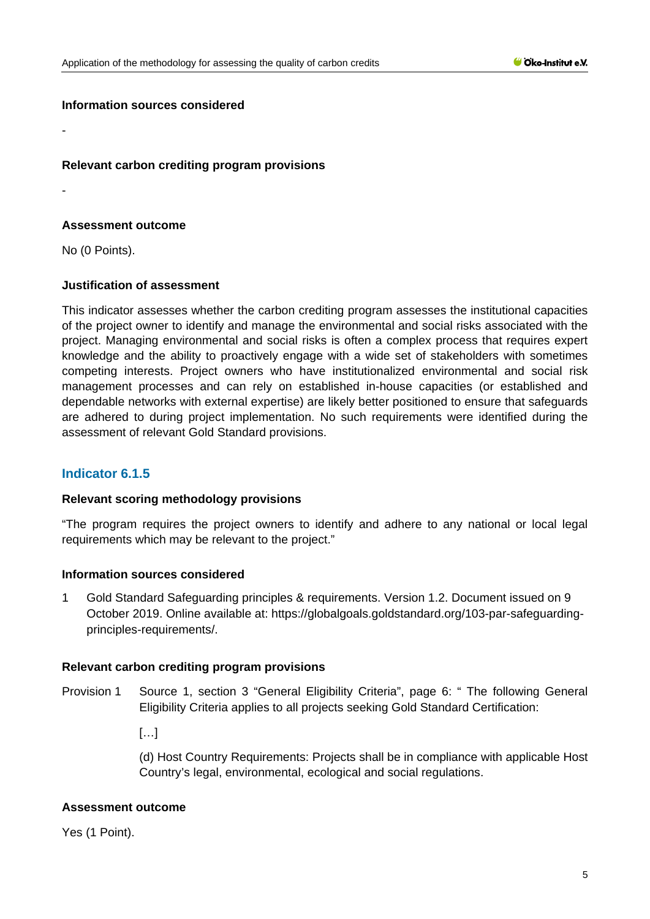### **Information sources considered**

### **Relevant carbon crediting program provisions**

-

-

### **Assessment outcome**

No (0 Points).

### **Justification of assessment**

This indicator assesses whether the carbon crediting program assesses the institutional capacities of the project owner to identify and manage the environmental and social risks associated with the project. Managing environmental and social risks is often a complex process that requires expert knowledge and the ability to proactively engage with a wide set of stakeholders with sometimes competing interests. Project owners who have institutionalized environmental and social risk management processes and can rely on established in-house capacities (or established and dependable networks with external expertise) are likely better positioned to ensure that safeguards are adhered to during project implementation. No such requirements were identified during the assessment of relevant Gold Standard provisions.

# **Indicator 6.1.5**

#### **Relevant scoring methodology provisions**

"The program requires the project owners to identify and adhere to any national or local legal requirements which may be relevant to the project."

#### **Information sources considered**

1 Gold Standard Safeguarding principles & requirements. Version 1.2. Document issued on 9 October 2019. Online available at: [https://globalgoals.goldstandard.org/103-par-safeguarding](https://globalgoals.goldstandard.org/103-par-safeguarding-principles-requirements/)[principles-requirements/.](https://globalgoals.goldstandard.org/103-par-safeguarding-principles-requirements/)

#### **Relevant carbon crediting program provisions**

Provision 1 Source 1, section 3 "General Eligibility Criteria", page 6: " The following General Eligibility Criteria applies to all projects seeking Gold Standard Certification:

[…]

(d) Host Country Requirements: Projects shall be in compliance with applicable Host Country's legal, environmental, ecological and social regulations.

#### **Assessment outcome**

Yes (1 Point).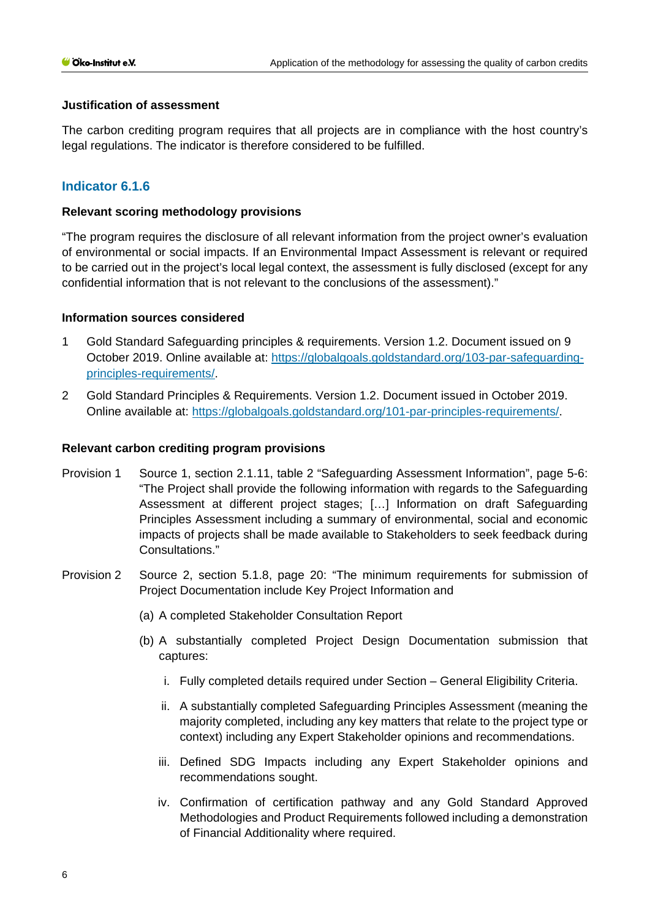### **Justification of assessment**

The carbon crediting program requires that all projects are in compliance with the host country's legal regulations. The indicator is therefore considered to be fulfilled.

# **Indicator 6.1.6**

### **Relevant scoring methodology provisions**

"The program requires the disclosure of all relevant information from the project owner's evaluation of environmental or social impacts. If an Environmental Impact Assessment is relevant or required to be carried out in the project's local legal context, the assessment is fully disclosed (except for any confidential information that is not relevant to the conclusions of the assessment)."

### **Information sources considered**

- 1 Gold Standard Safeguarding principles & requirements. Version 1.2. Document issued on 9 October 2019. Online available at: [https://globalgoals.goldstandard.org/103-par-safeguarding](https://globalgoals.goldstandard.org/103-par-safeguarding-principles-requirements/)[principles-requirements/.](https://globalgoals.goldstandard.org/103-par-safeguarding-principles-requirements/)
- 2 Gold Standard Principles & Requirements. Version 1.2. Document issued in October 2019. Online available at: [https://globalgoals.goldstandard.org/101-par-principles-requirements/.](https://globalgoals.goldstandard.org/101-par-principles-requirements/)

#### **Relevant carbon crediting program provisions**

- Provision 1 Source 1, section 2.1.11, table 2 "Safeguarding Assessment Information", page 5-6: "The Project shall provide the following information with regards to the Safeguarding Assessment at different project stages; […] Information on draft Safeguarding Principles Assessment including a summary of environmental, social and economic impacts of projects shall be made available to Stakeholders to seek feedback during Consultations."
- Provision 2 Source 2, section 5.1.8, page 20: "The minimum requirements for submission of Project Documentation include Key Project Information and
	- (a) A completed Stakeholder Consultation Report
	- (b) A substantially completed Project Design Documentation submission that captures:
		- i. Fully completed details required under Section General Eligibility Criteria.
		- ii. A substantially completed Safeguarding Principles Assessment (meaning the majority completed, including any key matters that relate to the project type or context) including any Expert Stakeholder opinions and recommendations.
		- iii. Defined SDG Impacts including any Expert Stakeholder opinions and recommendations sought.
		- iv. Confirmation of certification pathway and any Gold Standard Approved Methodologies and Product Requirements followed including a demonstration of Financial Additionality where required.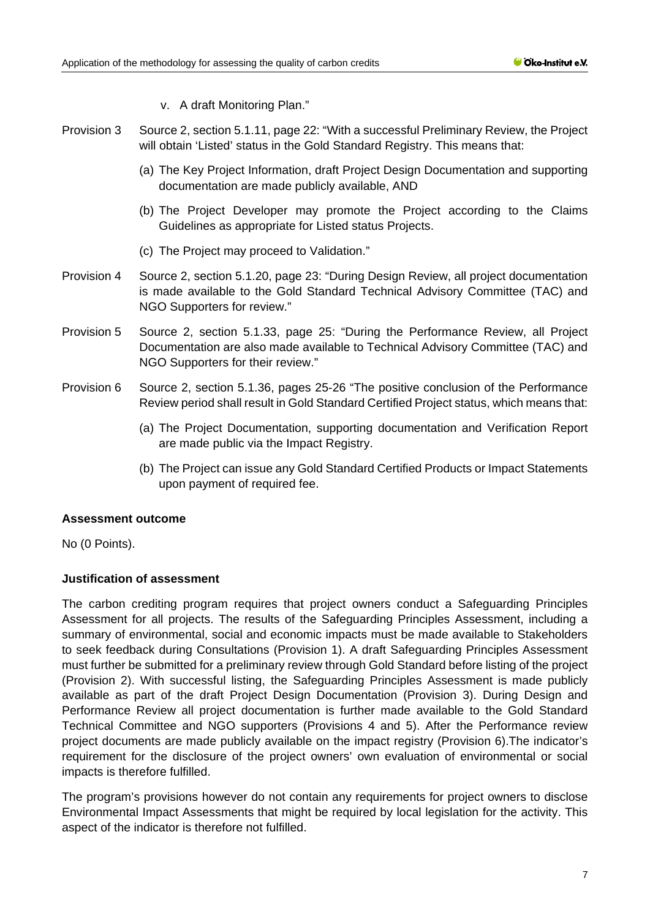- v. A draft Monitoring Plan."
- Provision 3 Source 2, section 5.1.11, page 22: "With a successful Preliminary Review, the Project will obtain 'Listed' status in the Gold Standard Registry. This means that:
	- (a) The Key Project Information, draft Project Design Documentation and supporting documentation are made publicly available, AND
	- (b) The Project Developer may promote the Project according to the Claims Guidelines as appropriate for Listed status Projects.
	- (c) The Project may proceed to Validation."
- Provision 4 Source 2, section 5.1.20, page 23: "During Design Review, all project documentation is made available to the Gold Standard Technical Advisory Committee (TAC) and NGO Supporters for review."
- Provision 5 Source 2, section 5.1.33, page 25: "During the Performance Review, all Project Documentation are also made available to Technical Advisory Committee (TAC) and NGO Supporters for their review."
- Provision 6 Source 2, section 5.1.36, pages 25-26 "The positive conclusion of the Performance Review period shall result in Gold Standard Certified Project status, which means that:
	- (a) The Project Documentation, supporting documentation and Verification Report are made public via the Impact Registry.
	- (b) The Project can issue any Gold Standard Certified Products or Impact Statements upon payment of required fee.

#### **Assessment outcome**

No (0 Points).

# **Justification of assessment**

The carbon crediting program requires that project owners conduct a Safeguarding Principles Assessment for all projects. The results of the Safeguarding Principles Assessment, including a summary of environmental, social and economic impacts must be made available to Stakeholders to seek feedback during Consultations (Provision 1). A draft Safeguarding Principles Assessment must further be submitted for a preliminary review through Gold Standard before listing of the project (Provision 2). With successful listing, the Safeguarding Principles Assessment is made publicly available as part of the draft Project Design Documentation (Provision 3). During Design and Performance Review all project documentation is further made available to the Gold Standard Technical Committee and NGO supporters (Provisions 4 and 5). After the Performance review project documents are made publicly available on the impact registry (Provision 6).The indicator's requirement for the disclosure of the project owners' own evaluation of environmental or social impacts is therefore fulfilled.

The program's provisions however do not contain any requirements for project owners to disclose Environmental Impact Assessments that might be required by local legislation for the activity. This aspect of the indicator is therefore not fulfilled.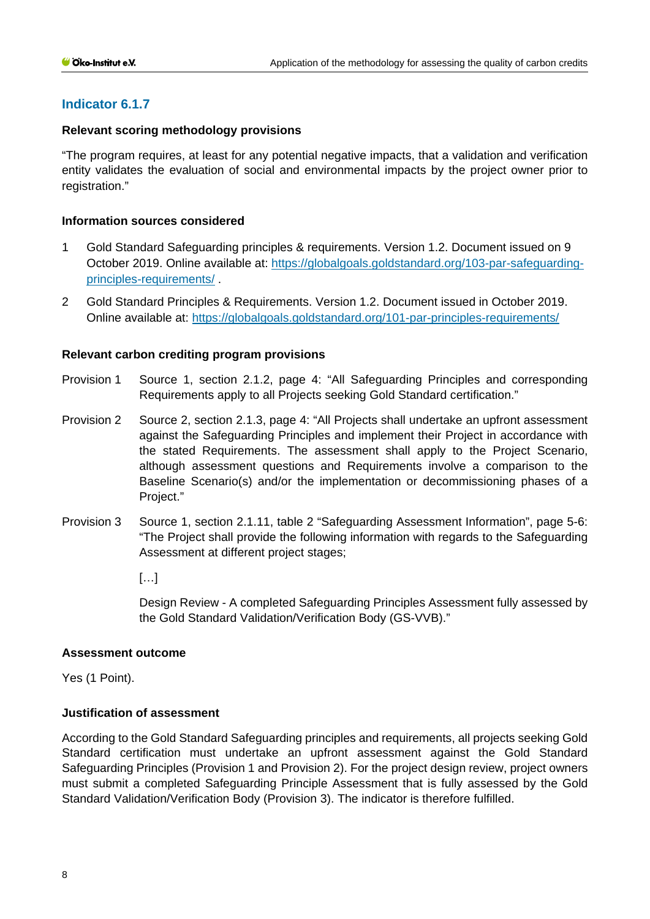# **Indicator 6.1.7**

### **Relevant scoring methodology provisions**

"The program requires, at least for any potential negative impacts, that a validation and verification entity validates the evaluation of social and environmental impacts by the project owner prior to registration."

### **Information sources considered**

- 1 Gold Standard Safeguarding principles & requirements. Version 1.2. Document issued on 9 October 2019. Online available at: [https://globalgoals.goldstandard.org/103-par-safeguarding](https://globalgoals.goldstandard.org/103-par-safeguarding-principles-requirements/)[principles-requirements/](https://globalgoals.goldstandard.org/103-par-safeguarding-principles-requirements/) .
- 2 Gold Standard Principles & Requirements. Version 1.2. Document issued in October 2019. Online available at:<https://globalgoals.goldstandard.org/101-par-principles-requirements/>

### **Relevant carbon crediting program provisions**

- Provision 1 Source 1, section 2.1.2, page 4: "All Safeguarding Principles and corresponding Requirements apply to all Projects seeking Gold Standard certification."
- Provision 2 Source 2, section 2.1.3, page 4: "All Projects shall undertake an upfront assessment against the Safeguarding Principles and implement their Project in accordance with the stated Requirements. The assessment shall apply to the Project Scenario, although assessment questions and Requirements involve a comparison to the Baseline Scenario(s) and/or the implementation or decommissioning phases of a Project."
- Provision 3 Source 1, section 2.1.11, table 2 "Safeguarding Assessment Information", page 5-6: "The Project shall provide the following information with regards to the Safeguarding Assessment at different project stages;

[…]

Design Review - A completed Safeguarding Principles Assessment fully assessed by the Gold Standard Validation/Verification Body (GS-VVB)."

#### **Assessment outcome**

Yes (1 Point).

# **Justification of assessment**

According to the Gold Standard Safeguarding principles and requirements, all projects seeking Gold Standard certification must undertake an upfront assessment against the Gold Standard Safeguarding Principles (Provision 1 and Provision 2). For the project design review, project owners must submit a completed Safeguarding Principle Assessment that is fully assessed by the Gold Standard Validation/Verification Body (Provision 3). The indicator is therefore fulfilled.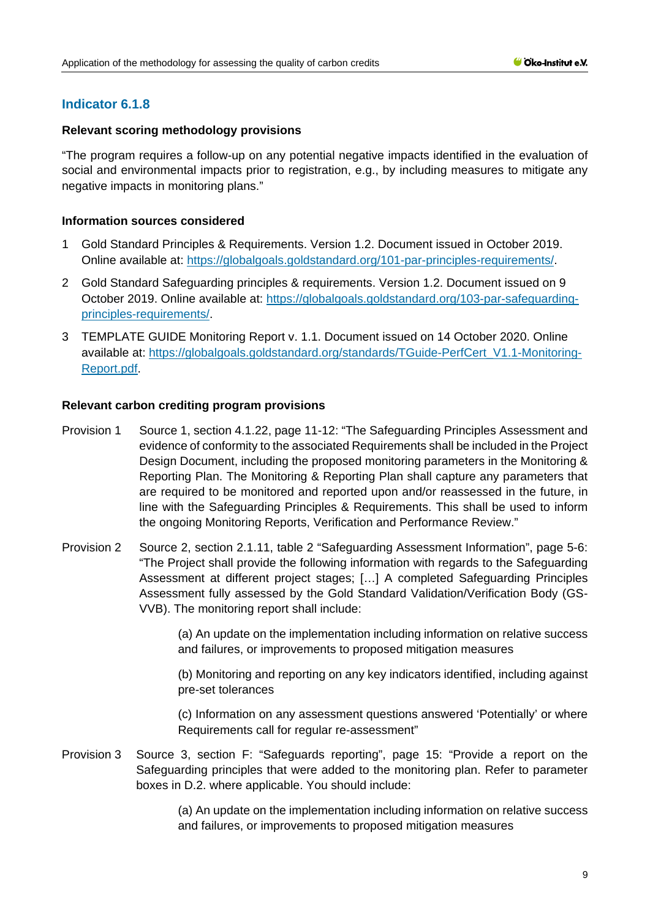# **Indicator 6.1.8**

# **Relevant scoring methodology provisions**

"The program requires a follow-up on any potential negative impacts identified in the evaluation of social and environmental impacts prior to registration, e.g., by including measures to mitigate any negative impacts in monitoring plans."

# **Information sources considered**

- 1 Gold Standard Principles & Requirements. Version 1.2. Document issued in October 2019. Online available at: [https://globalgoals.goldstandard.org/101-par-principles-requirements/.](https://globalgoals.goldstandard.org/101-par-principles-requirements/)
- 2 Gold Standard Safeguarding principles & requirements. Version 1.2. Document issued on 9 October 2019. Online available at: [https://globalgoals.goldstandard.org/103-par-safeguarding](https://globalgoals.goldstandard.org/103-par-safeguarding-principles-requirements/)[principles-requirements/.](https://globalgoals.goldstandard.org/103-par-safeguarding-principles-requirements/)
- 3 TEMPLATE GUIDE Monitoring Report v. 1.1. Document issued on 14 October 2020. Online available at: [https://globalgoals.goldstandard.org/standards/TGuide-PerfCert\\_V1.1-Monitoring-](https://globalgoals.goldstandard.org/standards/TGuide-PerfCert_V1.1-Monitoring-Report.pdf)[Report.pdf.](https://globalgoals.goldstandard.org/standards/TGuide-PerfCert_V1.1-Monitoring-Report.pdf)

# **Relevant carbon crediting program provisions**

- Provision 1 Source 1, section 4.1.22, page 11-12: "The Safeguarding Principles Assessment and evidence of conformity to the associated Requirements shall be included in the Project Design Document, including the proposed monitoring parameters in the Monitoring & Reporting Plan. The Monitoring & Reporting Plan shall capture any parameters that are required to be monitored and reported upon and/or reassessed in the future, in line with the Safeguarding Principles & Requirements. This shall be used to inform the ongoing Monitoring Reports, Verification and Performance Review."
- Provision 2 Source 2, section 2.1.11, table 2 "Safeguarding Assessment Information", page 5-6: "The Project shall provide the following information with regards to the Safeguarding Assessment at different project stages; […] A completed Safeguarding Principles Assessment fully assessed by the Gold Standard Validation/Verification Body (GS-VVB). The monitoring report shall include:

(a) An update on the implementation including information on relative success and failures, or improvements to proposed mitigation measures

(b) Monitoring and reporting on any key indicators identified, including against pre-set tolerances

(c) Information on any assessment questions answered 'Potentially' or where Requirements call for regular re-assessment"

Provision 3 Source 3, section F: "Safeguards reporting", page 15: "Provide a report on the Safeguarding principles that were added to the monitoring plan. Refer to parameter boxes in D.2. where applicable. You should include:

> (a) An update on the implementation including information on relative success and failures, or improvements to proposed mitigation measures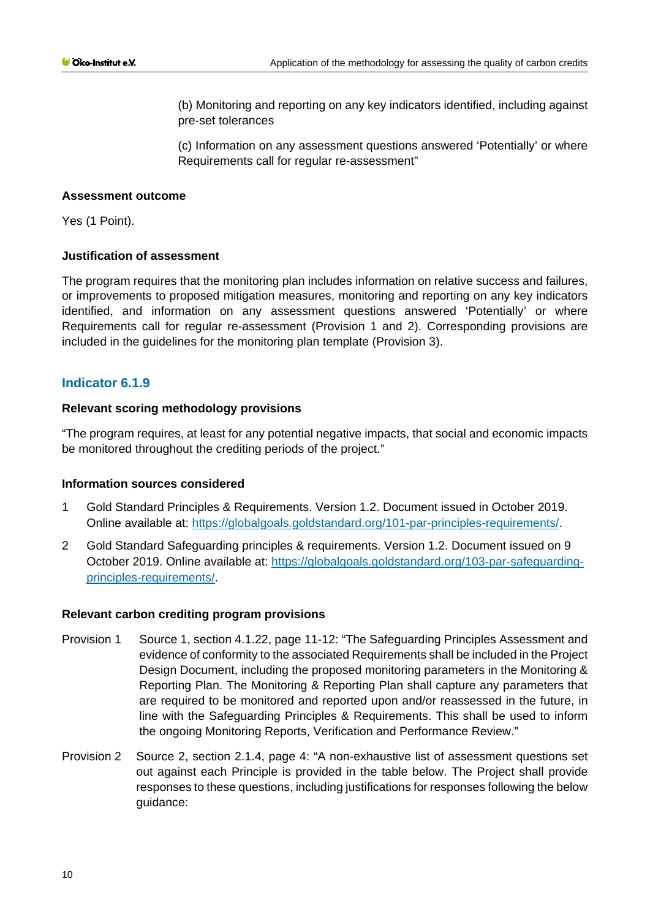(b) Monitoring and reporting on any key indicators identified, including against pre-set tolerances

(c) Information on any assessment questions answered 'Potentially' or where Requirements call for regular re-assessment"

### **Assessment outcome**

Yes (1 Point).

### **Justification of assessment**

The program requires that the monitoring plan includes information on relative success and failures, or improvements to proposed mitigation measures, monitoring and reporting on any key indicators identified, and information on any assessment questions answered 'Potentially' or where Requirements call for regular re-assessment (Provision 1 and 2). Corresponding provisions are included in the guidelines for the monitoring plan template (Provision 3).

# **Indicator 6.1.9**

### **Relevant scoring methodology provisions**

"The program requires, at least for any potential negative impacts, that social and economic impacts be monitored throughout the crediting periods of the project."

#### **Information sources considered**

- 1 Gold Standard Principles & Requirements. Version 1.2. Document issued in October 2019. Online available at: [https://globalgoals.goldstandard.org/101-par-principles-requirements/.](https://globalgoals.goldstandard.org/101-par-principles-requirements/)
- 2 Gold Standard Safeguarding principles & requirements. Version 1.2. Document issued on 9 October 2019. Online available at: [https://globalgoals.goldstandard.org/103-par-safeguarding](https://globalgoals.goldstandard.org/103-par-safeguarding-principles-requirements/)[principles-requirements/.](https://globalgoals.goldstandard.org/103-par-safeguarding-principles-requirements/)

#### **Relevant carbon crediting program provisions**

- Provision 1 Source 1, section 4.1.22, page 11-12: "The Safeguarding Principles Assessment and evidence of conformity to the associated Requirements shall be included in the Project Design Document, including the proposed monitoring parameters in the Monitoring & Reporting Plan. The Monitoring & Reporting Plan shall capture any parameters that are required to be monitored and reported upon and/or reassessed in the future, in line with the Safeguarding Principles & Requirements. This shall be used to inform the ongoing Monitoring Reports, Verification and Performance Review."
- Provision 2 Source 2, section 2.1.4, page 4: "A non-exhaustive list of assessment questions set out against each Principle is provided in the table below. The Project shall provide responses to these questions, including justifications for responses following the below guidance: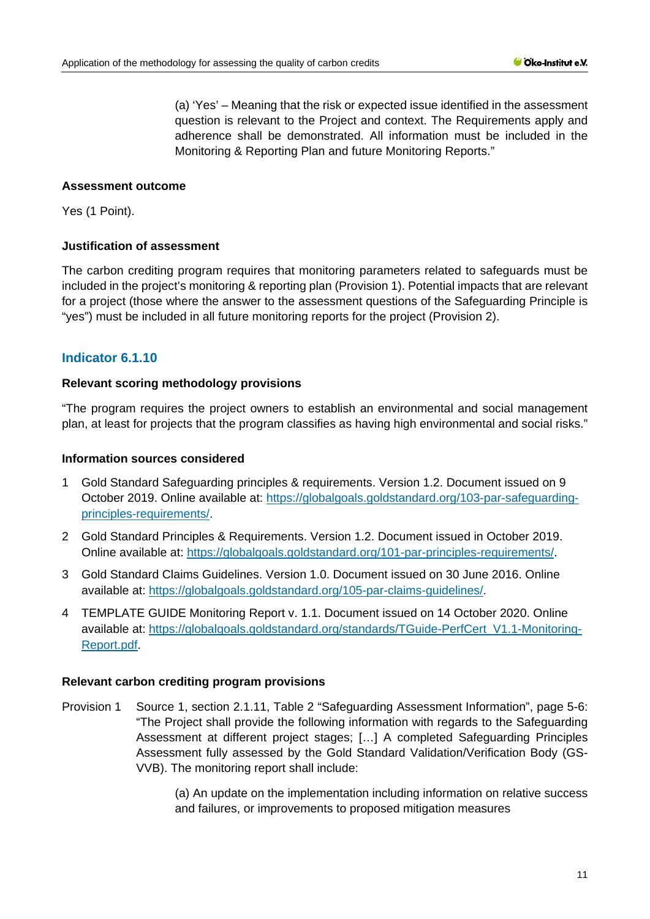(a) 'Yes' – Meaning that the risk or expected issue identified in the assessment question is relevant to the Project and context. The Requirements apply and adherence shall be demonstrated. All information must be included in the Monitoring & Reporting Plan and future Monitoring Reports."

### **Assessment outcome**

Yes (1 Point).

### **Justification of assessment**

The carbon crediting program requires that monitoring parameters related to safeguards must be included in the project's monitoring & reporting plan (Provision 1). Potential impacts that are relevant for a project (those where the answer to the assessment questions of the Safeguarding Principle is "yes") must be included in all future monitoring reports for the project (Provision 2).

# **Indicator 6.1.10**

### **Relevant scoring methodology provisions**

"The program requires the project owners to establish an environmental and social management plan, at least for projects that the program classifies as having high environmental and social risks."

### **Information sources considered**

- 1 Gold Standard Safeguarding principles & requirements. Version 1.2. Document issued on 9 October 2019. Online available at: [https://globalgoals.goldstandard.org/103-par-safeguarding](https://globalgoals.goldstandard.org/103-par-safeguarding-principles-requirements/)[principles-requirements/.](https://globalgoals.goldstandard.org/103-par-safeguarding-principles-requirements/)
- 2 Gold Standard Principles & Requirements. Version 1.2. Document issued in October 2019. Online available at: [https://globalgoals.goldstandard.org/101-par-principles-requirements/.](https://globalgoals.goldstandard.org/101-par-principles-requirements/)
- 3 Gold Standard Claims Guidelines. Version 1.0. Document issued on 30 June 2016. Online available at: [https://globalgoals.goldstandard.org/105-par-claims-guidelines/.](https://globalgoals.goldstandard.org/105-par-claims-guidelines/)
- 4 TEMPLATE GUIDE Monitoring Report v. 1.1. Document issued on 14 October 2020. Online available at: [https://globalgoals.goldstandard.org/standards/TGuide-PerfCert\\_V1.1-Monitoring-](https://globalgoals.goldstandard.org/standards/TGuide-PerfCert_V1.1-Monitoring-Report.pdf)[Report.pdf.](https://globalgoals.goldstandard.org/standards/TGuide-PerfCert_V1.1-Monitoring-Report.pdf)

#### **Relevant carbon crediting program provisions**

Provision 1 Source 1, section 2.1.11, Table 2 "Safeguarding Assessment Information", page 5-6: "The Project shall provide the following information with regards to the Safeguarding Assessment at different project stages; […] A completed Safeguarding Principles Assessment fully assessed by the Gold Standard Validation/Verification Body (GS-VVB). The monitoring report shall include:

> (a) An update on the implementation including information on relative success and failures, or improvements to proposed mitigation measures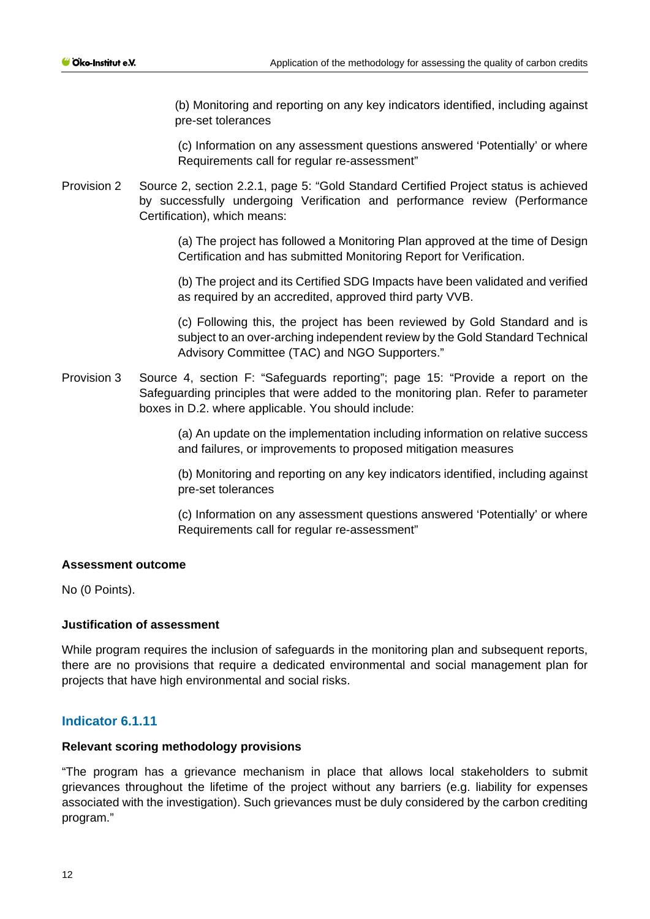(b) Monitoring and reporting on any key indicators identified, including against pre-set tolerances

(c) Information on any assessment questions answered 'Potentially' or where Requirements call for regular re-assessment"

Provision 2 Source 2, section 2.2.1, page 5: "Gold Standard Certified Project status is achieved by successfully undergoing Verification and performance review (Performance Certification), which means:

> (a) The project has followed a Monitoring Plan approved at the time of Design Certification and has submitted Monitoring Report for Verification.

> (b) The project and its Certified SDG Impacts have been validated and verified as required by an accredited, approved third party VVB.

> (c) Following this, the project has been reviewed by Gold Standard and is subject to an over-arching independent review by the Gold Standard Technical Advisory Committee (TAC) and NGO Supporters."

Provision 3 Source 4, section F: "Safeguards reporting"; page 15: "Provide a report on the Safeguarding principles that were added to the monitoring plan. Refer to parameter boxes in D.2. where applicable. You should include:

> (a) An update on the implementation including information on relative success and failures, or improvements to proposed mitigation measures

> (b) Monitoring and reporting on any key indicators identified, including against pre-set tolerances

> (c) Information on any assessment questions answered 'Potentially' or where Requirements call for regular re-assessment"

# **Assessment outcome**

No (0 Points).

# **Justification of assessment**

While program requires the inclusion of safeguards in the monitoring plan and subsequent reports, there are no provisions that require a dedicated environmental and social management plan for projects that have high environmental and social risks.

# **Indicator 6.1.11**

#### **Relevant scoring methodology provisions**

"The program has a grievance mechanism in place that allows local stakeholders to submit grievances throughout the lifetime of the project without any barriers (e.g. liability for expenses associated with the investigation). Such grievances must be duly considered by the carbon crediting program."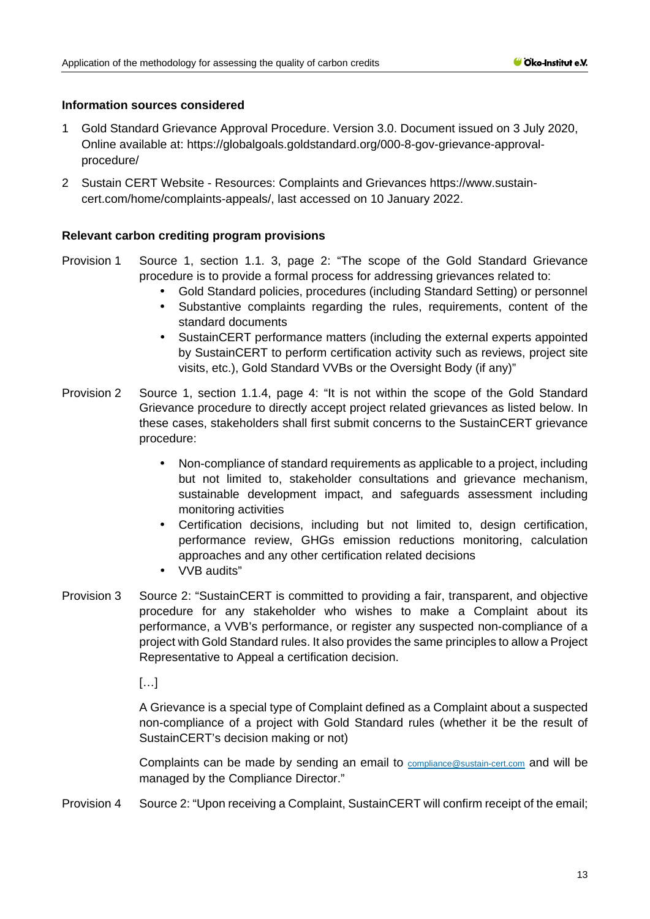### **Information sources considered**

- 1 Gold Standard Grievance Approval Procedure. Version 3.0. Document issued on 3 July 2020, Online available at: [https://globalgoals.goldstandard.org/000-8-gov-grievance-approval](https://globalgoals.goldstandard.org/000-8-gov-grievance-approval-procedure/)[procedure/](https://globalgoals.goldstandard.org/000-8-gov-grievance-approval-procedure/)
- 2 Sustain CERT Website Resources: Complaints and Grievances [https://www.sustain](https://www.sustain-cert.com/home/complaints-appeals/)[cert.com/home/complaints-appeals/,](https://www.sustain-cert.com/home/complaints-appeals/) last accessed on 10 January 2022.

### **Relevant carbon crediting program provisions**

- Provision 1 Source 1, section 1.1. 3, page 2: "The scope of the Gold Standard Grievance procedure is to provide a formal process for addressing grievances related to:
	- Gold Standard policies, procedures (including Standard Setting) or personnel
	- Substantive complaints regarding the rules, requirements, content of the standard documents
	- SustainCERT performance matters (including the external experts appointed by SustainCERT to perform certification activity such as reviews, project site visits, etc.), Gold Standard VVBs or the Oversight Body (if any)"
- Provision 2 Source 1, section 1.1.4, page 4: "It is not within the scope of the Gold Standard Grievance procedure to directly accept project related grievances as listed below. In these cases, stakeholders shall first submit concerns to the SustainCERT grievance procedure:
	- Non-compliance of standard requirements as applicable to a project, including but not limited to, stakeholder consultations and grievance mechanism, sustainable development impact, and safeguards assessment including monitoring activities
	- Certification decisions, including but not limited to, design certification, performance review, GHGs emission reductions monitoring, calculation approaches and any other certification related decisions
	- VVB audits"  $\mathbf{r}$
- Provision 3 Source 2: "SustainCERT is committed to providing a fair, transparent, and objective procedure for any stakeholder who wishes to make a Complaint about its performance, a VVB's performance, or register any suspected non-compliance of a project with Gold Standard rules. It also provides the same principles to allow a Project Representative to Appeal a certification decision.

 $[...]$ 

A Grievance is a special type of Complaint defined as a Complaint about a suspected non-compliance of a project with Gold Standard rules (whether it be the result of SustainCERT's decision making or not)

Complaints can be made by sending an email to [compliance@sustain-cert.com](mailto:compliance@sustain-cert.com) and will be managed by the Compliance Director."

Provision 4 Source 2: "Upon receiving a Complaint, SustainCERT will confirm receipt of the email;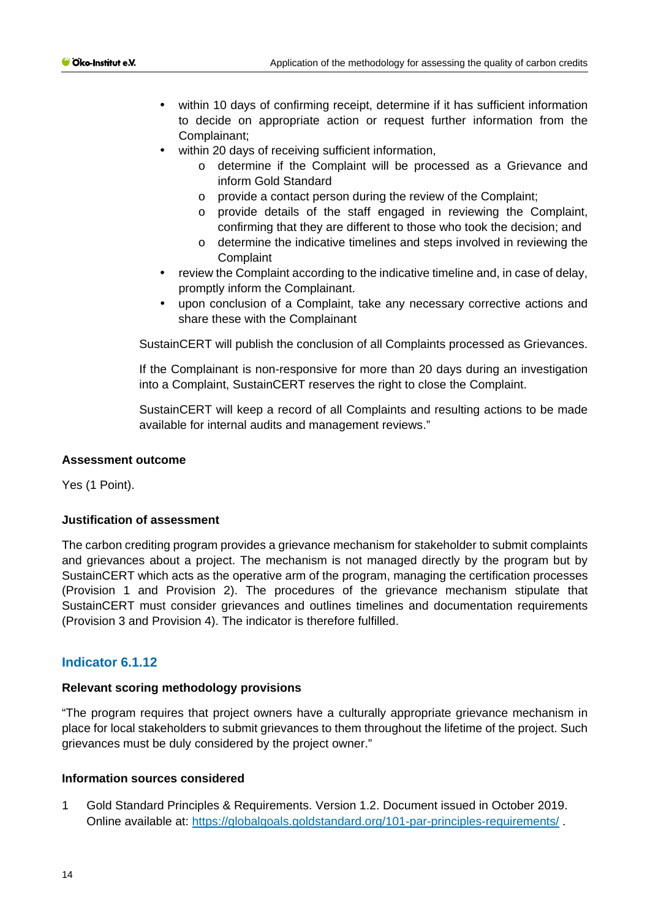- within 10 days of confirming receipt, determine if it has sufficient information to decide on appropriate action or request further information from the Complainant;
	- within 20 days of receiving sufficient information.
		- o determine if the Complaint will be processed as a Grievance and inform Gold Standard
		- o provide a contact person during the review of the Complaint;
		- o provide details of the staff engaged in reviewing the Complaint, confirming that they are different to those who took the decision; and
		- o determine the indicative timelines and steps involved in reviewing the **Complaint**
- review the Complaint according to the indicative timeline and, in case of delay, promptly inform the Complainant.
- upon conclusion of a Complaint, take any necessary corrective actions and share these with the Complainant

SustainCERT will publish the conclusion of all Complaints processed as Grievances.

If the Complainant is non-responsive for more than 20 days during an investigation into a Complaint, SustainCERT reserves the right to close the Complaint.

SustainCERT will keep a record of all Complaints and resulting actions to be made available for internal audits and management reviews."

#### **Assessment outcome**

Yes (1 Point).

### **Justification of assessment**

The carbon crediting program provides a grievance mechanism for stakeholder to submit complaints and grievances about a project. The mechanism is not managed directly by the program but by SustainCERT which acts as the operative arm of the program, managing the certification processes (Provision 1 and Provision 2). The procedures of the grievance mechanism stipulate that SustainCERT must consider grievances and outlines timelines and documentation requirements (Provision 3 and Provision 4). The indicator is therefore fulfilled.

# **Indicator 6.1.12**

#### **Relevant scoring methodology provisions**

"The program requires that project owners have a culturally appropriate grievance mechanism in place for local stakeholders to submit grievances to them throughout the lifetime of the project. Such grievances must be duly considered by the project owner."

#### **Information sources considered**

1 Gold Standard Principles & Requirements. Version 1.2. Document issued in October 2019. Online available at:<https://globalgoals.goldstandard.org/101-par-principles-requirements/> .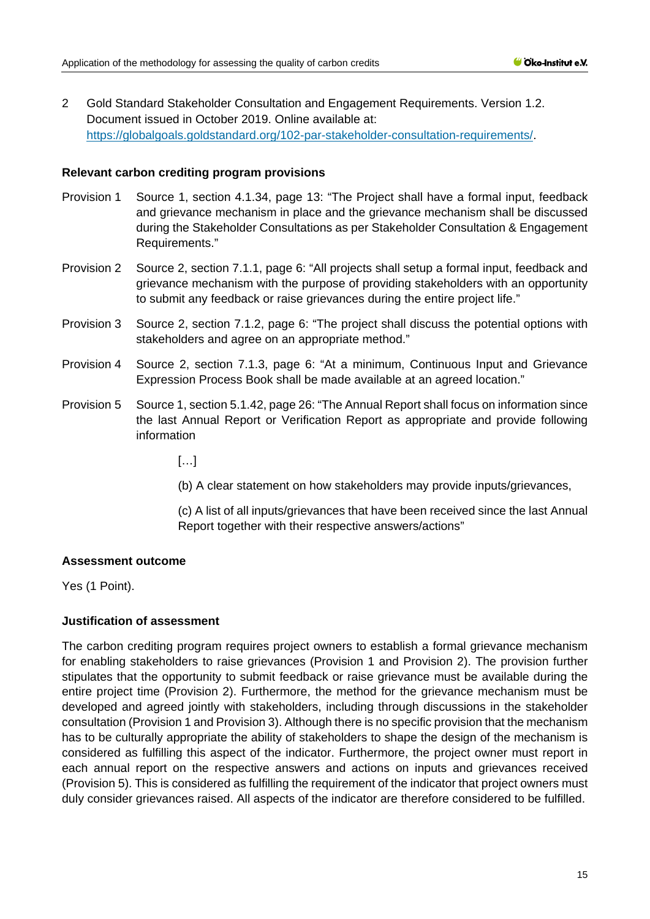2 Gold Standard Stakeholder Consultation and Engagement Requirements. Version 1.2. Document issued in October 2019. Online available at: [https://globalgoals.goldstandard.org/102-par-stakeholder-consultation-requirements/.](https://globalgoals.goldstandard.org/102-par-stakeholder-consultation-requirements/)

### **Relevant carbon crediting program provisions**

- Provision 1 Source 1, section 4.1.34, page 13: "The Project shall have a formal input, feedback and grievance mechanism in place and the grievance mechanism shall be discussed during the Stakeholder Consultations as per Stakeholder Consultation & Engagement Requirements."
- Provision 2 Source 2, section 7.1.1, page 6: "All projects shall setup a formal input, feedback and grievance mechanism with the purpose of providing stakeholders with an opportunity to submit any feedback or raise grievances during the entire project life."
- Provision 3 Source 2, section 7.1.2, page 6: "The project shall discuss the potential options with stakeholders and agree on an appropriate method."
- Provision 4 Source 2, section 7.1.3, page 6: "At a minimum, Continuous Input and Grievance Expression Process Book shall be made available at an agreed location."
- Provision 5 Source 1, section 5.1.42, page 26: "The Annual Report shall focus on information since the last Annual Report or Verification Report as appropriate and provide following information

[…]

(b) A clear statement on how stakeholders may provide inputs/grievances,

(c) A list of all inputs/grievances that have been received since the last Annual Report together with their respective answers/actions"

# **Assessment outcome**

Yes (1 Point).

# **Justification of assessment**

The carbon crediting program requires project owners to establish a formal grievance mechanism for enabling stakeholders to raise grievances (Provision 1 and Provision 2). The provision further stipulates that the opportunity to submit feedback or raise grievance must be available during the entire project time (Provision 2). Furthermore, the method for the grievance mechanism must be developed and agreed jointly with stakeholders, including through discussions in the stakeholder consultation (Provision 1 and Provision 3). Although there is no specific provision that the mechanism has to be culturally appropriate the ability of stakeholders to shape the design of the mechanism is considered as fulfilling this aspect of the indicator. Furthermore, the project owner must report in each annual report on the respective answers and actions on inputs and grievances received (Provision 5). This is considered as fulfilling the requirement of the indicator that project owners must duly consider grievances raised. All aspects of the indicator are therefore considered to be fulfilled.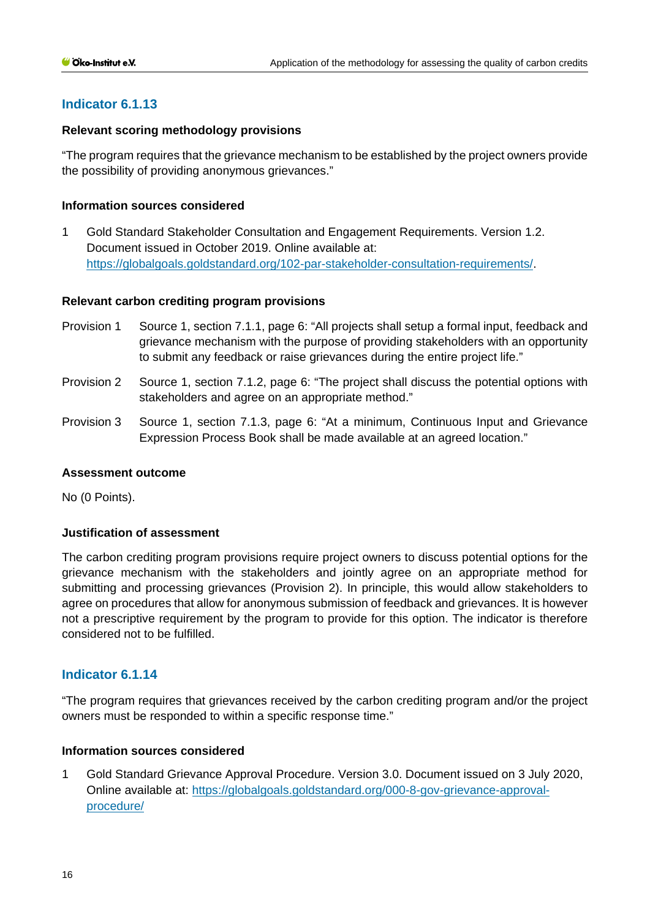# **Indicator 6.1.13**

### **Relevant scoring methodology provisions**

"The program requires that the grievance mechanism to be established by the project owners provide the possibility of providing anonymous grievances."

### **Information sources considered**

1 Gold Standard Stakeholder Consultation and Engagement Requirements. Version 1.2. Document issued in October 2019. Online available at: [https://globalgoals.goldstandard.org/102-par-stakeholder-consultation-requirements/.](https://globalgoals.goldstandard.org/102-par-stakeholder-consultation-requirements/)

### **Relevant carbon crediting program provisions**

- Provision 1 Source 1, section 7.1.1, page 6: "All projects shall setup a formal input, feedback and grievance mechanism with the purpose of providing stakeholders with an opportunity to submit any feedback or raise grievances during the entire project life."
- Provision 2 Source 1, section 7.1.2, page 6: "The project shall discuss the potential options with stakeholders and agree on an appropriate method."
- Provision 3 Source 1, section 7.1.3, page 6: "At a minimum, Continuous Input and Grievance Expression Process Book shall be made available at an agreed location."

#### **Assessment outcome**

No (0 Points).

#### **Justification of assessment**

The carbon crediting program provisions require project owners to discuss potential options for the grievance mechanism with the stakeholders and jointly agree on an appropriate method for submitting and processing grievances (Provision 2). In principle, this would allow stakeholders to agree on procedures that allow for anonymous submission of feedback and grievances. It is however not a prescriptive requirement by the program to provide for this option. The indicator is therefore considered not to be fulfilled.

# **Indicator 6.1.14**

"The program requires that grievances received by the carbon crediting program and/or the project owners must be responded to within a specific response time."

# **Information sources considered**

1 Gold Standard Grievance Approval Procedure. Version 3.0. Document issued on 3 July 2020, Online available at: [https://globalgoals.goldstandard.org/000-8-gov-grievance-approval](https://globalgoals.goldstandard.org/000-8-gov-grievance-approval-procedure/)[procedure/](https://globalgoals.goldstandard.org/000-8-gov-grievance-approval-procedure/)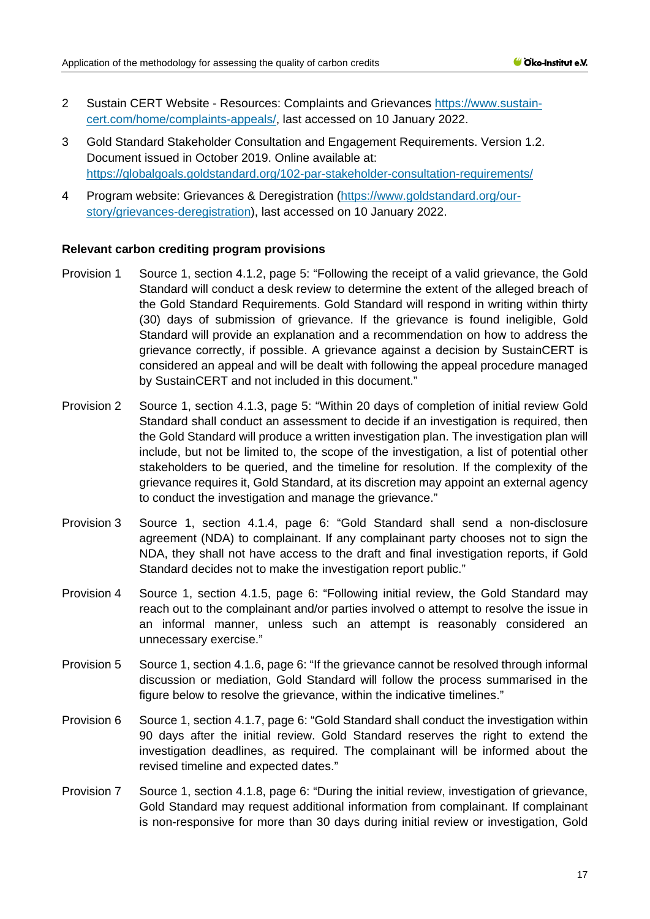- 2 Sustain CERT Website Resources: Complaints and Grievances [https://www.sustain](https://www.sustain-cert.com/home/complaints-appeals/)[cert.com/home/complaints-appeals/,](https://www.sustain-cert.com/home/complaints-appeals/) last accessed on 10 January 2022.
- 3 Gold Standard Stakeholder Consultation and Engagement Requirements. Version 1.2. Document issued in October 2019. Online available at: <https://globalgoals.goldstandard.org/102-par-stakeholder-consultation-requirements/>
- 4 Program website: Grievances & Deregistration [\(https://www.goldstandard.org/our](https://www.goldstandard.org/our-story/grievances-deregistration)[story/grievances-deregistration\)](https://www.goldstandard.org/our-story/grievances-deregistration), last accessed on 10 January 2022.

#### **Relevant carbon crediting program provisions**

- Provision 1 Source 1, section 4.1.2, page 5: "Following the receipt of a valid grievance, the Gold Standard will conduct a desk review to determine the extent of the alleged breach of the Gold Standard Requirements. Gold Standard will respond in writing within thirty (30) days of submission of grievance. If the grievance is found ineligible, Gold Standard will provide an explanation and a recommendation on how to address the grievance correctly, if possible. A grievance against a decision by SustainCERT is considered an appeal and will be dealt with following the appeal procedure managed by SustainCERT and not included in this document."
- Provision 2 Source 1, section 4.1.3, page 5: "Within 20 days of completion of initial review Gold Standard shall conduct an assessment to decide if an investigation is required, then the Gold Standard will produce a written investigation plan. The investigation plan will include, but not be limited to, the scope of the investigation, a list of potential other stakeholders to be queried, and the timeline for resolution. If the complexity of the grievance requires it, Gold Standard, at its discretion may appoint an external agency to conduct the investigation and manage the grievance."
- Provision 3 Source 1, section 4.1.4, page 6: "Gold Standard shall send a non-disclosure agreement (NDA) to complainant. If any complainant party chooses not to sign the NDA, they shall not have access to the draft and final investigation reports, if Gold Standard decides not to make the investigation report public."
- Provision 4 Source 1, section 4.1.5, page 6: "Following initial review, the Gold Standard may reach out to the complainant and/or parties involved o attempt to resolve the issue in an informal manner, unless such an attempt is reasonably considered an unnecessary exercise."
- Provision 5 Source 1, section 4.1.6, page 6: "If the grievance cannot be resolved through informal discussion or mediation, Gold Standard will follow the process summarised in the figure below to resolve the grievance, within the indicative timelines."
- Provision 6 Source 1, section 4.1.7, page 6: "Gold Standard shall conduct the investigation within 90 days after the initial review. Gold Standard reserves the right to extend the investigation deadlines, as required. The complainant will be informed about the revised timeline and expected dates."
- Provision 7 Source 1, section 4.1.8, page 6: "During the initial review, investigation of grievance, Gold Standard may request additional information from complainant. If complainant is non-responsive for more than 30 days during initial review or investigation, Gold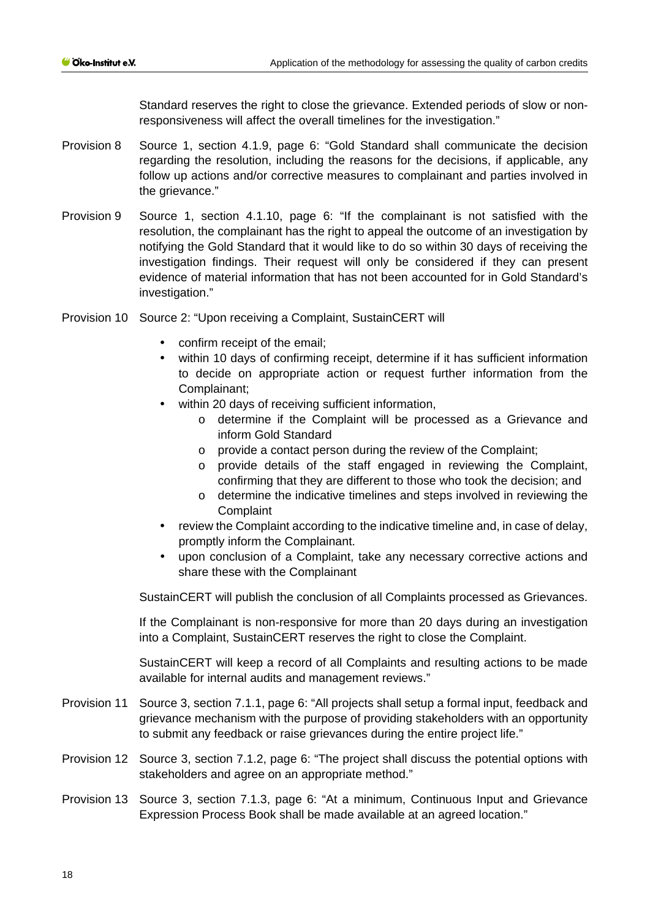Standard reserves the right to close the grievance. Extended periods of slow or nonresponsiveness will affect the overall timelines for the investigation."

- Provision 8 Source 1, section 4.1.9, page 6: "Gold Standard shall communicate the decision regarding the resolution, including the reasons for the decisions, if applicable, any follow up actions and/or corrective measures to complainant and parties involved in the grievance."
- Provision 9 Source 1, section 4.1.10, page 6: "If the complainant is not satisfied with the resolution, the complainant has the right to appeal the outcome of an investigation by notifying the Gold Standard that it would like to do so within 30 days of receiving the investigation findings. Their request will only be considered if they can present evidence of material information that has not been accounted for in Gold Standard's investigation."
- Provision 10 Source 2: "Upon receiving a Complaint, SustainCERT will
	- confirm receipt of the email;
	- within 10 days of confirming receipt, determine if it has sufficient information to decide on appropriate action or request further information from the Complainant;
	- within 20 days of receiving sufficient information,
		- o determine if the Complaint will be processed as a Grievance and inform Gold Standard
		- o provide a contact person during the review of the Complaint;
		- o provide details of the staff engaged in reviewing the Complaint, confirming that they are different to those who took the decision; and
		- o determine the indicative timelines and steps involved in reviewing the **Complaint**
	- review the Complaint according to the indicative timeline and, in case of delay, promptly inform the Complainant.
	- upon conclusion of a Complaint, take any necessary corrective actions and share these with the Complainant

SustainCERT will publish the conclusion of all Complaints processed as Grievances.

If the Complainant is non-responsive for more than 20 days during an investigation into a Complaint, SustainCERT reserves the right to close the Complaint.

SustainCERT will keep a record of all Complaints and resulting actions to be made available for internal audits and management reviews."

- Provision 11 Source 3, section 7.1.1, page 6: "All projects shall setup a formal input, feedback and grievance mechanism with the purpose of providing stakeholders with an opportunity to submit any feedback or raise grievances during the entire project life."
- Provision 12 Source 3, section 7.1.2, page 6: "The project shall discuss the potential options with stakeholders and agree on an appropriate method."
- Provision 13 Source 3, section 7.1.3, page 6: "At a minimum, Continuous Input and Grievance Expression Process Book shall be made available at an agreed location."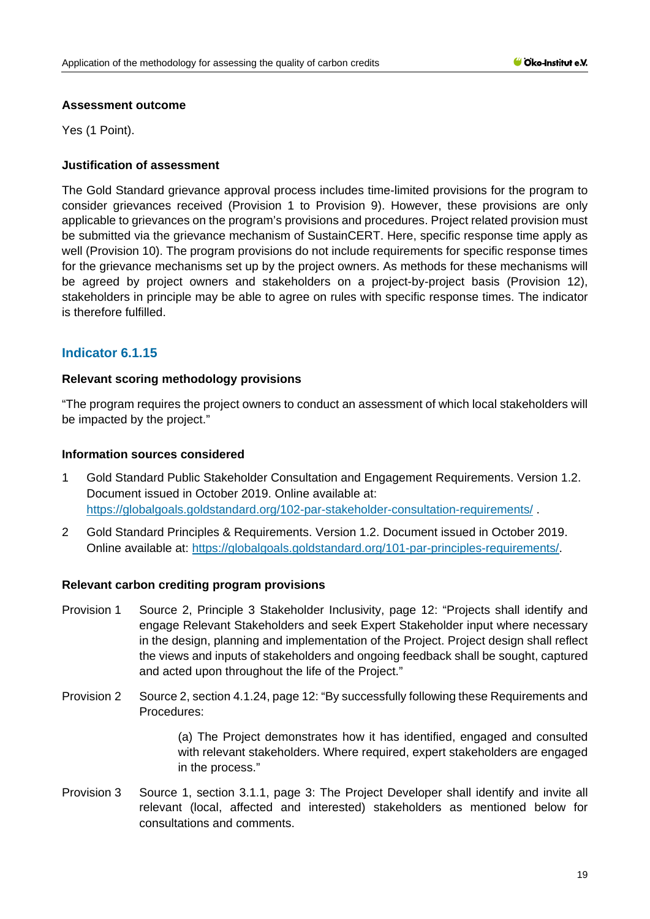### **Assessment outcome**

Yes (1 Point).

# **Justification of assessment**

The Gold Standard grievance approval process includes time-limited provisions for the program to consider grievances received (Provision 1 to Provision 9). However, these provisions are only applicable to grievances on the program's provisions and procedures. Project related provision must be submitted via the grievance mechanism of SustainCERT. Here, specific response time apply as well (Provision 10). The program provisions do not include requirements for specific response times for the grievance mechanisms set up by the project owners. As methods for these mechanisms will be agreed by project owners and stakeholders on a project-by-project basis (Provision 12), stakeholders in principle may be able to agree on rules with specific response times. The indicator is therefore fulfilled.

# **Indicator 6.1.15**

### **Relevant scoring methodology provisions**

"The program requires the project owners to conduct an assessment of which local stakeholders will be impacted by the project."

### **Information sources considered**

- 1 Gold Standard Public Stakeholder Consultation and Engagement Requirements. Version 1.2. Document issued in October 2019. Online available at: <https://globalgoals.goldstandard.org/102-par-stakeholder-consultation-requirements/> .
- 2 Gold Standard Principles & Requirements. Version 1.2. Document issued in October 2019. Online available at: [https://globalgoals.goldstandard.org/101-par-principles-requirements/.](https://globalgoals.goldstandard.org/101-par-principles-requirements/)

#### **Relevant carbon crediting program provisions**

- Provision 1 Source 2, Principle 3 Stakeholder Inclusivity, page 12: "Projects shall identify and engage Relevant Stakeholders and seek Expert Stakeholder input where necessary in the design, planning and implementation of the Project. Project design shall reflect the views and inputs of stakeholders and ongoing feedback shall be sought, captured and acted upon throughout the life of the Project."
- Provision 2 Source 2, section 4.1.24, page 12: "By successfully following these Requirements and Procedures:

(a) The Project demonstrates how it has identified, engaged and consulted with relevant stakeholders. Where required, expert stakeholders are engaged in the process."

Provision 3 Source 1, section 3.1.1, page 3: The Project Developer shall identify and invite all relevant (local, affected and interested) stakeholders as mentioned below for consultations and comments.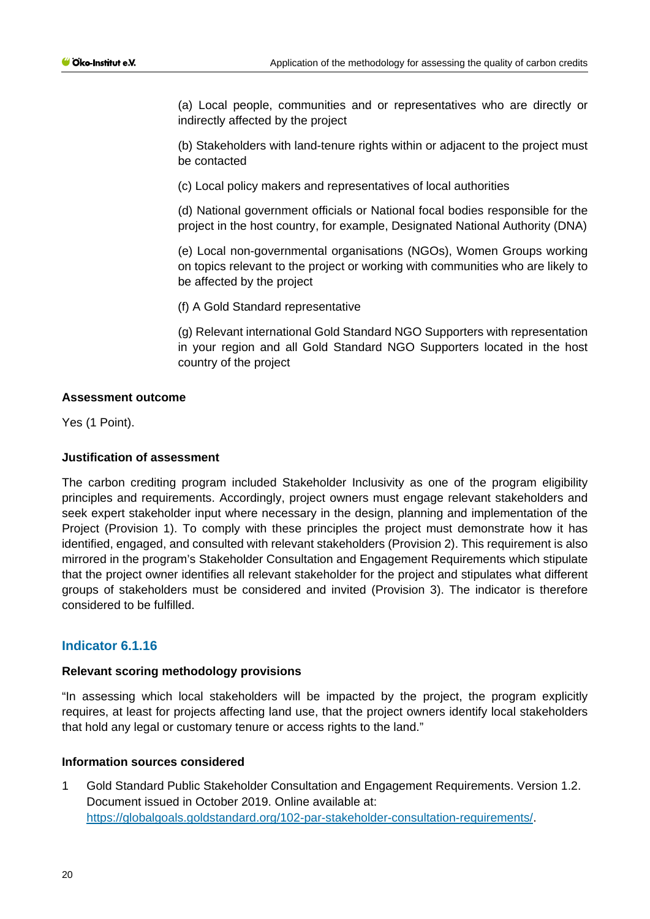(a) Local people, communities and or representatives who are directly or indirectly affected by the project

(b) Stakeholders with land-tenure rights within or adjacent to the project must be contacted

(c) Local policy makers and representatives of local authorities

(d) National government officials or National focal bodies responsible for the project in the host country, for example, Designated National Authority (DNA)

(e) Local non-governmental organisations (NGOs), Women Groups working on topics relevant to the project or working with communities who are likely to be affected by the project

(f) A Gold Standard representative

(g) Relevant international Gold Standard NGO Supporters with representation in your region and all Gold Standard NGO Supporters located in the host country of the project

# **Assessment outcome**

Yes (1 Point).

### **Justification of assessment**

The carbon crediting program included Stakeholder Inclusivity as one of the program eligibility principles and requirements. Accordingly, project owners must engage relevant stakeholders and seek expert stakeholder input where necessary in the design, planning and implementation of the Project (Provision 1). To comply with these principles the project must demonstrate how it has identified, engaged, and consulted with relevant stakeholders (Provision 2). This requirement is also mirrored in the program's Stakeholder Consultation and Engagement Requirements which stipulate that the project owner identifies all relevant stakeholder for the project and stipulates what different groups of stakeholders must be considered and invited (Provision 3). The indicator is therefore considered to be fulfilled.

# **Indicator 6.1.16**

#### **Relevant scoring methodology provisions**

"In assessing which local stakeholders will be impacted by the project, the program explicitly requires, at least for projects affecting land use, that the project owners identify local stakeholders that hold any legal or customary tenure or access rights to the land."

#### **Information sources considered**

1 Gold Standard Public Stakeholder Consultation and Engagement Requirements. Version 1.2. Document issued in October 2019. Online available at[:](https://globalgoals.goldstandard.org/102-par-stakeholder-consultation-requirements/) [https://globalgoals.goldstandard.org/102-par-stakeholder-consultation-requirements/.](https://globalgoals.goldstandard.org/102-par-stakeholder-consultation-requirements/)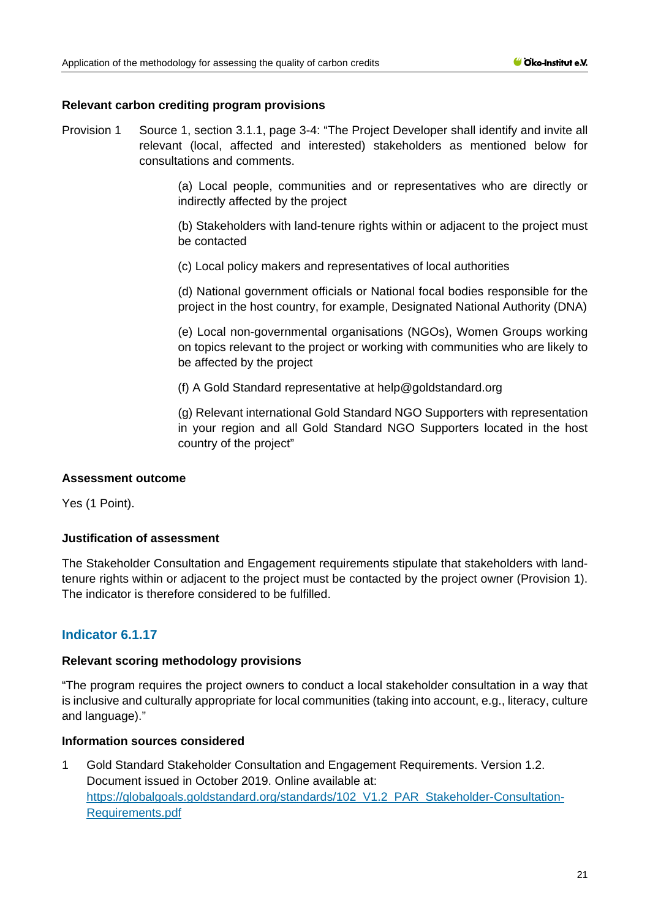### **Relevant carbon crediting program provisions**

Provision 1 Source 1, section 3.1.1, page 3-4: "The Project Developer shall identify and invite all relevant (local, affected and interested) stakeholders as mentioned below for consultations and comments.

> (a) Local people, communities and or representatives who are directly or indirectly affected by the project

> (b) Stakeholders with land-tenure rights within or adjacent to the project must be contacted

(c) Local policy makers and representatives of local authorities

(d) National government officials or National focal bodies responsible for the project in the host country, for example, Designated National Authority (DNA)

(e) Local non-governmental organisations (NGOs), Women Groups working on topics relevant to the project or working with communities who are likely to be affected by the project

(f) A Gold Standard representative at help@goldstandard.org

(g) Relevant international Gold Standard NGO Supporters with representation in your region and all Gold Standard NGO Supporters located in the host country of the project"

#### **Assessment outcome**

Yes (1 Point).

# **Justification of assessment**

The Stakeholder Consultation and Engagement requirements stipulate that stakeholders with landtenure rights within or adjacent to the project must be contacted by the project owner (Provision 1). The indicator is therefore considered to be fulfilled.

# **Indicator 6.1.17**

#### **Relevant scoring methodology provisions**

"The program requires the project owners to conduct a local stakeholder consultation in a way that is inclusive and culturally appropriate for local communities (taking into account, e.g., literacy, culture and language)."

### **Information sources considered**

1 Gold Standard Stakeholder Consultation and Engagement Requirements. Version 1.2. Document issued in October 2019. Online available at: [https://globalgoals.goldstandard.org/standards/102\\_V1.2\\_PAR\\_Stakeholder-Consultation-](https://globalgoals.goldstandard.org/standards/102_V1.2_PAR_Stakeholder-Consultation-Requirements.pdf)[Requirements.pdf](https://globalgoals.goldstandard.org/standards/102_V1.2_PAR_Stakeholder-Consultation-Requirements.pdf)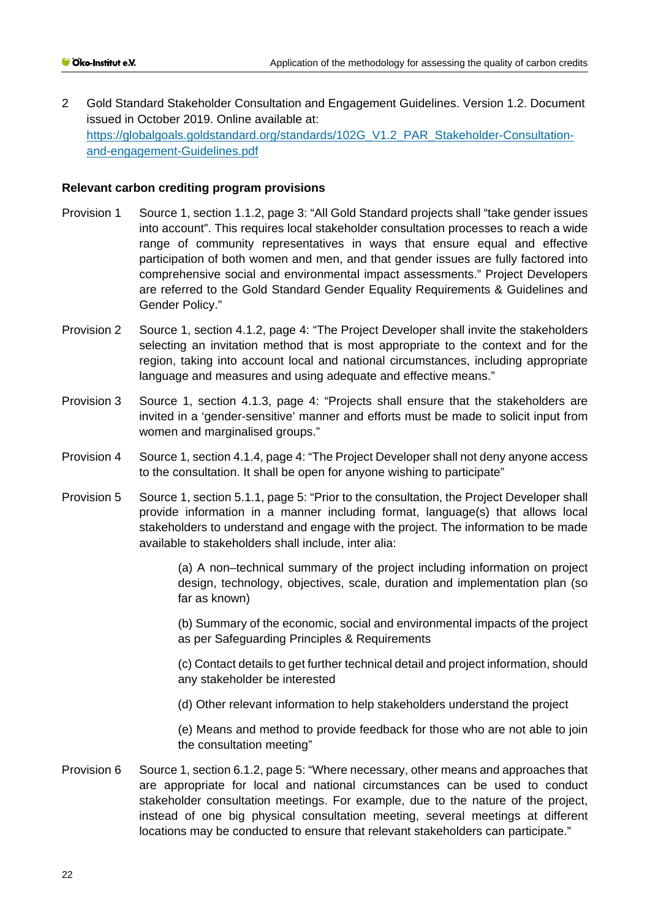2 Gold Standard Stakeholder Consultation and Engagement Guidelines. Version 1.2. Document issued in October 2019. Online available at: [https://globalgoals.goldstandard.org/standards/102G\\_V1.2\\_PAR\\_Stakeholder-Consultation](https://globalgoals.goldstandard.org/standards/102G_V1.2_PAR_Stakeholder-Consultation-and-engagement-Guidelines.pdf)[and-engagement-Guidelines.pdf](https://globalgoals.goldstandard.org/standards/102G_V1.2_PAR_Stakeholder-Consultation-and-engagement-Guidelines.pdf)

### **Relevant carbon crediting program provisions**

- Provision 1 Source 1, section 1.1.2, page 3: "All Gold Standard projects shall "take gender issues into account". This requires local stakeholder consultation processes to reach a wide range of community representatives in ways that ensure equal and effective participation of both women and men, and that gender issues are fully factored into comprehensive social and environmental impact assessments." Project Developers are referred to the Gold Standard Gender Equality Requirements & Guidelines and Gender Policy."
- Provision 2 Source 1, section 4.1.2, page 4: "The Project Developer shall invite the stakeholders selecting an invitation method that is most appropriate to the context and for the region, taking into account local and national circumstances, including appropriate language and measures and using adequate and effective means."
- Provision 3 Source 1, section 4.1.3, page 4: "Projects shall ensure that the stakeholders are invited in a 'gender-sensitive' manner and efforts must be made to solicit input from women and marginalised groups."
- Provision 4 Source 1, section 4.1.4, page 4: "The Project Developer shall not deny anyone access to the consultation. It shall be open for anyone wishing to participate"
- Provision 5 Source 1, section 5.1.1, page 5: "Prior to the consultation, the Project Developer shall provide information in a manner including format, language(s) that allows local stakeholders to understand and engage with the project. The information to be made available to stakeholders shall include, inter alia:

(a) A non–technical summary of the project including information on project design, technology, objectives, scale, duration and implementation plan (so far as known)

(b) Summary of the economic, social and environmental impacts of the project as per Safeguarding Principles & Requirements

(c) Contact details to get further technical detail and project information, should any stakeholder be interested

(d) Other relevant information to help stakeholders understand the project

(e) Means and method to provide feedback for those who are not able to join the consultation meeting"

Provision 6 Source 1, section 6.1.2, page 5: "Where necessary, other means and approaches that are appropriate for local and national circumstances can be used to conduct stakeholder consultation meetings. For example, due to the nature of the project, instead of one big physical consultation meeting, several meetings at different locations may be conducted to ensure that relevant stakeholders can participate."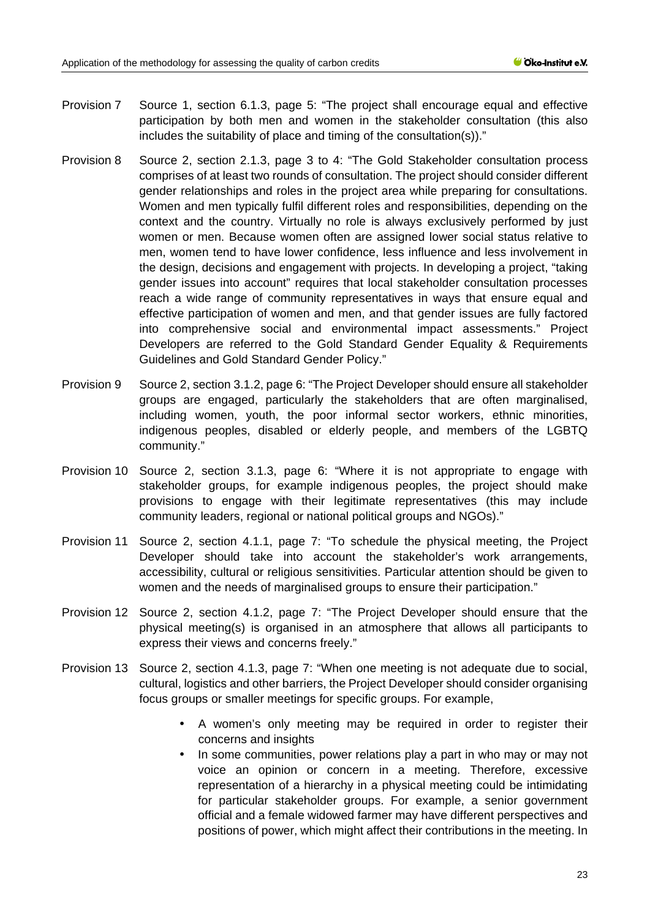- Provision 7 Source 1, section 6.1.3, page 5: "The project shall encourage equal and effective participation by both men and women in the stakeholder consultation (this also includes the suitability of place and timing of the consultation(s))."
- Provision 8 Source 2, section 2.1.3, page 3 to 4: "The Gold Stakeholder consultation process comprises of at least two rounds of consultation. The project should consider different gender relationships and roles in the project area while preparing for consultations. Women and men typically fulfil different roles and responsibilities, depending on the context and the country. Virtually no role is always exclusively performed by just women or men. Because women often are assigned lower social status relative to men, women tend to have lower confidence, less influence and less involvement in the design, decisions and engagement with projects. In developing a project, "taking gender issues into account" requires that local stakeholder consultation processes reach a wide range of community representatives in ways that ensure equal and effective participation of women and men, and that gender issues are fully factored into comprehensive social and environmental impact assessments." Project Developers are referred to the Gold Standard Gender Equality & Requirements Guidelines and Gold Standard Gender Policy."
- Provision 9 Source 2, section 3.1.2, page 6: "The Project Developer should ensure all stakeholder groups are engaged, particularly the stakeholders that are often marginalised, including women, youth, the poor informal sector workers, ethnic minorities, indigenous peoples, disabled or elderly people, and members of the LGBTQ community."
- Provision 10 Source 2, section 3.1.3, page 6: "Where it is not appropriate to engage with stakeholder groups, for example indigenous peoples, the project should make provisions to engage with their legitimate representatives (this may include community leaders, regional or national political groups and NGOs)."
- Provision 11 Source 2, section 4.1.1, page 7: "To schedule the physical meeting, the Project Developer should take into account the stakeholder's work arrangements, accessibility, cultural or religious sensitivities. Particular attention should be given to women and the needs of marginalised groups to ensure their participation."
- Provision 12 Source 2, section 4.1.2, page 7: "The Project Developer should ensure that the physical meeting(s) is organised in an atmosphere that allows all participants to express their views and concerns freely."
- Provision 13 Source 2, section 4.1.3, page 7: "When one meeting is not adequate due to social, cultural, logistics and other barriers, the Project Developer should consider organising focus groups or smaller meetings for specific groups. For example,
	- A women's only meeting may be required in order to register their concerns and insights
	- In some communities, power relations play a part in who may or may not voice an opinion or concern in a meeting. Therefore, excessive representation of a hierarchy in a physical meeting could be intimidating for particular stakeholder groups. For example, a senior government official and a female widowed farmer may have different perspectives and positions of power, which might affect their contributions in the meeting. In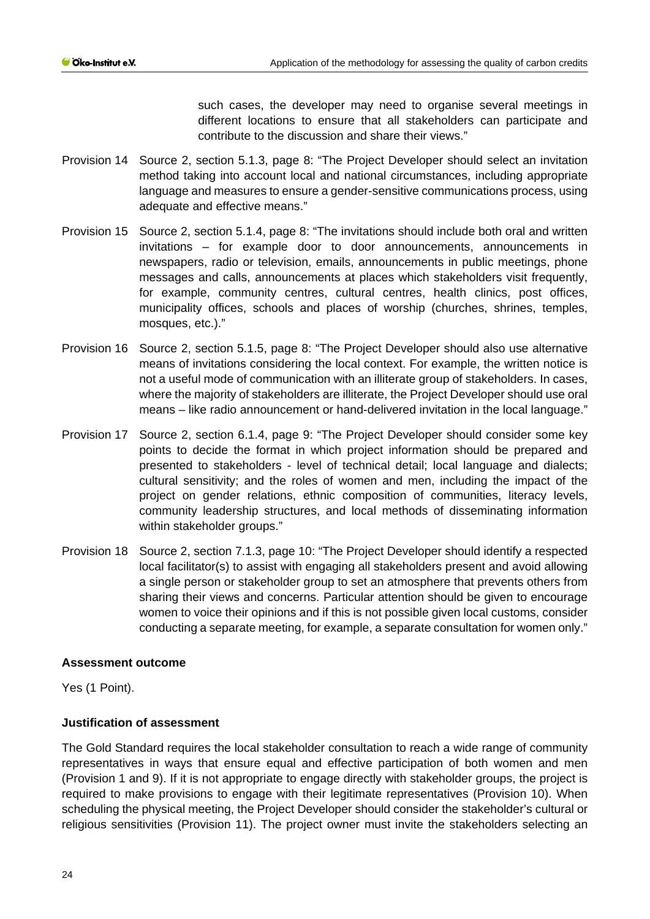such cases, the developer may need to organise several meetings in different locations to ensure that all stakeholders can participate and contribute to the discussion and share their views."

- Provision 14 Source 2, section 5.1.3, page 8: "The Project Developer should select an invitation method taking into account local and national circumstances, including appropriate language and measures to ensure a gender-sensitive communications process, using adequate and effective means."
- Provision 15 Source 2, section 5.1.4, page 8: "The invitations should include both oral and written invitations – for example door to door announcements, announcements in newspapers, radio or television, emails, announcements in public meetings, phone messages and calls, announcements at places which stakeholders visit frequently, for example, community centres, cultural centres, health clinics, post offices, municipality offices, schools and places of worship (churches, shrines, temples, mosques, etc.)."
- Provision 16 Source 2, section 5.1.5, page 8: "The Project Developer should also use alternative means of invitations considering the local context. For example, the written notice is not a useful mode of communication with an illiterate group of stakeholders. In cases, where the majority of stakeholders are illiterate, the Project Developer should use oral means – like radio announcement or hand-delivered invitation in the local language."
- Provision 17 Source 2, section 6.1.4, page 9: "The Project Developer should consider some key points to decide the format in which project information should be prepared and presented to stakeholders - level of technical detail; local language and dialects; cultural sensitivity; and the roles of women and men, including the impact of the project on gender relations, ethnic composition of communities, literacy levels, community leadership structures, and local methods of disseminating information within stakeholder groups."
- Provision 18 Source 2, section 7.1.3, page 10: "The Project Developer should identify a respected local facilitator(s) to assist with engaging all stakeholders present and avoid allowing a single person or stakeholder group to set an atmosphere that prevents others from sharing their views and concerns. Particular attention should be given to encourage women to voice their opinions and if this is not possible given local customs, consider conducting a separate meeting, for example, a separate consultation for women only."

# **Assessment outcome**

Yes (1 Point).

# **Justification of assessment**

The Gold Standard requires the local stakeholder consultation to reach a wide range of community representatives in ways that ensure equal and effective participation of both women and men (Provision 1 and 9). If it is not appropriate to engage directly with stakeholder groups, the project is required to make provisions to engage with their legitimate representatives (Provision 10). When scheduling the physical meeting, the Project Developer should consider the stakeholder's cultural or religious sensitivities (Provision 11). The project owner must invite the stakeholders selecting an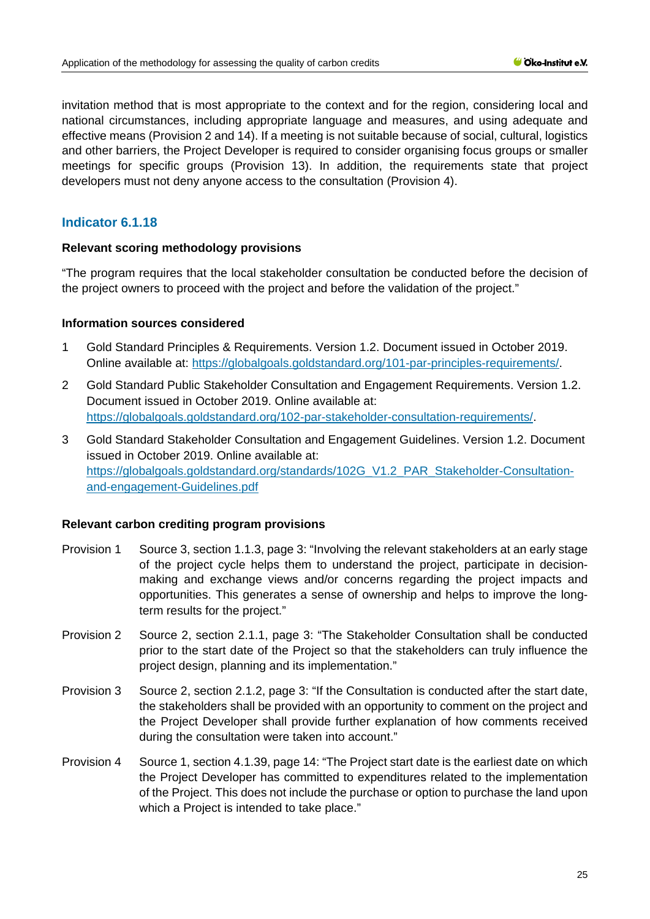invitation method that is most appropriate to the context and for the region, considering local and national circumstances, including appropriate language and measures, and using adequate and effective means (Provision 2 and 14). If a meeting is not suitable because of social, cultural, logistics and other barriers, the Project Developer is required to consider organising focus groups or smaller meetings for specific groups (Provision 13). In addition, the requirements state that project developers must not deny anyone access to the consultation (Provision 4).

# **Indicator 6.1.18**

### **Relevant scoring methodology provisions**

"The program requires that the local stakeholder consultation be conducted before the decision of the project owners to proceed with the project and before the validation of the project."

### **Information sources considered**

- 1 Gold Standard Principles & Requirements. Version 1.2. Document issued in October 2019. Online available at: [https://globalgoals.goldstandard.org/101-par-principles-requirements/.](https://globalgoals.goldstandard.org/101-par-principles-requirements/)
- 2 Gold Standard Public Stakeholder Consultation and Engagement Requirements. Version 1.2. Document issued in October 2019. Online available at: [https://globalgoals.goldstandard.org/102-par-stakeholder-consultation-requirements/.](https://globalgoals.goldstandard.org/000-7-gov-stakeholder-consultation-policy/)
- 3 Gold Standard Stakeholder Consultation and Engagement Guidelines. Version 1.2. Document issued in October 2019. Online available at: [https://globalgoals.goldstandard.org/standards/102G\\_V1.2\\_PAR\\_Stakeholder-Consultation](https://globalgoals.goldstandard.org/standards/102G_V1.2_PAR_Stakeholder-Consultation-and-engagement-Guidelines.pdf)[and-engagement-Guidelines.pdf](https://globalgoals.goldstandard.org/standards/102G_V1.2_PAR_Stakeholder-Consultation-and-engagement-Guidelines.pdf)

#### **Relevant carbon crediting program provisions**

- Provision 1 Source 3, section 1.1.3, page 3: "Involving the relevant stakeholders at an early stage of the project cycle helps them to understand the project, participate in decisionmaking and exchange views and/or concerns regarding the project impacts and opportunities. This generates a sense of ownership and helps to improve the longterm results for the project."
- Provision 2 Source 2, section 2.1.1, page 3: "The Stakeholder Consultation shall be conducted prior to the start date of the Project so that the stakeholders can truly influence the project design, planning and its implementation."
- Provision 3 Source 2, section 2.1.2, page 3: "If the Consultation is conducted after the start date, the stakeholders shall be provided with an opportunity to comment on the project and the Project Developer shall provide further explanation of how comments received during the consultation were taken into account."
- Provision 4 Source 1, section 4.1.39, page 14: "The Project start date is the earliest date on which the Project Developer has committed to expenditures related to the implementation of the Project. This does not include the purchase or option to purchase the land upon which a Project is intended to take place."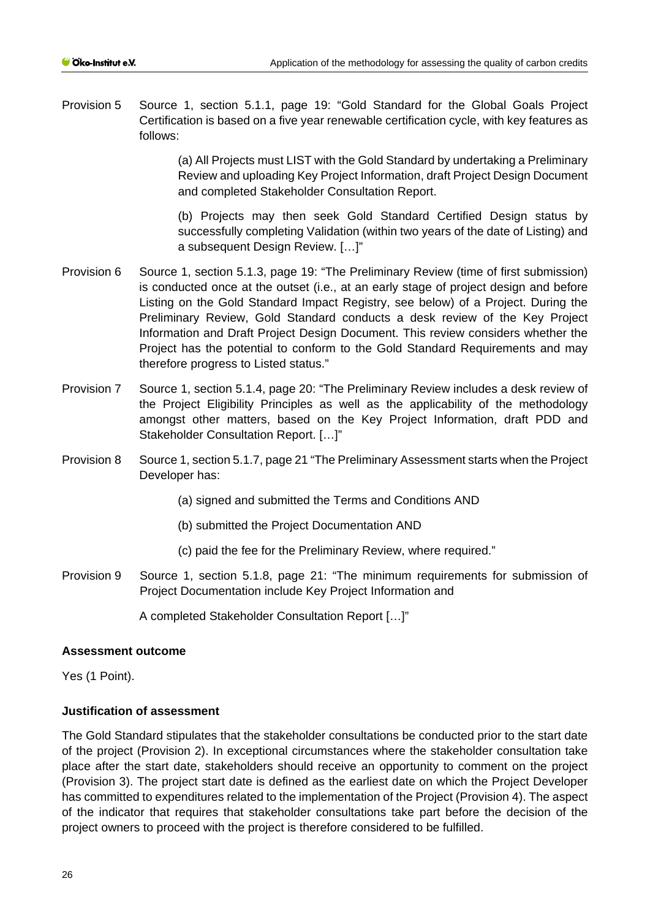Provision 5 Source 1, section 5.1.1, page 19: "Gold Standard for the Global Goals Project Certification is based on a five year renewable certification cycle, with key features as follows:

> (a) All Projects must LIST with the Gold Standard by undertaking a Preliminary Review and uploading Key Project Information, draft Project Design Document and completed Stakeholder Consultation Report.

> (b) Projects may then seek Gold Standard Certified Design status by successfully completing Validation (within two years of the date of Listing) and a subsequent Design Review. […]"

- Provision 6 Source 1, section 5.1.3, page 19: "The Preliminary Review (time of first submission) is conducted once at the outset (i.e., at an early stage of project design and before Listing on the Gold Standard Impact Registry, see below) of a Project. During the Preliminary Review, Gold Standard conducts a desk review of the Key Project Information and Draft Project Design Document. This review considers whether the Project has the potential to conform to the Gold Standard Requirements and may therefore progress to Listed status."
- Provision 7 Source 1, section 5.1.4, page 20: "The Preliminary Review includes a desk review of the Project Eligibility Principles as well as the applicability of the methodology amongst other matters, based on the Key Project Information, draft PDD and Stakeholder Consultation Report. […]"
- Provision 8 Source 1, section 5.1.7, page 21 "The Preliminary Assessment starts when the Project Developer has:
	- (a) signed and submitted the Terms and Conditions AND
	- (b) submitted the Project Documentation AND
	- (c) paid the fee for the Preliminary Review, where required."
- Provision 9 Source 1, section 5.1.8, page 21: "The minimum requirements for submission of Project Documentation include Key Project Information and

A completed Stakeholder Consultation Report […]"

#### **Assessment outcome**

Yes (1 Point).

# **Justification of assessment**

The Gold Standard stipulates that the stakeholder consultations be conducted prior to the start date of the project (Provision 2). In exceptional circumstances where the stakeholder consultation take place after the start date, stakeholders should receive an opportunity to comment on the project (Provision 3). The project start date is defined as the earliest date on which the Project Developer has committed to expenditures related to the implementation of the Project (Provision 4). The aspect of the indicator that requires that stakeholder consultations take part before the decision of the project owners to proceed with the project is therefore considered to be fulfilled.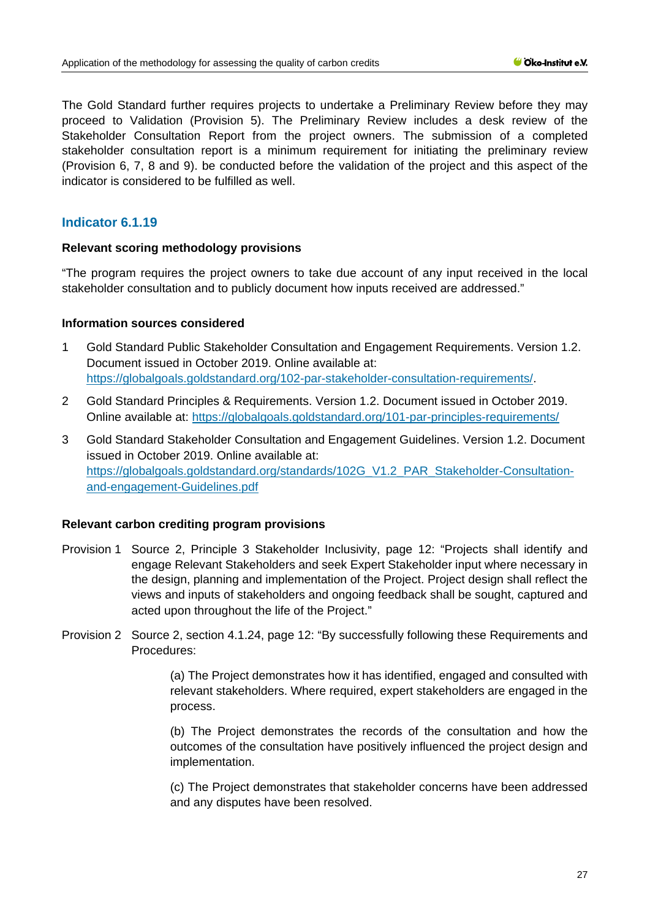The Gold Standard further requires projects to undertake a Preliminary Review before they may proceed to Validation (Provision 5). The Preliminary Review includes a desk review of the Stakeholder Consultation Report from the project owners. The submission of a completed stakeholder consultation report is a minimum requirement for initiating the preliminary review (Provision 6, 7, 8 and 9). be conducted before the validation of the project and this aspect of the indicator is considered to be fulfilled as well.

# **Indicator 6.1.19**

### **Relevant scoring methodology provisions**

"The program requires the project owners to take due account of any input received in the local stakeholder consultation and to publicly document how inputs received are addressed."

### **Information sources considered**

- 1 Gold Standard Public Stakeholder Consultation and Engagement Requirements. Version 1.2. Document issued in October 2019. Online available at: [https://globalgoals.goldstandard.org/102-par-stakeholder-consultation-requirements/.](https://globalgoals.goldstandard.org/000-7-gov-stakeholder-consultation-policy/)
- 2 Gold Standard Principles & Requirements. Version 1.2. Document issued in October 2019. Online available at:<https://globalgoals.goldstandard.org/101-par-principles-requirements/>
- 3 Gold Standard Stakeholder Consultation and Engagement Guidelines. Version 1.2. Document issued in October 2019. Online available at: [https://globalgoals.goldstandard.org/standards/102G\\_V1.2\\_PAR\\_Stakeholder-Consultation](https://globalgoals.goldstandard.org/standards/102G_V1.2_PAR_Stakeholder-Consultation-and-engagement-Guidelines.pdf)[and-engagement-Guidelines.pdf](https://globalgoals.goldstandard.org/standards/102G_V1.2_PAR_Stakeholder-Consultation-and-engagement-Guidelines.pdf)

#### **Relevant carbon crediting program provisions**

- Provision 1 Source 2, Principle 3 Stakeholder Inclusivity, page 12: "Projects shall identify and engage Relevant Stakeholders and seek Expert Stakeholder input where necessary in the design, planning and implementation of the Project. Project design shall reflect the views and inputs of stakeholders and ongoing feedback shall be sought, captured and acted upon throughout the life of the Project."
- Provision 2 Source 2, section 4.1.24, page 12: "By successfully following these Requirements and Procedures:

(a) The Project demonstrates how it has identified, engaged and consulted with relevant stakeholders. Where required, expert stakeholders are engaged in the process.

(b) The Project demonstrates the records of the consultation and how the outcomes of the consultation have positively influenced the project design and implementation.

(c) The Project demonstrates that stakeholder concerns have been addressed and any disputes have been resolved.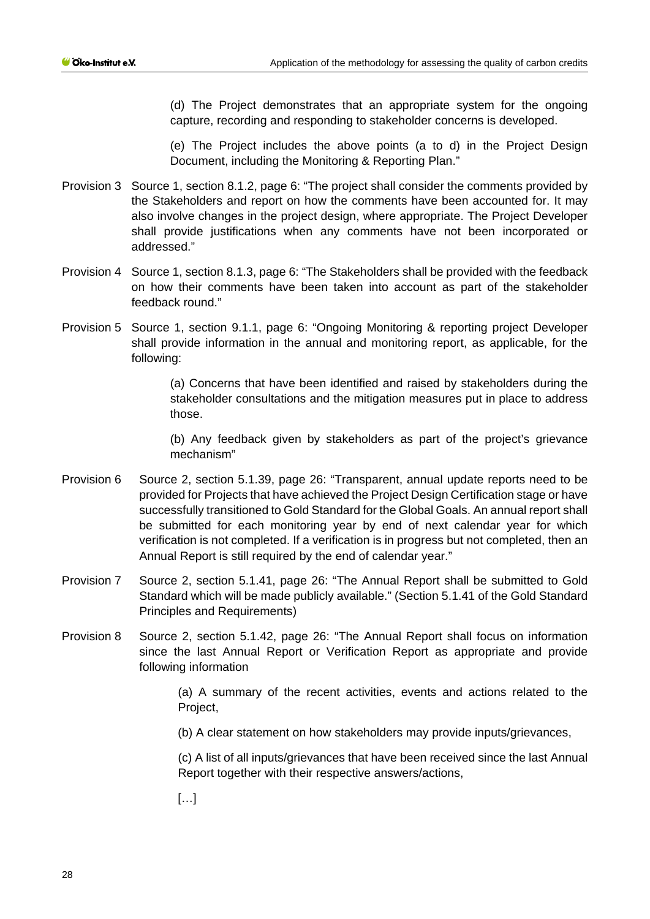(d) The Project demonstrates that an appropriate system for the ongoing capture, recording and responding to stakeholder concerns is developed.

(e) The Project includes the above points (a to d) in the Project Design Document, including the Monitoring & Reporting Plan."

- Provision 3 Source 1, section 8.1.2, page 6: "The project shall consider the comments provided by the Stakeholders and report on how the comments have been accounted for. It may also involve changes in the project design, where appropriate. The Project Developer shall provide justifications when any comments have not been incorporated or addressed."
- Provision 4 Source 1, section 8.1.3, page 6: "The Stakeholders shall be provided with the feedback on how their comments have been taken into account as part of the stakeholder feedback round."
- Provision 5 Source 1, section 9.1.1, page 6: "Ongoing Monitoring & reporting project Developer shall provide information in the annual and monitoring report, as applicable, for the following:

(a) Concerns that have been identified and raised by stakeholders during the stakeholder consultations and the mitigation measures put in place to address those.

(b) Any feedback given by stakeholders as part of the project's grievance mechanism"

- Provision 6 Source 2, section 5.1.39, page 26: "Transparent, annual update reports need to be provided for Projects that have achieved the Project Design Certification stage or have successfully transitioned to Gold Standard for the Global Goals. An annual report shall be submitted for each monitoring year by end of next calendar year for which verification is not completed. If a verification is in progress but not completed, then an Annual Report is still required by the end of calendar year."
- Provision 7 Source 2, section 5.1.41, page 26: "The Annual Report shall be submitted to Gold Standard which will be made publicly available." (Section 5.1.41 of the Gold Standard Principles and Requirements)
- Provision 8 Source 2, section 5.1.42, page 26: "The Annual Report shall focus on information since the last Annual Report or Verification Report as appropriate and provide following information

(a) A summary of the recent activities, events and actions related to the Project,

(b) A clear statement on how stakeholders may provide inputs/grievances,

(c) A list of all inputs/grievances that have been received since the last Annual Report together with their respective answers/actions,

[…]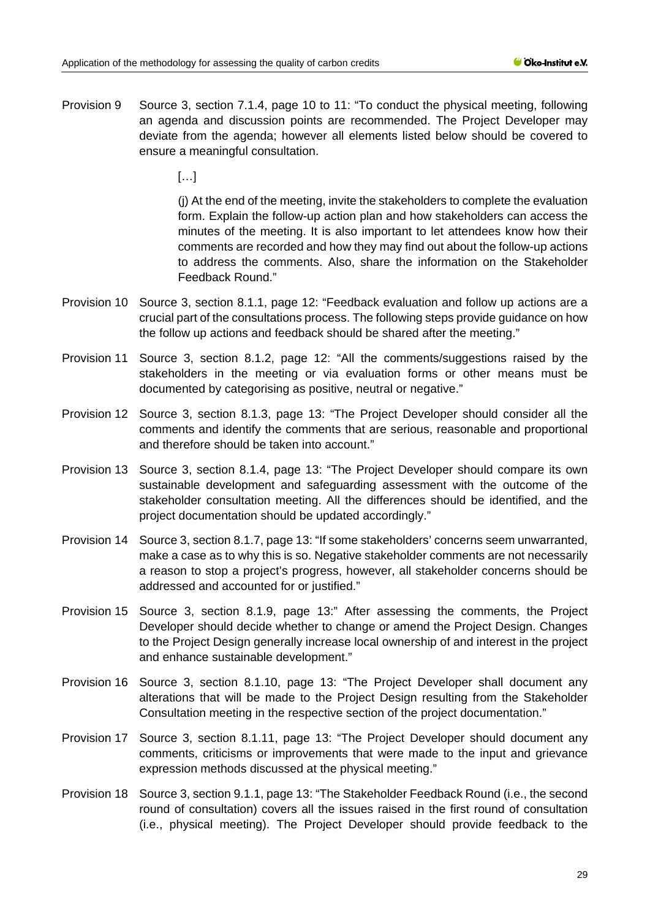Provision 9 Source 3, section 7.1.4, page 10 to 11: "To conduct the physical meeting, following an agenda and discussion points are recommended. The Project Developer may deviate from the agenda; however all elements listed below should be covered to ensure a meaningful consultation.

[…]

(j) At the end of the meeting, invite the stakeholders to complete the evaluation form. Explain the follow-up action plan and how stakeholders can access the minutes of the meeting. It is also important to let attendees know how their comments are recorded and how they may find out about the follow-up actions to address the comments. Also, share the information on the Stakeholder Feedback Round."

- Provision 10 Source 3, section 8.1.1, page 12: "Feedback evaluation and follow up actions are a crucial part of the consultations process. The following steps provide guidance on how the follow up actions and feedback should be shared after the meeting."
- Provision 11 Source 3, section 8.1.2, page 12: "All the comments/suggestions raised by the stakeholders in the meeting or via evaluation forms or other means must be documented by categorising as positive, neutral or negative."
- Provision 12 Source 3, section 8.1.3, page 13: "The Project Developer should consider all the comments and identify the comments that are serious, reasonable and proportional and therefore should be taken into account."
- Provision 13 Source 3, section 8.1.4, page 13: "The Project Developer should compare its own sustainable development and safeguarding assessment with the outcome of the stakeholder consultation meeting. All the differences should be identified, and the project documentation should be updated accordingly."
- Provision 14 Source 3, section 8.1.7, page 13: "If some stakeholders' concerns seem unwarranted, make a case as to why this is so. Negative stakeholder comments are not necessarily a reason to stop a project's progress, however, all stakeholder concerns should be addressed and accounted for or justified."
- Provision 15 Source 3, section 8.1.9, page 13:" After assessing the comments, the Project Developer should decide whether to change or amend the Project Design. Changes to the Project Design generally increase local ownership of and interest in the project and enhance sustainable development."
- Provision 16 Source 3, section 8.1.10, page 13: "The Project Developer shall document any alterations that will be made to the Project Design resulting from the Stakeholder Consultation meeting in the respective section of the project documentation."
- Provision 17 Source 3, section 8.1.11, page 13: "The Project Developer should document any comments, criticisms or improvements that were made to the input and grievance expression methods discussed at the physical meeting."
- Provision 18 Source 3, section 9.1.1, page 13: "The Stakeholder Feedback Round (i.e., the second round of consultation) covers all the issues raised in the first round of consultation (i.e., physical meeting). The Project Developer should provide feedback to the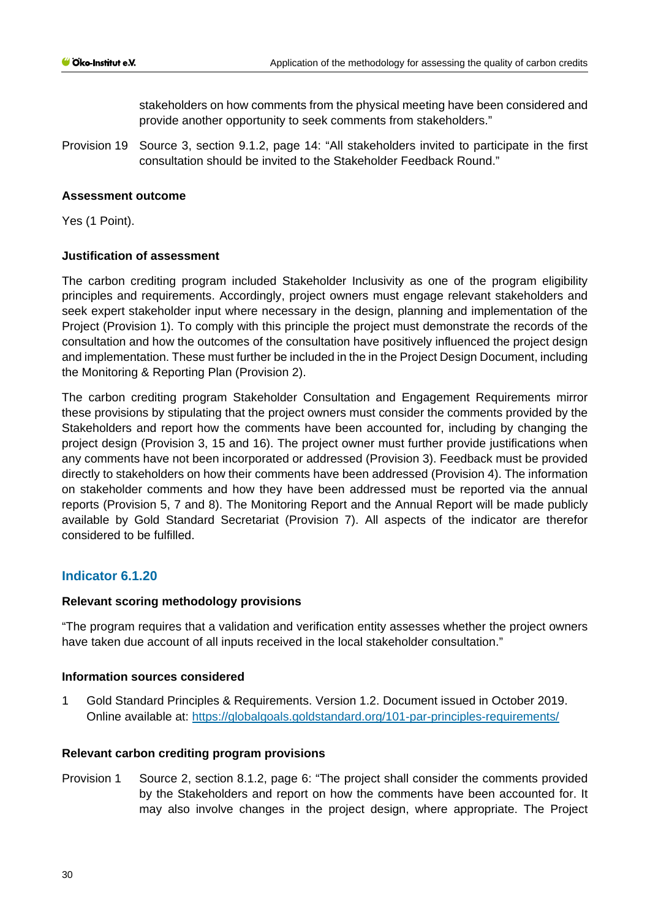stakeholders on how comments from the physical meeting have been considered and provide another opportunity to seek comments from stakeholders."

Provision 19 Source 3, section 9.1.2, page 14: "All stakeholders invited to participate in the first consultation should be invited to the Stakeholder Feedback Round."

### **Assessment outcome**

Yes (1 Point).

# **Justification of assessment**

The carbon crediting program included Stakeholder Inclusivity as one of the program eligibility principles and requirements. Accordingly, project owners must engage relevant stakeholders and seek expert stakeholder input where necessary in the design, planning and implementation of the Project (Provision 1). To comply with this principle the project must demonstrate the records of the consultation and how the outcomes of the consultation have positively influenced the project design and implementation. These must further be included in the in the Project Design Document, including the Monitoring & Reporting Plan (Provision 2).

The carbon crediting program Stakeholder Consultation and Engagement Requirements mirror these provisions by stipulating that the project owners must consider the comments provided by the Stakeholders and report how the comments have been accounted for, including by changing the project design (Provision 3, 15 and 16). The project owner must further provide justifications when any comments have not been incorporated or addressed (Provision 3). Feedback must be provided directly to stakeholders on how their comments have been addressed (Provision 4). The information on stakeholder comments and how they have been addressed must be reported via the annual reports (Provision 5, 7 and 8). The Monitoring Report and the Annual Report will be made publicly available by Gold Standard Secretariat (Provision 7). All aspects of the indicator are therefor considered to be fulfilled.

# **Indicator 6.1.20**

#### **Relevant scoring methodology provisions**

"The program requires that a validation and verification entity assesses whether the project owners have taken due account of all inputs received in the local stakeholder consultation."

#### **Information sources considered**

1 Gold Standard Principles & Requirements. Version 1.2. Document issued in October 2019. Online available at:<https://globalgoals.goldstandard.org/101-par-principles-requirements/>

#### **Relevant carbon crediting program provisions**

Provision 1 Source 2, section 8.1.2, page 6: "The project shall consider the comments provided by the Stakeholders and report on how the comments have been accounted for. It may also involve changes in the project design, where appropriate. The Project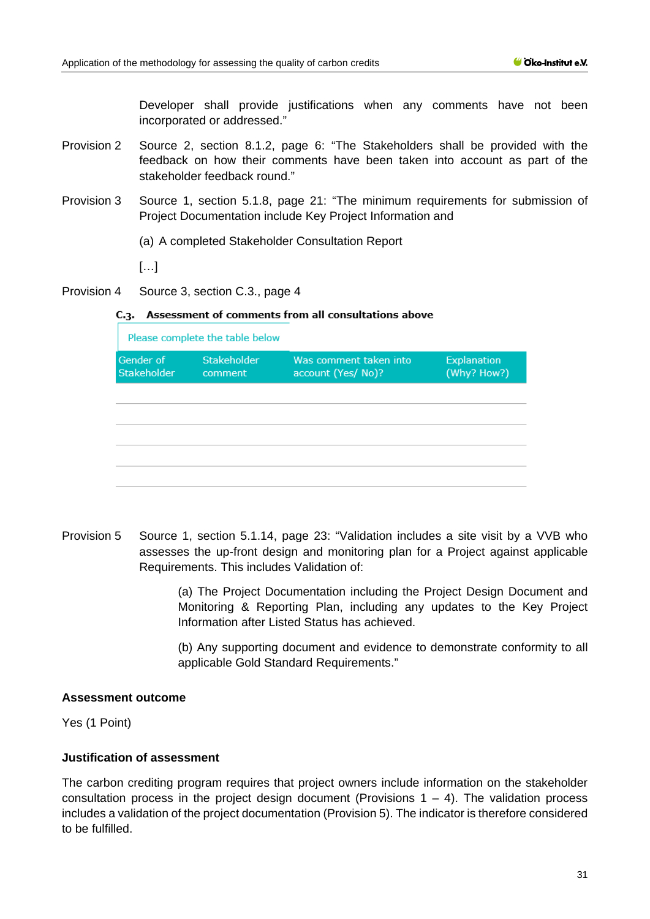Developer shall provide justifications when any comments have not been incorporated or addressed."

- Provision 2 Source 2, section 8.1.2, page 6: "The Stakeholders shall be provided with the feedback on how their comments have been taken into account as part of the stakeholder feedback round."
- Provision 3 Source 1, section 5.1.8, page 21: "The minimum requirements for submission of Project Documentation include Key Project Information and
	- (a) A completed Stakeholder Consultation Report
	- […]
- Provision 4 Source 3, section C.3., page 4

#### C.3. Assessment of comments from all consultations above

| Please complete the table below |                               |                                              |                                   |  |  |
|---------------------------------|-------------------------------|----------------------------------------------|-----------------------------------|--|--|
| Gender of<br>Stakeholder        | <b>Stakeholder</b><br>comment | Was comment taken into<br>account (Yes/ No)? | <b>Explanation</b><br>(Why? How?) |  |  |
|                                 |                               |                                              |                                   |  |  |
|                                 |                               |                                              |                                   |  |  |
|                                 |                               |                                              |                                   |  |  |
|                                 |                               |                                              |                                   |  |  |
|                                 |                               |                                              |                                   |  |  |

Provision 5 Source 1, section 5.1.14, page 23: "Validation includes a site visit by a VVB who assesses the up-front design and monitoring plan for a Project against applicable Requirements. This includes Validation of:

> (a) The Project Documentation including the Project Design Document and Monitoring & Reporting Plan, including any updates to the Key Project Information after Listed Status has achieved.

> (b) Any supporting document and evidence to demonstrate conformity to all applicable Gold Standard Requirements."

### **Assessment outcome**

Yes (1 Point)

# **Justification of assessment**

The carbon crediting program requires that project owners include information on the stakeholder consultation process in the project design document (Provisions  $1 - 4$ ). The validation process includes a validation of the project documentation (Provision 5). The indicator is therefore considered to be fulfilled.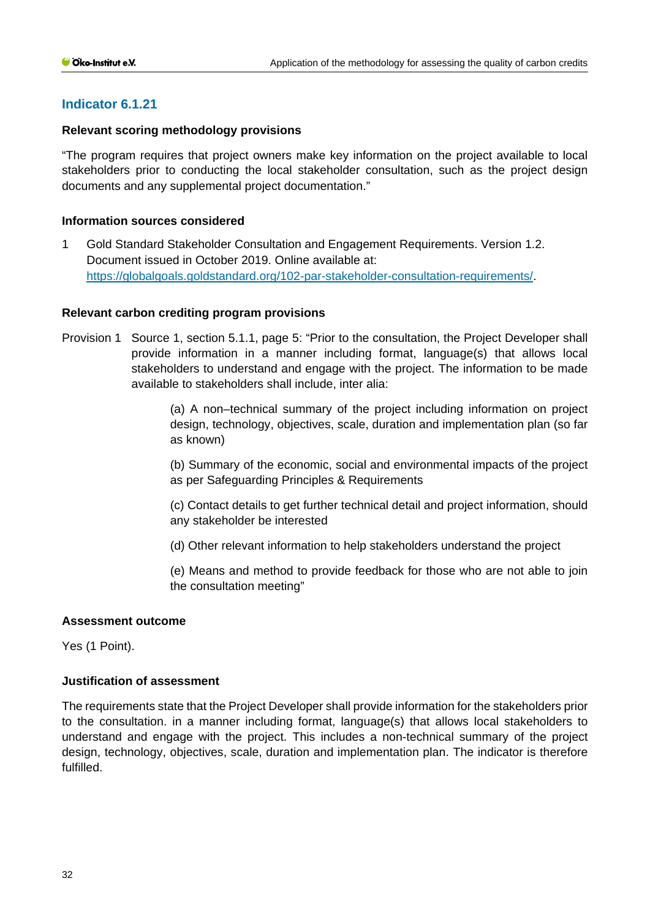# **Indicator 6.1.21**

# **Relevant scoring methodology provisions**

"The program requires that project owners make key information on the project available to local stakeholders prior to conducting the local stakeholder consultation, such as the project design documents and any supplemental project documentation."

### **Information sources considered**

1 Gold Standard Stakeholder Consultation and Engagement Requirements. Version 1.2. Document issued in October 2019. Online available at: [https://globalgoals.goldstandard.org/102-par-stakeholder-consultation-requirements/.](https://globalgoals.goldstandard.org/000-7-gov-stakeholder-consultation-policy/)

### **Relevant carbon crediting program provisions**

Provision 1 Source 1, section 5.1.1, page 5: "Prior to the consultation, the Project Developer shall provide information in a manner including format, language(s) that allows local stakeholders to understand and engage with the project. The information to be made available to stakeholders shall include, inter alia:

> (a) A non–technical summary of the project including information on project design, technology, objectives, scale, duration and implementation plan (so far as known)

> (b) Summary of the economic, social and environmental impacts of the project as per Safeguarding Principles & Requirements

> (c) Contact details to get further technical detail and project information, should any stakeholder be interested

(d) Other relevant information to help stakeholders understand the project

(e) Means and method to provide feedback for those who are not able to join the consultation meeting"

# **Assessment outcome**

Yes (1 Point).

#### **Justification of assessment**

The requirements state that the Project Developer shall provide information for the stakeholders prior to the consultation. in a manner including format, language(s) that allows local stakeholders to understand and engage with the project. This includes a non-technical summary of the project design, technology, objectives, scale, duration and implementation plan. The indicator is therefore fulfilled.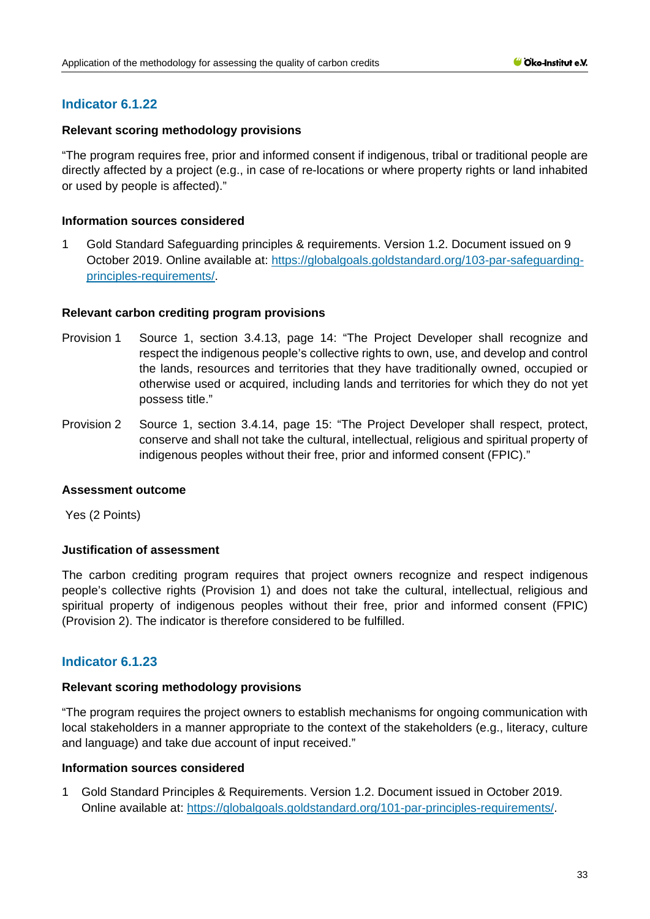# **Indicator 6.1.22**

### **Relevant scoring methodology provisions**

"The program requires free, prior and informed consent if indigenous, tribal or traditional people are directly affected by a project (e.g., in case of re-locations or where property rights or land inhabited or used by people is affected)."

### **Information sources considered**

1 Gold Standard Safeguarding principles & requirements. Version 1.2. Document issued on 9 October 2019. Online available at: [https://globalgoals.goldstandard.org/103-par-safeguarding](https://globalgoals.goldstandard.org/103-par-safeguarding-principles-requirements/)[principles-requirements/.](https://globalgoals.goldstandard.org/103-par-safeguarding-principles-requirements/)

### **Relevant carbon crediting program provisions**

- Provision 1 Source 1, section 3.4.13, page 14: "The Project Developer shall recognize and respect the indigenous people's collective rights to own, use, and develop and control the lands, resources and territories that they have traditionally owned, occupied or otherwise used or acquired, including lands and territories for which they do not yet possess title."
- Provision 2 Source 1, section 3.4.14, page 15: "The Project Developer shall respect, protect, conserve and shall not take the cultural, intellectual, religious and spiritual property of indigenous peoples without their free, prior and informed consent (FPIC)."

#### **Assessment outcome**

Yes (2 Points)

# **Justification of assessment**

The carbon crediting program requires that project owners recognize and respect indigenous people's collective rights (Provision 1) and does not take the cultural, intellectual, religious and spiritual property of indigenous peoples without their free, prior and informed consent (FPIC) (Provision 2). The indicator is therefore considered to be fulfilled.

# **Indicator 6.1.23**

#### **Relevant scoring methodology provisions**

"The program requires the project owners to establish mechanisms for ongoing communication with local stakeholders in a manner appropriate to the context of the stakeholders (e.g., literacy, culture and language) and take due account of input received."

#### **Information sources considered**

1 Gold Standard Principles & Requirements. Version 1.2. Document issued in October 2019. Online available at: [https://globalgoals.goldstandard.org/101-par-principles-requirements/.](https://globalgoals.goldstandard.org/101-par-principles-requirements/)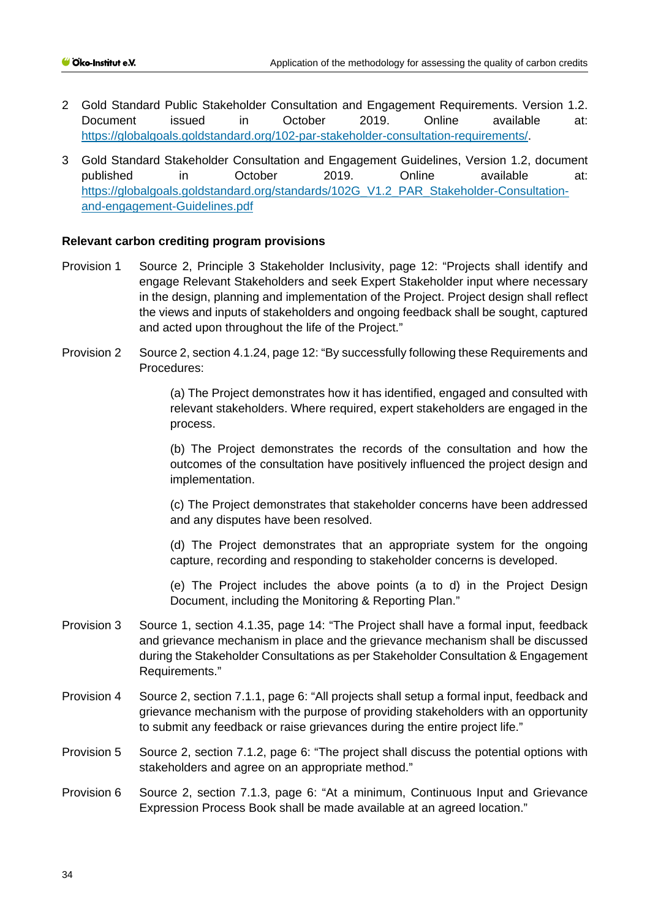- 2 Gold Standard Public Stakeholder Consultation and Engagement Requirements. Version 1.2. Document issued in October 2019. Online available at: [https://globalgoals.goldstandard.org/102-par-stakeholder-consultation-requirements/.](https://globalgoals.goldstandard.org/000-7-gov-stakeholder-consultation-policy/)
- 3 Gold Standard Stakeholder Consultation and Engagement Guidelines, Version 1.2, document published in October 2019. Online available at: [https://globalgoals.goldstandard.org/standards/102G\\_V1.2\\_PAR\\_Stakeholder-Consultation](https://globalgoals.goldstandard.org/standards/102G_V1.2_PAR_Stakeholder-Consultation-and-engagement-Guidelines.pdf)[and-engagement-Guidelines.pdf](https://globalgoals.goldstandard.org/standards/102G_V1.2_PAR_Stakeholder-Consultation-and-engagement-Guidelines.pdf)

# **Relevant carbon crediting program provisions**

- Provision 1 Source 2, Principle 3 Stakeholder Inclusivity, page 12: "Projects shall identify and engage Relevant Stakeholders and seek Expert Stakeholder input where necessary in the design, planning and implementation of the Project. Project design shall reflect the views and inputs of stakeholders and ongoing feedback shall be sought, captured and acted upon throughout the life of the Project."
- Provision 2 Source 2, section 4.1.24, page 12: "By successfully following these Requirements and Procedures:

(a) The Project demonstrates how it has identified, engaged and consulted with relevant stakeholders. Where required, expert stakeholders are engaged in the process.

(b) The Project demonstrates the records of the consultation and how the outcomes of the consultation have positively influenced the project design and implementation.

(c) The Project demonstrates that stakeholder concerns have been addressed and any disputes have been resolved.

(d) The Project demonstrates that an appropriate system for the ongoing capture, recording and responding to stakeholder concerns is developed.

(e) The Project includes the above points (a to d) in the Project Design Document, including the Monitoring & Reporting Plan."

- Provision 3 Source 1, section 4.1.35, page 14: "The Project shall have a formal input, feedback and grievance mechanism in place and the grievance mechanism shall be discussed during the Stakeholder Consultations as per Stakeholder Consultation & Engagement Requirements."
- Provision 4 Source 2, section 7.1.1, page 6: "All projects shall setup a formal input, feedback and grievance mechanism with the purpose of providing stakeholders with an opportunity to submit any feedback or raise grievances during the entire project life."
- Provision 5 Source 2, section 7.1.2, page 6: "The project shall discuss the potential options with stakeholders and agree on an appropriate method."
- Provision 6 Source 2, section 7.1.3, page 6: "At a minimum, Continuous Input and Grievance Expression Process Book shall be made available at an agreed location."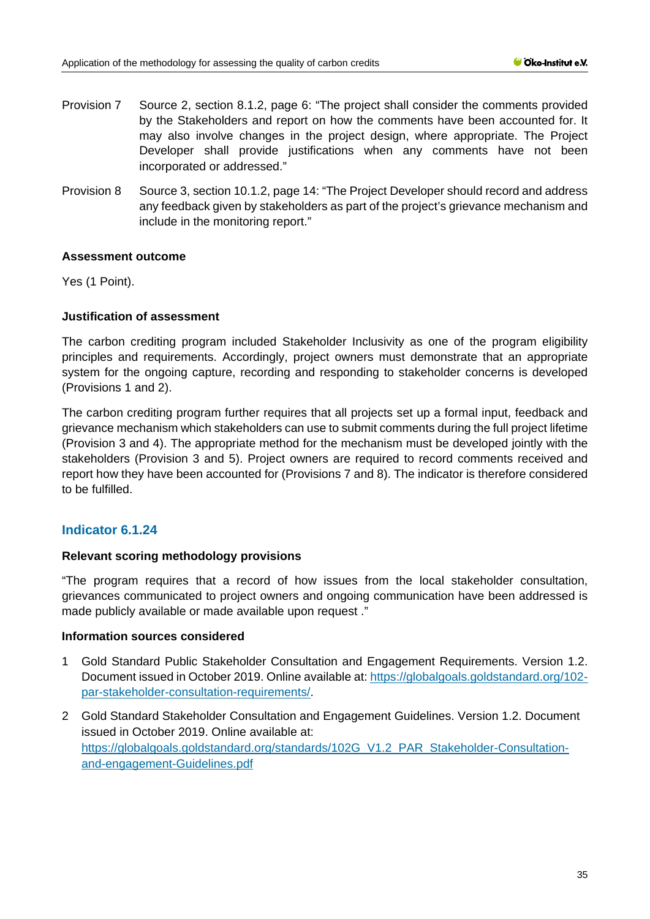- Provision 7 Source 2, section 8.1.2, page 6: "The project shall consider the comments provided by the Stakeholders and report on how the comments have been accounted for. It may also involve changes in the project design, where appropriate. The Project Developer shall provide justifications when any comments have not been incorporated or addressed."
- Provision 8 Source 3, section 10.1.2, page 14: "The Project Developer should record and address any feedback given by stakeholders as part of the project's grievance mechanism and include in the monitoring report."

### **Assessment outcome**

Yes (1 Point).

### **Justification of assessment**

The carbon crediting program included Stakeholder Inclusivity as one of the program eligibility principles and requirements. Accordingly, project owners must demonstrate that an appropriate system for the ongoing capture, recording and responding to stakeholder concerns is developed (Provisions 1 and 2).

The carbon crediting program further requires that all projects set up a formal input, feedback and grievance mechanism which stakeholders can use to submit comments during the full project lifetime (Provision 3 and 4). The appropriate method for the mechanism must be developed jointly with the stakeholders (Provision 3 and 5). Project owners are required to record comments received and report how they have been accounted for (Provisions 7 and 8). The indicator is therefore considered to be fulfilled.

# **Indicator 6.1.24**

# **Relevant scoring methodology provisions**

"The program requires that a record of how issues from the local stakeholder consultation, grievances communicated to project owners and ongoing communication have been addressed is made publicly available or made available upon request ."

#### **Information sources considered**

- 1 Gold Standard Public Stakeholder Consultation and Engagement Requirements. Version 1.2. Document issued in October 2019. Online available at: [https://globalgoals.goldstandard.org/102](https://globalgoals.goldstandard.org/102-par-stakeholder-consultation-requirements/) [par-stakeholder-consultation-requirements/.](https://globalgoals.goldstandard.org/102-par-stakeholder-consultation-requirements/)
- 2 Gold Standard Stakeholder Consultation and Engagement Guidelines. Version 1.2. Document issued in October 2019. Online available at: [https://globalgoals.goldstandard.org/standards/102G\\_V1.2\\_PAR\\_Stakeholder-Consultation](https://globalgoals.goldstandard.org/standards/102G_V1.2_PAR_Stakeholder-Consultation-and-engagement-Guidelines.pdf)[and-engagement-Guidelines.pdf](https://globalgoals.goldstandard.org/standards/102G_V1.2_PAR_Stakeholder-Consultation-and-engagement-Guidelines.pdf)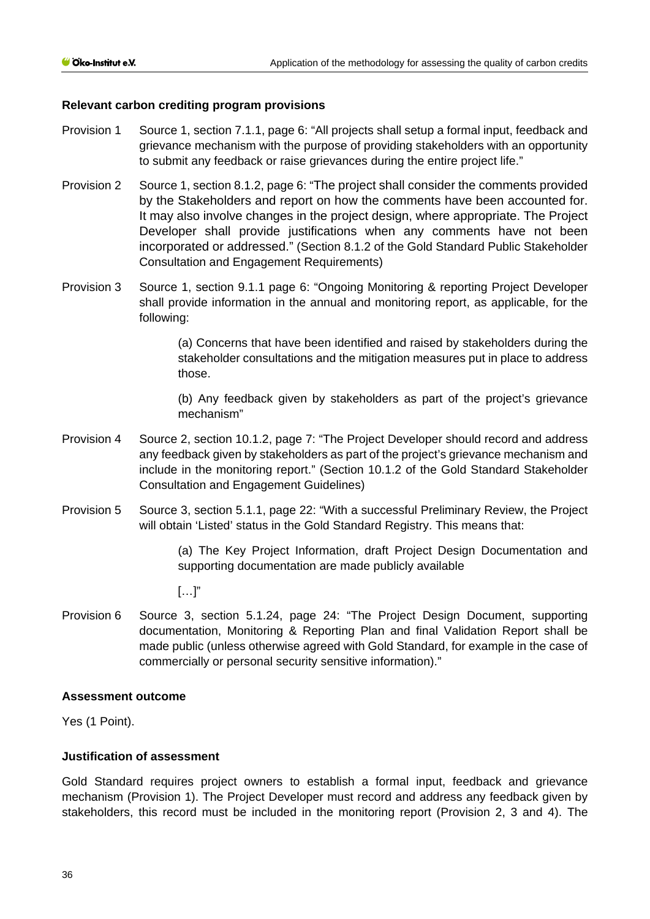### **Relevant carbon crediting program provisions**

- Provision 1 Source 1, section 7.1.1, page 6: "All projects shall setup a formal input, feedback and grievance mechanism with the purpose of providing stakeholders with an opportunity to submit any feedback or raise grievances during the entire project life."
- Provision 2 Source 1, section 8.1.2, page 6: "The project shall consider the comments provided by the Stakeholders and report on how the comments have been accounted for. It may also involve changes in the project design, where appropriate. The Project Developer shall provide justifications when any comments have not been incorporated or addressed." (Section 8.1.2 of the Gold Standard Public Stakeholder Consultation and Engagement Requirements)
- Provision 3 Source 1, section 9.1.1 page 6: "Ongoing Monitoring & reporting Project Developer shall provide information in the annual and monitoring report, as applicable, for the following:

(a) Concerns that have been identified and raised by stakeholders during the stakeholder consultations and the mitigation measures put in place to address those.

(b) Any feedback given by stakeholders as part of the project's grievance mechanism"

- Provision 4 Source 2, section 10.1.2, page 7: "The Project Developer should record and address any feedback given by stakeholders as part of the project's grievance mechanism and include in the monitoring report." (Section 10.1.2 of the Gold Standard Stakeholder Consultation and Engagement Guidelines)
- Provision 5 Source 3, section 5.1.1, page 22: "With a successful Preliminary Review, the Project will obtain 'Listed' status in the Gold Standard Registry. This means that:

(a) The Key Project Information, draft Project Design Documentation and supporting documentation are made publicly available

 $[\ldots]$ "

Provision 6 Source 3, section 5.1.24, page 24: "The Project Design Document, supporting documentation, Monitoring & Reporting Plan and final Validation Report shall be made public (unless otherwise agreed with Gold Standard, for example in the case of commercially or personal security sensitive information)."

#### **Assessment outcome**

Yes (1 Point).

### **Justification of assessment**

Gold Standard requires project owners to establish a formal input, feedback and grievance mechanism (Provision 1). The Project Developer must record and address any feedback given by stakeholders, this record must be included in the monitoring report (Provision 2, 3 and 4). The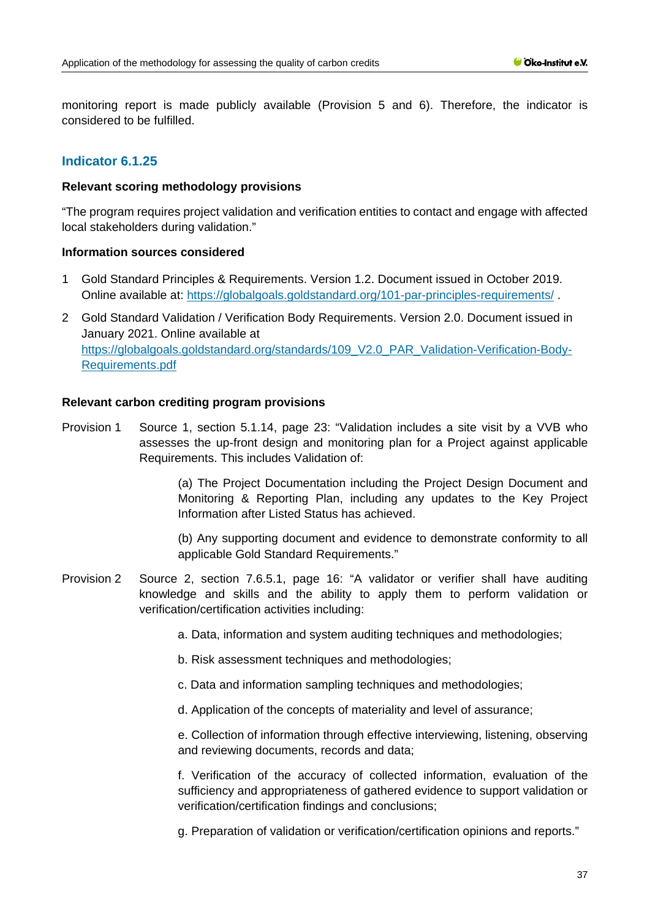monitoring report is made publicly available (Provision 5 and 6). Therefore, the indicator is considered to be fulfilled.

# **Indicator 6.1.25**

#### **Relevant scoring methodology provisions**

"The program requires project validation and verification entities to contact and engage with affected local stakeholders during validation."

#### **Information sources considered**

- 1 Gold Standard Principles & Requirements. Version 1.2. Document issued in October 2019. Online available at:<https://globalgoals.goldstandard.org/101-par-principles-requirements/> .
- 2 Gold Standard Validation / Verification Body Requirements. Version 2.0. Document issued in January 2021. Online available at [https://globalgoals.goldstandard.org/standards/109\\_V2.0\\_PAR\\_Validation-Verification-Body-](https://globalgoals.goldstandard.org/standards/109_V2.0_PAR_Validation-Verification-Body-Requirements.pdf)[Requirements.pdf](https://globalgoals.goldstandard.org/standards/109_V2.0_PAR_Validation-Verification-Body-Requirements.pdf)

#### **Relevant carbon crediting program provisions**

Provision 1 Source 1, section 5.1.14, page 23: "Validation includes a site visit by a VVB who assesses the up-front design and monitoring plan for a Project against applicable Requirements. This includes Validation of:

> (a) The Project Documentation including the Project Design Document and Monitoring & Reporting Plan, including any updates to the Key Project Information after Listed Status has achieved.

> (b) Any supporting document and evidence to demonstrate conformity to all applicable Gold Standard Requirements."

- Provision 2 Source 2, section 7.6.5.1, page 16: "A validator or verifier shall have auditing knowledge and skills and the ability to apply them to perform validation or verification/certification activities including:
	- a. Data, information and system auditing techniques and methodologies;
	- b. Risk assessment techniques and methodologies;
	- c. Data and information sampling techniques and methodologies;
	- d. Application of the concepts of materiality and level of assurance;

e. Collection of information through effective interviewing, listening, observing and reviewing documents, records and data;

f. Verification of the accuracy of collected information, evaluation of the sufficiency and appropriateness of gathered evidence to support validation or verification/certification findings and conclusions;

g. Preparation of validation or verification/certification opinions and reports."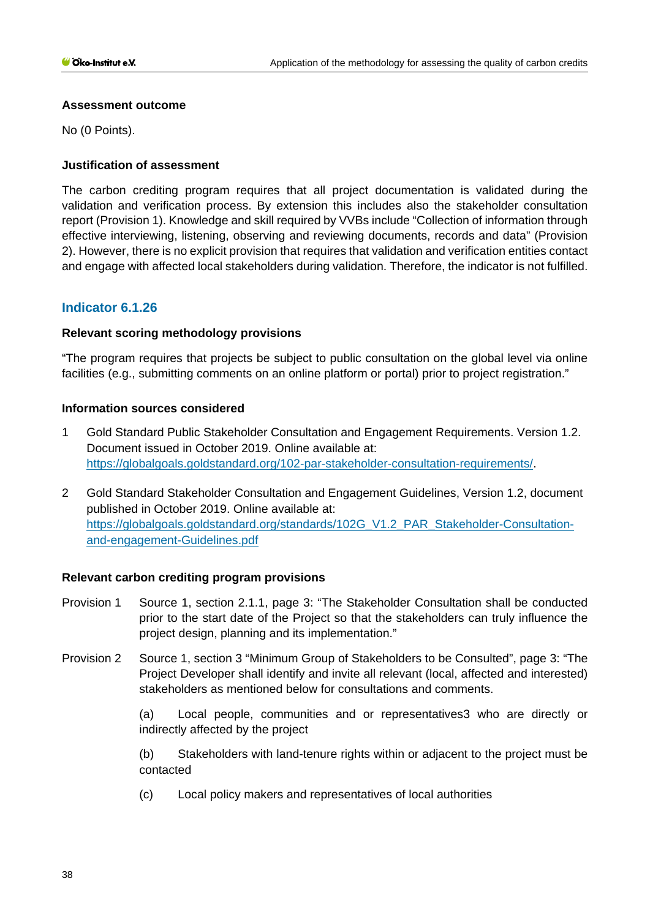### **Assessment outcome**

No (0 Points).

# **Justification of assessment**

The carbon crediting program requires that all project documentation is validated during the validation and verification process. By extension this includes also the stakeholder consultation report (Provision 1). Knowledge and skill required by VVBs include "Collection of information through effective interviewing, listening, observing and reviewing documents, records and data" (Provision 2). However, there is no explicit provision that requires that validation and verification entities contact and engage with affected local stakeholders during validation. Therefore, the indicator is not fulfilled.

# **Indicator 6.1.26**

# **Relevant scoring methodology provisions**

"The program requires that projects be subject to public consultation on the global level via online facilities (e.g., submitting comments on an online platform or portal) prior to project registration."

### **Information sources considered**

- 1 Gold Standard Public Stakeholder Consultation and Engagement Requirements. Version 1.2. Document issued in October 2019. Online available at: [https://globalgoals.goldstandard.org/102-par-stakeholder-consultation-requirements/.](https://globalgoals.goldstandard.org/102-par-stakeholder-consultation-requirements/)
- 2 Gold Standard Stakeholder Consultation and Engagement Guidelines, Version 1.2, document published in October 2019. Online available at: [https://globalgoals.goldstandard.org/standards/102G\\_V1.2\\_PAR\\_Stakeholder-Consultation](https://globalgoals.goldstandard.org/standards/102G_V1.2_PAR_Stakeholder-Consultation-and-engagement-Guidelines.pdf)[and-engagement-Guidelines.pdf](https://globalgoals.goldstandard.org/standards/102G_V1.2_PAR_Stakeholder-Consultation-and-engagement-Guidelines.pdf)

# **Relevant carbon crediting program provisions**

- Provision 1 Source 1, section 2.1.1, page 3: "The Stakeholder Consultation shall be conducted prior to the start date of the Project so that the stakeholders can truly influence the project design, planning and its implementation."
- Provision 2 Source 1, section 3 "Minimum Group of Stakeholders to be Consulted", page 3: "The Project Developer shall identify and invite all relevant (local, affected and interested) stakeholders as mentioned below for consultations and comments.

(a) Local people, communities and or representatives3 who are directly or indirectly affected by the project

(b) Stakeholders with land-tenure rights within or adjacent to the project must be contacted

(c) Local policy makers and representatives of local authorities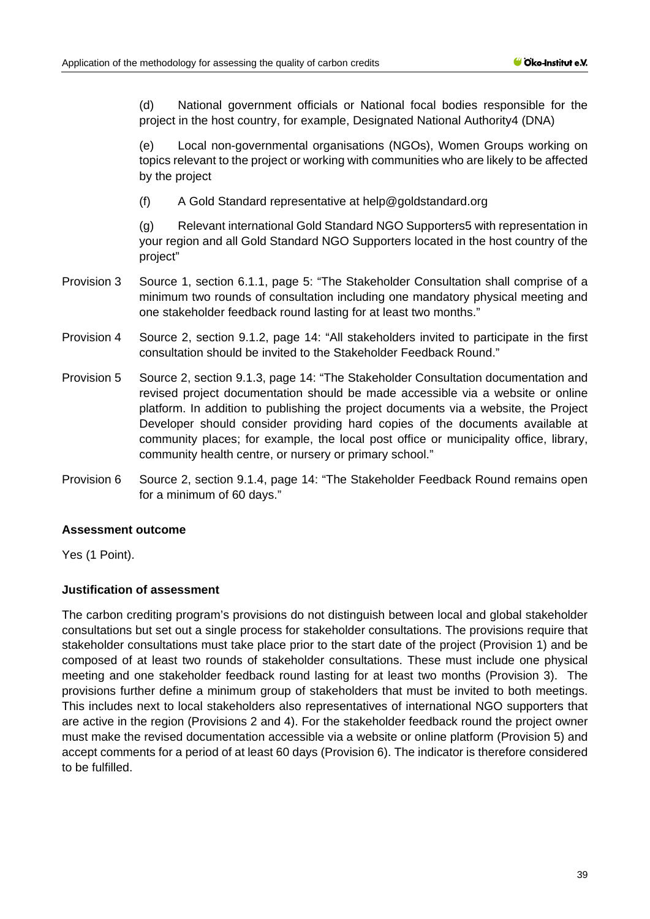(d) National government officials or National focal bodies responsible for the project in the host country, for example, Designated National Authority4 (DNA)

(e) Local non-governmental organisations (NGOs), Women Groups working on topics relevant to the project or working with communities who are likely to be affected by the project

(f) A Gold Standard representative at help@goldstandard.org

(g) Relevant international Gold Standard NGO Supporters5 with representation in your region and all Gold Standard NGO Supporters located in the host country of the project"

- Provision 3 Source 1, section 6.1.1, page 5: "The Stakeholder Consultation shall comprise of a minimum two rounds of consultation including one mandatory physical meeting and one stakeholder feedback round lasting for at least two months."
- Provision 4 Source 2, section 9.1.2, page 14: "All stakeholders invited to participate in the first consultation should be invited to the Stakeholder Feedback Round."
- Provision 5 Source 2, section 9.1.3, page 14: "The Stakeholder Consultation documentation and revised project documentation should be made accessible via a website or online platform. In addition to publishing the project documents via a website, the Project Developer should consider providing hard copies of the documents available at community places; for example, the local post office or municipality office, library, community health centre, or nursery or primary school."
- Provision 6 Source 2, section 9.1.4, page 14: "The Stakeholder Feedback Round remains open for a minimum of 60 days."

#### **Assessment outcome**

Yes (1 Point).

#### **Justification of assessment**

The carbon crediting program's provisions do not distinguish between local and global stakeholder consultations but set out a single process for stakeholder consultations. The provisions require that stakeholder consultations must take place prior to the start date of the project (Provision 1) and be composed of at least two rounds of stakeholder consultations. These must include one physical meeting and one stakeholder feedback round lasting for at least two months (Provision 3). The provisions further define a minimum group of stakeholders that must be invited to both meetings. This includes next to local stakeholders also representatives of international NGO supporters that are active in the region (Provisions 2 and 4). For the stakeholder feedback round the project owner must make the revised documentation accessible via a website or online platform (Provision 5) and accept comments for a period of at least 60 days (Provision 6). The indicator is therefore considered to be fulfilled.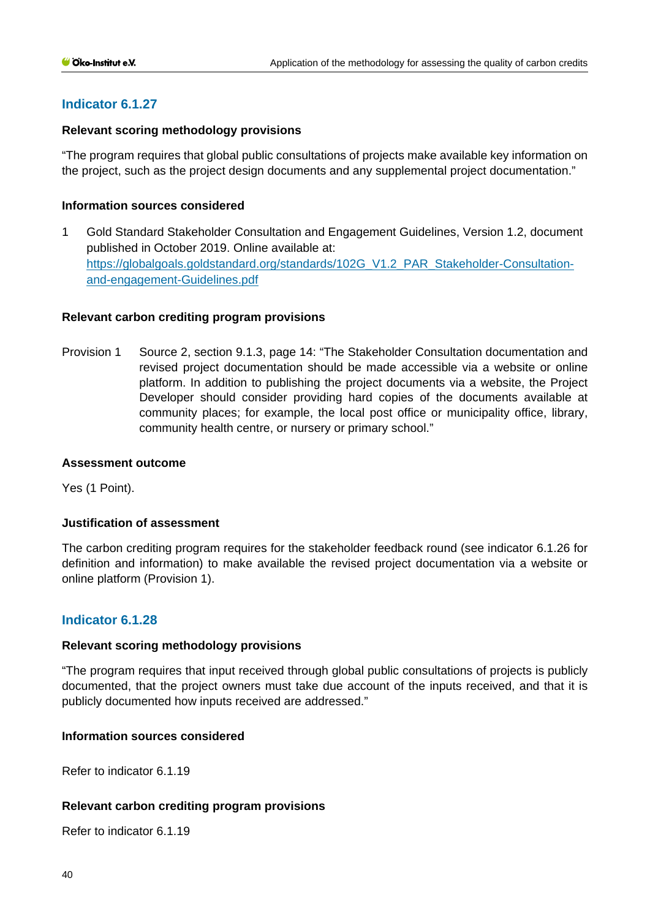# **Indicator 6.1.27**

### **Relevant scoring methodology provisions**

"The program requires that global public consultations of projects make available key information on the project, such as the project design documents and any supplemental project documentation."

### **Information sources considered**

1 Gold Standard Stakeholder Consultation and Engagement Guidelines, Version 1.2, document published in October 2019. Online available at: [https://globalgoals.goldstandard.org/standards/102G\\_V1.2\\_PAR\\_Stakeholder-Consultation](https://globalgoals.goldstandard.org/standards/102G_V1.2_PAR_Stakeholder-Consultation-and-engagement-Guidelines.pdf)[and-engagement-Guidelines.pdf](https://globalgoals.goldstandard.org/standards/102G_V1.2_PAR_Stakeholder-Consultation-and-engagement-Guidelines.pdf)

### **Relevant carbon crediting program provisions**

Provision 1 Source 2, section 9.1.3, page 14: "The Stakeholder Consultation documentation and revised project documentation should be made accessible via a website or online platform. In addition to publishing the project documents via a website, the Project Developer should consider providing hard copies of the documents available at community places; for example, the local post office or municipality office, library, community health centre, or nursery or primary school."

#### **Assessment outcome**

Yes (1 Point).

#### **Justification of assessment**

The carbon crediting program requires for the stakeholder feedback round (see indicator 6.1.26 for definition and information) to make available the revised project documentation via a website or online platform (Provision 1).

# **Indicator 6.1.28**

#### **Relevant scoring methodology provisions**

"The program requires that input received through global public consultations of projects is publicly documented, that the project owners must take due account of the inputs received, and that it is publicly documented how inputs received are addressed."

### **Information sources considered**

Refer to indicator 6.1.19

#### **Relevant carbon crediting program provisions**

Refer to indicator 6.1.19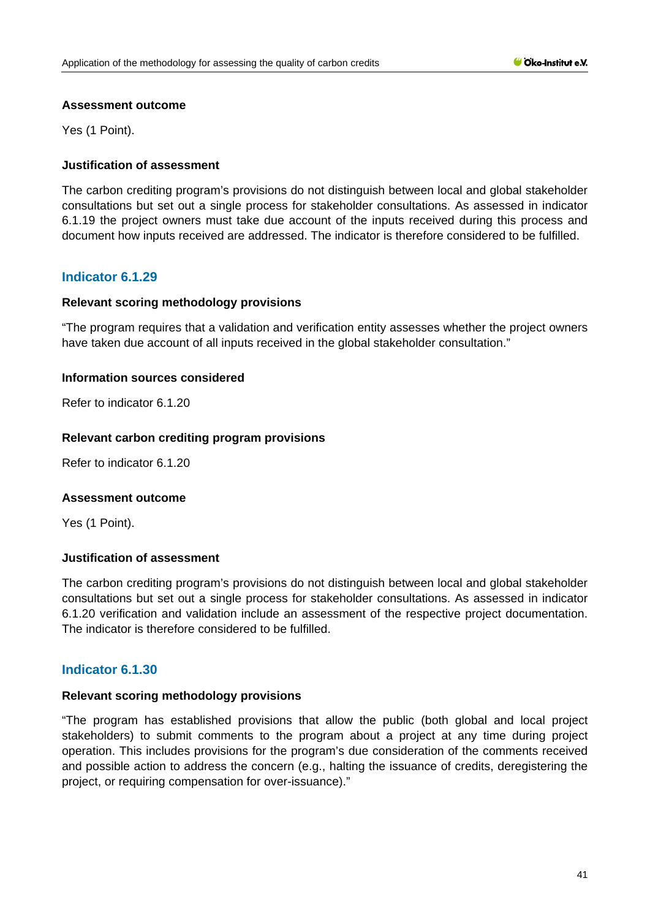#### **Assessment outcome**

Yes (1 Point).

# **Justification of assessment**

The carbon crediting program's provisions do not distinguish between local and global stakeholder consultations but set out a single process for stakeholder consultations. As assessed in indicator 6.1.19 the project owners must take due account of the inputs received during this process and document how inputs received are addressed. The indicator is therefore considered to be fulfilled.

# **Indicator 6.1.29**

### **Relevant scoring methodology provisions**

"The program requires that a validation and verification entity assesses whether the project owners have taken due account of all inputs received in the global stakeholder consultation."

### **Information sources considered**

Refer to indicator 6.1.20

### **Relevant carbon crediting program provisions**

Refer to indicator 6.1.20

#### **Assessment outcome**

Yes (1 Point).

# **Justification of assessment**

The carbon crediting program's provisions do not distinguish between local and global stakeholder consultations but set out a single process for stakeholder consultations. As assessed in indicator 6.1.20 verification and validation include an assessment of the respective project documentation. The indicator is therefore considered to be fulfilled.

# **Indicator 6.1.30**

# **Relevant scoring methodology provisions**

"The program has established provisions that allow the public (both global and local project stakeholders) to submit comments to the program about a project at any time during project operation. This includes provisions for the program's due consideration of the comments received and possible action to address the concern (e.g., halting the issuance of credits, deregistering the project, or requiring compensation for over-issuance)."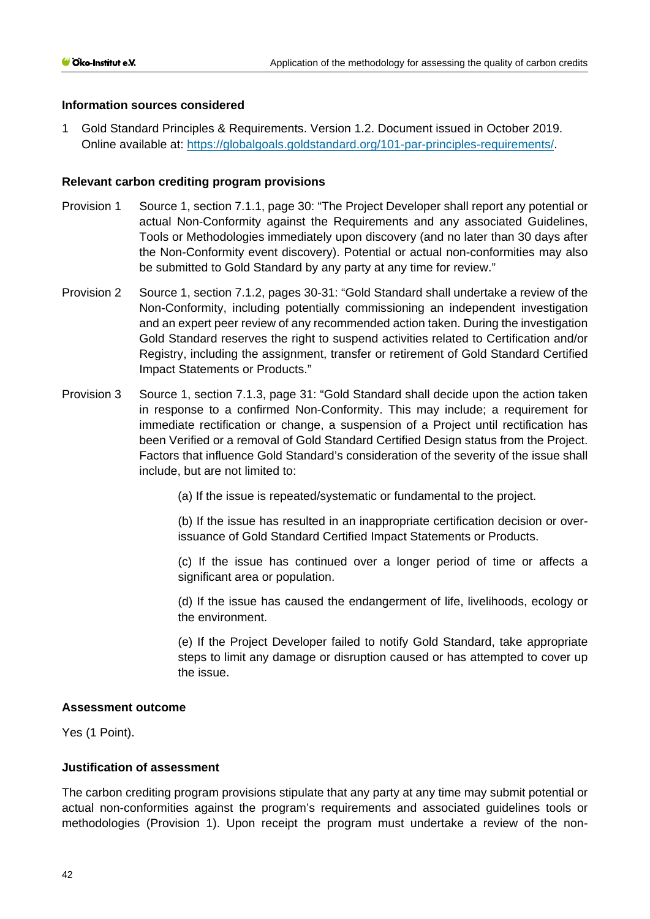### **Information sources considered**

1 Gold Standard Principles & Requirements. Version 1.2. Document issued in October 2019. Online available at: [https://globalgoals.goldstandard.org/101-par-principles-requirements/.](https://globalgoals.goldstandard.org/101-par-principles-requirements/)

### **Relevant carbon crediting program provisions**

- Provision 1 Source 1, section 7.1.1, page 30: "The Project Developer shall report any potential or actual Non-Conformity against the Requirements and any associated Guidelines, Tools or Methodologies immediately upon discovery (and no later than 30 days after the Non-Conformity event discovery). Potential or actual non-conformities may also be submitted to Gold Standard by any party at any time for review."
- Provision 2 Source 1, section 7.1.2, pages 30-31: "Gold Standard shall undertake a review of the Non-Conformity, including potentially commissioning an independent investigation and an expert peer review of any recommended action taken. During the investigation Gold Standard reserves the right to suspend activities related to Certification and/or Registry, including the assignment, transfer or retirement of Gold Standard Certified Impact Statements or Products."
- Provision 3 Source 1, section 7.1.3, page 31: "Gold Standard shall decide upon the action taken in response to a confirmed Non-Conformity. This may include; a requirement for immediate rectification or change, a suspension of a Project until rectification has been Verified or a removal of Gold Standard Certified Design status from the Project. Factors that influence Gold Standard's consideration of the severity of the issue shall include, but are not limited to:

(a) If the issue is repeated/systematic or fundamental to the project.

(b) If the issue has resulted in an inappropriate certification decision or overissuance of Gold Standard Certified Impact Statements or Products.

(c) If the issue has continued over a longer period of time or affects a significant area or population.

(d) If the issue has caused the endangerment of life, livelihoods, ecology or the environment.

(e) If the Project Developer failed to notify Gold Standard, take appropriate steps to limit any damage or disruption caused or has attempted to cover up the issue.

#### **Assessment outcome**

Yes (1 Point).

# **Justification of assessment**

The carbon crediting program provisions stipulate that any party at any time may submit potential or actual non-conformities against the program's requirements and associated guidelines tools or methodologies (Provision 1). Upon receipt the program must undertake a review of the non-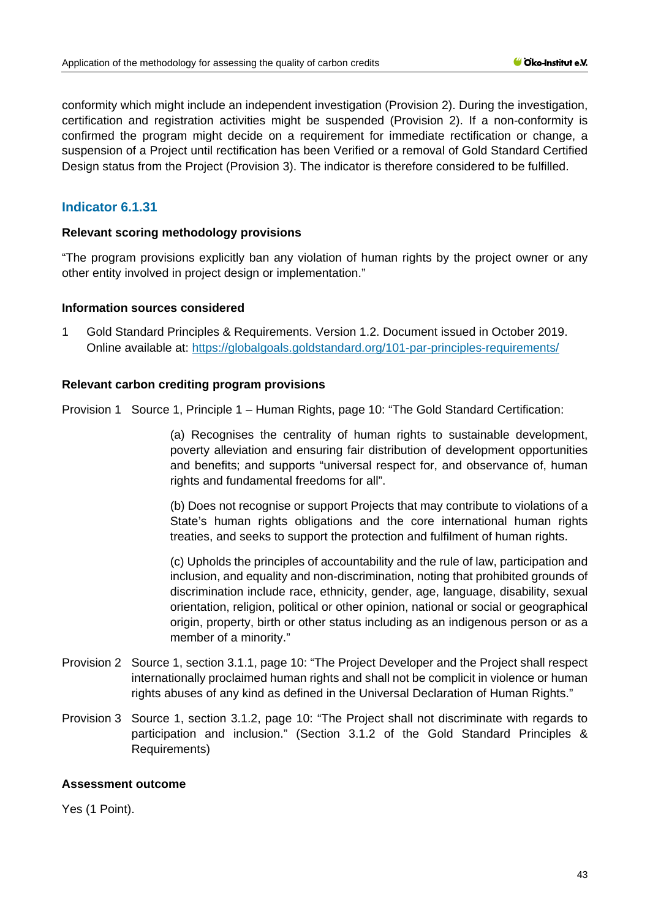conformity which might include an independent investigation (Provision 2). During the investigation, certification and registration activities might be suspended (Provision 2). If a non-conformity is confirmed the program might decide on a requirement for immediate rectification or change, a suspension of a Project until rectification has been Verified or a removal of Gold Standard Certified Design status from the Project (Provision 3). The indicator is therefore considered to be fulfilled.

# **Indicator 6.1.31**

### **Relevant scoring methodology provisions**

"The program provisions explicitly ban any violation of human rights by the project owner or any other entity involved in project design or implementation."

### **Information sources considered**

1 Gold Standard Principles & Requirements. Version 1.2. Document issued in October 2019. Online available at:<https://globalgoals.goldstandard.org/101-par-principles-requirements/>

### **Relevant carbon crediting program provisions**

Provision 1 Source 1, Principle 1 – Human Rights, page 10: "The Gold Standard Certification:

(a) Recognises the centrality of human rights to sustainable development, poverty alleviation and ensuring fair distribution of development opportunities and benefits; and supports "universal respect for, and observance of, human rights and fundamental freedoms for all".

(b) Does not recognise or support Projects that may contribute to violations of a State's human rights obligations and the core international human rights treaties, and seeks to support the protection and fulfilment of human rights.

(c) Upholds the principles of accountability and the rule of law, participation and inclusion, and equality and non-discrimination, noting that prohibited grounds of discrimination include race, ethnicity, gender, age, language, disability, sexual orientation, religion, political or other opinion, national or social or geographical origin, property, birth or other status including as an indigenous person or as a member of a minority."

- Provision 2 Source 1, section 3.1.1, page 10: "The Project Developer and the Project shall respect internationally proclaimed human rights and shall not be complicit in violence or human rights abuses of any kind as defined in the Universal Declaration of Human Rights."
- Provision 3 Source 1, section 3.1.2, page 10: "The Project shall not discriminate with regards to participation and inclusion." (Section 3.1.2 of the Gold Standard Principles & Requirements)

# **Assessment outcome**

Yes (1 Point).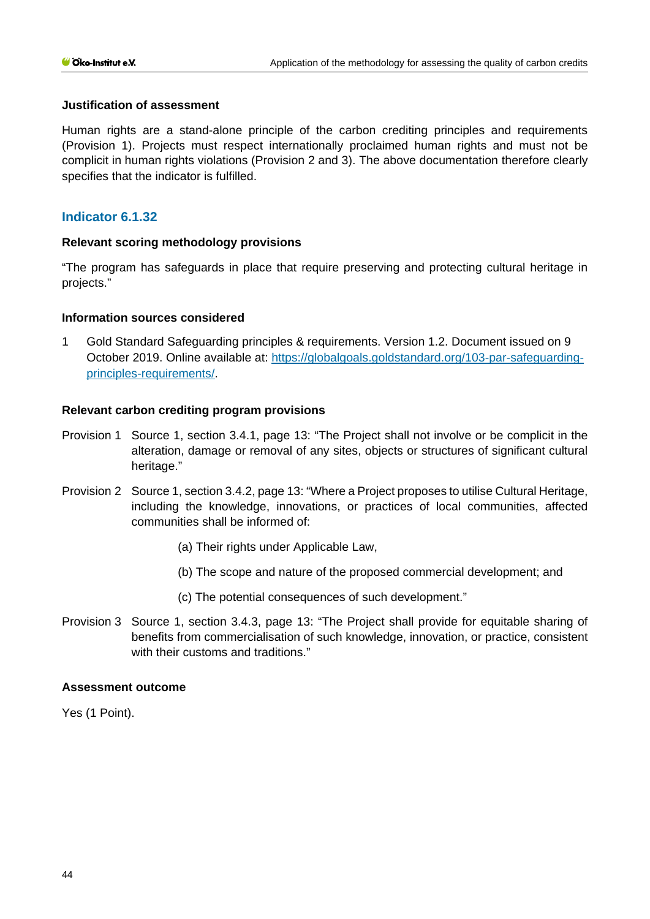### **Justification of assessment**

Human rights are a stand-alone principle of the carbon crediting principles and requirements (Provision 1). Projects must respect internationally proclaimed human rights and must not be complicit in human rights violations (Provision 2 and 3). The above documentation therefore clearly specifies that the indicator is fulfilled.

# **Indicator 6.1.32**

### **Relevant scoring methodology provisions**

"The program has safeguards in place that require preserving and protecting cultural heritage in projects."

### **Information sources considered**

1 Gold Standard Safeguarding principles & requirements. Version 1.2. Document issued on 9 October 2019. Online available at: [https://globalgoals.goldstandard.org/103-par-safeguarding](https://globalgoals.goldstandard.org/103-par-safeguarding-principles-requirements/)[principles-requirements/.](https://globalgoals.goldstandard.org/103-par-safeguarding-principles-requirements/)

### **Relevant carbon crediting program provisions**

- Provision 1 Source 1, section 3.4.1, page 13: "The Project shall not involve or be complicit in the alteration, damage or removal of any sites, objects or structures of significant cultural heritage."
- Provision 2 Source 1, section 3.4.2, page 13: "Where a Project proposes to utilise Cultural Heritage, including the knowledge, innovations, or practices of local communities, affected communities shall be informed of:
	- (a) Their rights under Applicable Law,
	- (b) The scope and nature of the proposed commercial development; and
	- (c) The potential consequences of such development."
- Provision 3 Source 1, section 3.4.3, page 13: "The Project shall provide for equitable sharing of benefits from commercialisation of such knowledge, innovation, or practice, consistent with their customs and traditions."

### **Assessment outcome**

Yes (1 Point).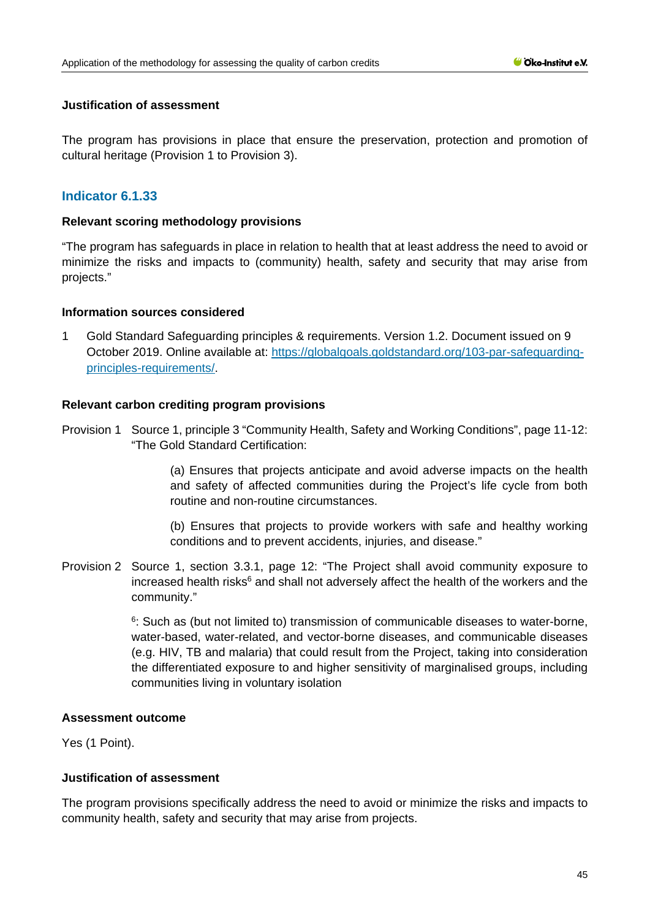### **Justification of assessment**

The program has provisions in place that ensure the preservation, protection and promotion of cultural heritage (Provision 1 to Provision 3).

# **Indicator 6.1.33**

### **Relevant scoring methodology provisions**

"The program has safeguards in place in relation to health that at least address the need to avoid or minimize the risks and impacts to (community) health, safety and security that may arise from projects."

### **Information sources considered**

1 Gold Standard Safeguarding principles & requirements. Version 1.2. Document issued on 9 October 2019. Online available at: [https://globalgoals.goldstandard.org/103-par-safeguarding](https://globalgoals.goldstandard.org/103-par-safeguarding-principles-requirements/)[principles-requirements/.](https://globalgoals.goldstandard.org/103-par-safeguarding-principles-requirements/)

# **Relevant carbon crediting program provisions**

Provision 1 Source 1, principle 3 "Community Health, Safety and Working Conditions", page 11-12: "The Gold Standard Certification:

> (a) Ensures that projects anticipate and avoid adverse impacts on the health and safety of affected communities during the Project's life cycle from both routine and non-routine circumstances.

> (b) Ensures that projects to provide workers with safe and healthy working conditions and to prevent accidents, injuries, and disease."

Provision 2 Source 1, section 3.3.1, page 12: "The Project shall avoid community exposure to increased health risks<sup>6</sup> and shall not adversely affect the health of the workers and the community."

> $6:$  Such as (but not limited to) transmission of communicable diseases to water-borne, water-based, water-related, and vector-borne diseases, and communicable diseases (e.g. HIV, TB and malaria) that could result from the Project, taking into consideration the differentiated exposure to and higher sensitivity of marginalised groups, including communities living in voluntary isolation

### **Assessment outcome**

Yes (1 Point).

# **Justification of assessment**

The program provisions specifically address the need to avoid or minimize the risks and impacts to community health, safety and security that may arise from projects.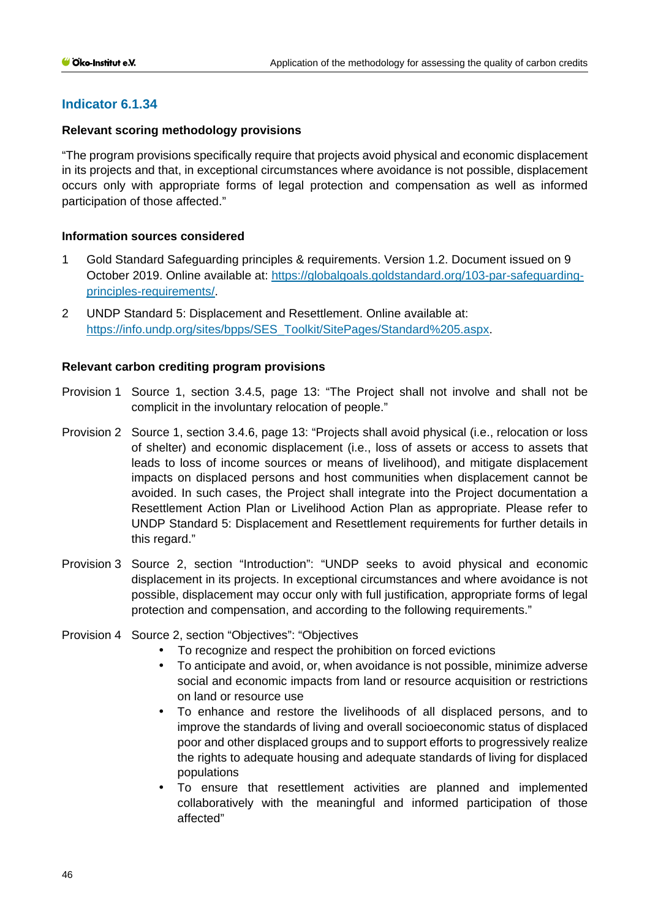# **Indicator 6.1.34**

### **Relevant scoring methodology provisions**

"The program provisions specifically require that projects avoid physical and economic displacement in its projects and that, in exceptional circumstances where avoidance is not possible, displacement occurs only with appropriate forms of legal protection and compensation as well as informed participation of those affected."

### **Information sources considered**

- 1 Gold Standard Safeguarding principles & requirements. Version 1.2. Document issued on 9 October 2019. Online available at: [https://globalgoals.goldstandard.org/103-par-safeguarding](https://globalgoals.goldstandard.org/103-par-safeguarding-principles-requirements/)[principles-requirements/.](https://globalgoals.goldstandard.org/103-par-safeguarding-principles-requirements/)
- 2 UNDP Standard 5: Displacement and Resettlement. Online available at: [https://info.undp.org/sites/bpps/SES\\_Toolkit/SitePages/Standard%205.aspx.](https://info.undp.org/sites/bpps/SES_Toolkit/SitePages/Standard%205.aspx)

# **Relevant carbon crediting program provisions**

- Provision 1 Source 1, section 3.4.5, page 13: "The Project shall not involve and shall not be complicit in the involuntary relocation of people."
- Provision 2 Source 1, section 3.4.6, page 13: "Projects shall avoid physical (i.e., relocation or loss of shelter) and economic displacement (i.e., loss of assets or access to assets that leads to loss of income sources or means of livelihood), and mitigate displacement impacts on displaced persons and host communities when displacement cannot be avoided. In such cases, the Project shall integrate into the Project documentation a Resettlement Action Plan or Livelihood Action Plan as appropriate. Please refer to UNDP Standard 5: Displacement and Resettlement requirements for further details in this regard."
- Provision 3 Source 2, section "Introduction": "UNDP seeks to avoid physical and economic displacement in its projects. In exceptional circumstances and where avoidance is not possible, displacement may occur only with full justification, appropriate forms of legal protection and compensation, and according to the following requirements."
- Provision 4 Source 2, section "Objectives": "Objectives
	- To recognize and respect the prohibition on forced evictions
	- $\mathcal{L}^{\text{max}}$ To anticipate and avoid, or, when avoidance is not possible, minimize adverse social and economic impacts from land or resource acquisition or restrictions on land or resource use
	- To enhance and restore the livelihoods of all displaced persons, and to  $\mathbf{r}$ improve the standards of living and overall socioeconomic status of displaced poor and other displaced groups and to support efforts to progressively realize the rights to adequate housing and adequate standards of living for displaced populations
	- To ensure that resettlement activities are planned and implemented collaboratively with the meaningful and informed participation of those affected"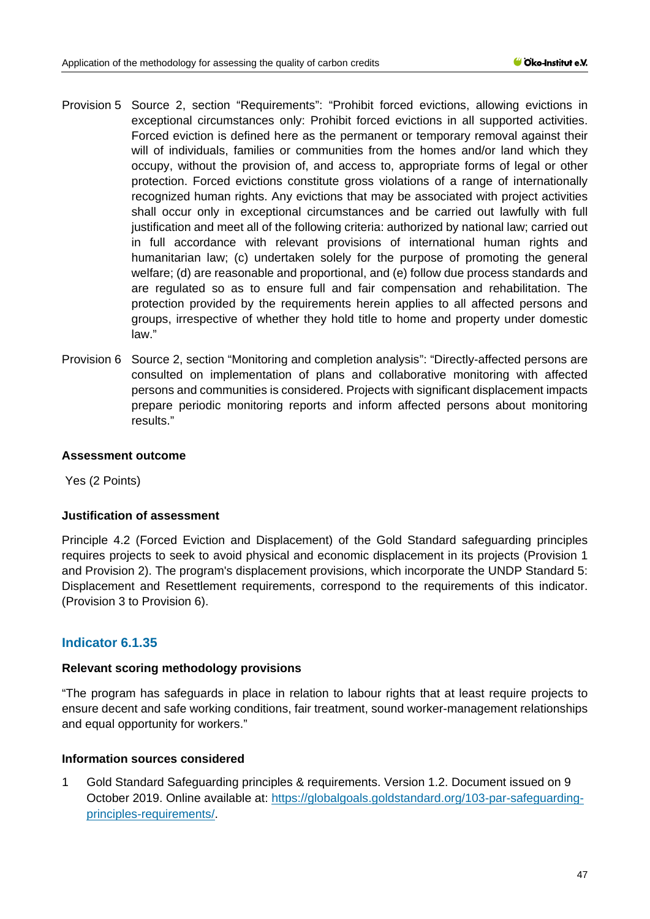- Provision 5 Source 2, section "Requirements": "Prohibit forced evictions, allowing evictions in exceptional circumstances only: Prohibit forced evictions in all supported activities. Forced eviction is defined here as the permanent or temporary removal against their will of individuals, families or communities from the homes and/or land which they occupy, without the provision of, and access to, appropriate forms of legal or other protection. Forced evictions constitute gross violations of a range of internationally recognized human rights. Any evictions that may be associated with project activities shall occur only in exceptional circumstances and be carried out lawfully with full justification and meet all of the following criteria: authorized by national law; carried out in full accordance with relevant provisions of international human rights and humanitarian law; (c) undertaken solely for the purpose of promoting the general welfare; (d) are reasonable and proportional, and (e) follow due process standards and are regulated so as to ensure full and fair compensation and rehabilitation. The protection provided by the requirements herein applies to all affected persons and groups, irrespective of whether they hold title to home and property under domestic law."
- Provision 6 Source 2, section "Monitoring and completion analysis": "Directly-affected persons are consulted on implementation of plans and collaborative monitoring with affected persons and communities is considered. Projects with significant displacement impacts prepare periodic monitoring reports and inform affected persons about monitoring results."

### **Assessment outcome**

Yes (2 Points)

# **Justification of assessment**

Principle 4.2 (Forced Eviction and Displacement) of the Gold Standard safeguarding principles requires projects to seek to avoid physical and economic displacement in its projects (Provision 1 and Provision 2). The program's displacement provisions, which incorporate the UNDP Standard 5: Displacement and Resettlement requirements, correspond to the requirements of this indicator. (Provision 3 to Provision 6).

# **Indicator 6.1.35**

#### **Relevant scoring methodology provisions**

"The program has safeguards in place in relation to labour rights that at least require projects to ensure decent and safe working conditions, fair treatment, sound worker-management relationships and equal opportunity for workers."

# **Information sources considered**

1 Gold Standard Safeguarding principles & requirements. Version 1.2. Document issued on 9 October 2019. Online available at: [https://globalgoals.goldstandard.org/103-par-safeguarding](https://globalgoals.goldstandard.org/103-par-safeguarding-principles-requirements/)[principles-requirements/.](https://globalgoals.goldstandard.org/103-par-safeguarding-principles-requirements/)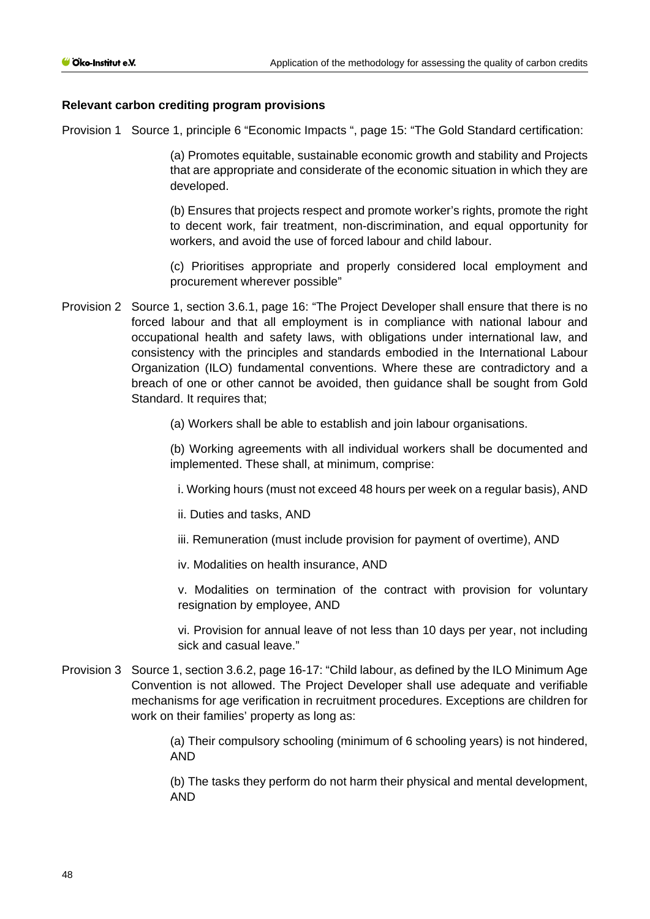# **Relevant carbon crediting program provisions**

Provision 1 Source 1, principle 6 "Economic Impacts ", page 15: "The Gold Standard certification:

(a) Promotes equitable, sustainable economic growth and stability and Projects that are appropriate and considerate of the economic situation in which they are developed.

(b) Ensures that projects respect and promote worker's rights, promote the right to decent work, fair treatment, non-discrimination, and equal opportunity for workers, and avoid the use of forced labour and child labour.

(c) Prioritises appropriate and properly considered local employment and procurement wherever possible"

Provision 2 Source 1, section 3.6.1, page 16: "The Project Developer shall ensure that there is no forced labour and that all employment is in compliance with national labour and occupational health and safety laws, with obligations under international law, and consistency with the principles and standards embodied in the International Labour Organization (ILO) fundamental conventions. Where these are contradictory and a breach of one or other cannot be avoided, then guidance shall be sought from Gold Standard. It requires that;

(a) Workers shall be able to establish and join labour organisations.

(b) Working agreements with all individual workers shall be documented and implemented. These shall, at minimum, comprise:

i. Working hours (must not exceed 48 hours per week on a regular basis), AND

ii. Duties and tasks, AND

iii. Remuneration (must include provision for payment of overtime), AND

iv. Modalities on health insurance, AND

v. Modalities on termination of the contract with provision for voluntary resignation by employee, AND

vi. Provision for annual leave of not less than 10 days per year, not including sick and casual leave."

Provision 3 Source 1, section 3.6.2, page 16-17: "Child labour, as defined by the ILO Minimum Age Convention is not allowed. The Project Developer shall use adequate and verifiable mechanisms for age verification in recruitment procedures. Exceptions are children for work on their families' property as long as:

> (a) Their compulsory schooling (minimum of 6 schooling years) is not hindered, AND

> (b) The tasks they perform do not harm their physical and mental development, AND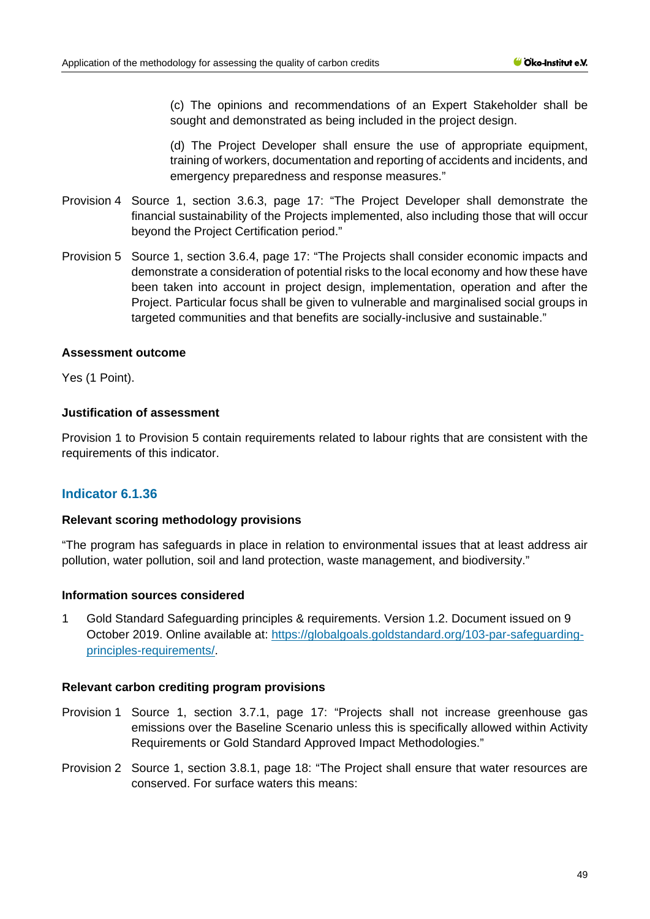(c) The opinions and recommendations of an Expert Stakeholder shall be sought and demonstrated as being included in the project design.

(d) The Project Developer shall ensure the use of appropriate equipment, training of workers, documentation and reporting of accidents and incidents, and emergency preparedness and response measures."

- Provision 4 Source 1, section 3.6.3, page 17: "The Project Developer shall demonstrate the financial sustainability of the Projects implemented, also including those that will occur beyond the Project Certification period."
- Provision 5 Source 1, section 3.6.4, page 17: "The Projects shall consider economic impacts and demonstrate a consideration of potential risks to the local economy and how these have been taken into account in project design, implementation, operation and after the Project. Particular focus shall be given to vulnerable and marginalised social groups in targeted communities and that benefits are socially-inclusive and sustainable."

#### **Assessment outcome**

Yes (1 Point).

### **Justification of assessment**

Provision 1 to Provision 5 contain requirements related to labour rights that are consistent with the requirements of this indicator.

# **Indicator 6.1.36**

#### **Relevant scoring methodology provisions**

"The program has safeguards in place in relation to environmental issues that at least address air pollution, water pollution, soil and land protection, waste management, and biodiversity."

### **Information sources considered**

1 Gold Standard Safeguarding principles & requirements. Version 1.2. Document issued on 9 October 2019. Online available at: [https://globalgoals.goldstandard.org/103-par-safeguarding](https://globalgoals.goldstandard.org/103-par-safeguarding-principles-requirements/)[principles-requirements/.](https://globalgoals.goldstandard.org/103-par-safeguarding-principles-requirements/)

#### **Relevant carbon crediting program provisions**

- Provision 1 Source 1, section 3.7.1, page 17: "Projects shall not increase greenhouse gas emissions over the Baseline Scenario unless this is specifically allowed within Activity Requirements or Gold Standard Approved Impact Methodologies."
- Provision 2 Source 1, section 3.8.1, page 18: "The Project shall ensure that water resources are conserved. For surface waters this means: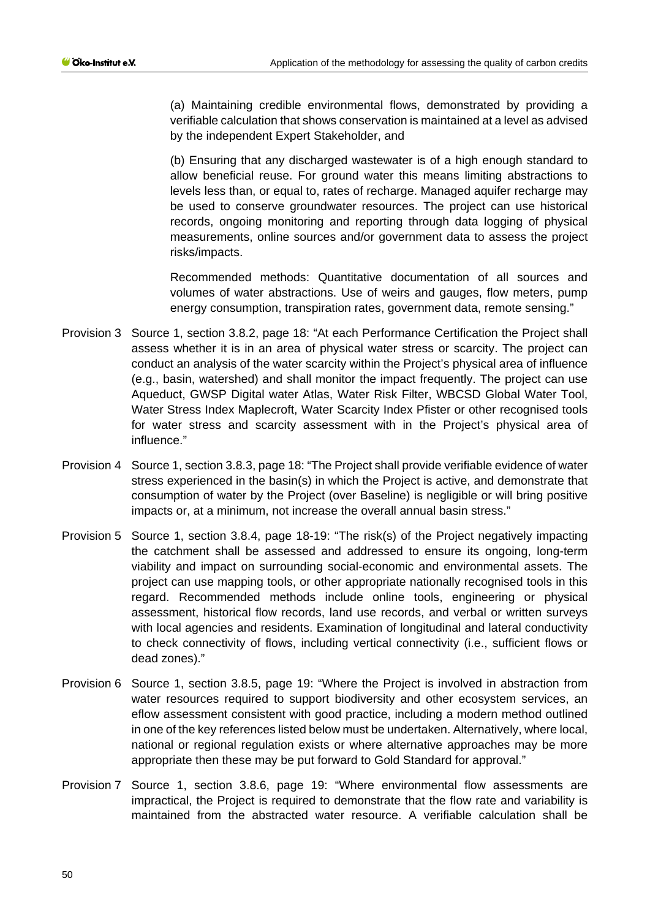(a) Maintaining credible environmental flows, demonstrated by providing a verifiable calculation that shows conservation is maintained at a level as advised by the independent Expert Stakeholder, and

(b) Ensuring that any discharged wastewater is of a high enough standard to allow beneficial reuse. For ground water this means limiting abstractions to levels less than, or equal to, rates of recharge. Managed aquifer recharge may be used to conserve groundwater resources. The project can use historical records, ongoing monitoring and reporting through data logging of physical measurements, online sources and/or government data to assess the project risks/impacts.

Recommended methods: Quantitative documentation of all sources and volumes of water abstractions. Use of weirs and gauges, flow meters, pump energy consumption, transpiration rates, government data, remote sensing."

- Provision 3 Source 1, section 3.8.2, page 18: "At each Performance Certification the Project shall assess whether it is in an area of physical water stress or scarcity. The project can conduct an analysis of the water scarcity within the Project's physical area of influence (e.g., basin, watershed) and shall monitor the impact frequently. The project can use Aqueduct, GWSP Digital water Atlas, Water Risk Filter, WBCSD Global Water Tool, Water Stress Index Maplecroft, Water Scarcity Index Pfister or other recognised tools for water stress and scarcity assessment with in the Project's physical area of influence."
- Provision 4 Source 1, section 3.8.3, page 18: "The Project shall provide verifiable evidence of water stress experienced in the basin(s) in which the Project is active, and demonstrate that consumption of water by the Project (over Baseline) is negligible or will bring positive impacts or, at a minimum, not increase the overall annual basin stress."
- Provision 5 Source 1, section 3.8.4, page 18-19: "The risk(s) of the Project negatively impacting the catchment shall be assessed and addressed to ensure its ongoing, long-term viability and impact on surrounding social-economic and environmental assets. The project can use mapping tools, or other appropriate nationally recognised tools in this regard. Recommended methods include online tools, engineering or physical assessment, historical flow records, land use records, and verbal or written surveys with local agencies and residents. Examination of longitudinal and lateral conductivity to check connectivity of flows, including vertical connectivity (i.e., sufficient flows or dead zones)."
- Provision 6 Source 1, section 3.8.5, page 19: "Where the Project is involved in abstraction from water resources required to support biodiversity and other ecosystem services, an eflow assessment consistent with good practice, including a modern method outlined in one of the key references listed below must be undertaken. Alternatively, where local, national or regional regulation exists or where alternative approaches may be more appropriate then these may be put forward to Gold Standard for approval."
- Provision 7 Source 1, section 3.8.6, page 19: "Where environmental flow assessments are impractical, the Project is required to demonstrate that the flow rate and variability is maintained from the abstracted water resource. A verifiable calculation shall be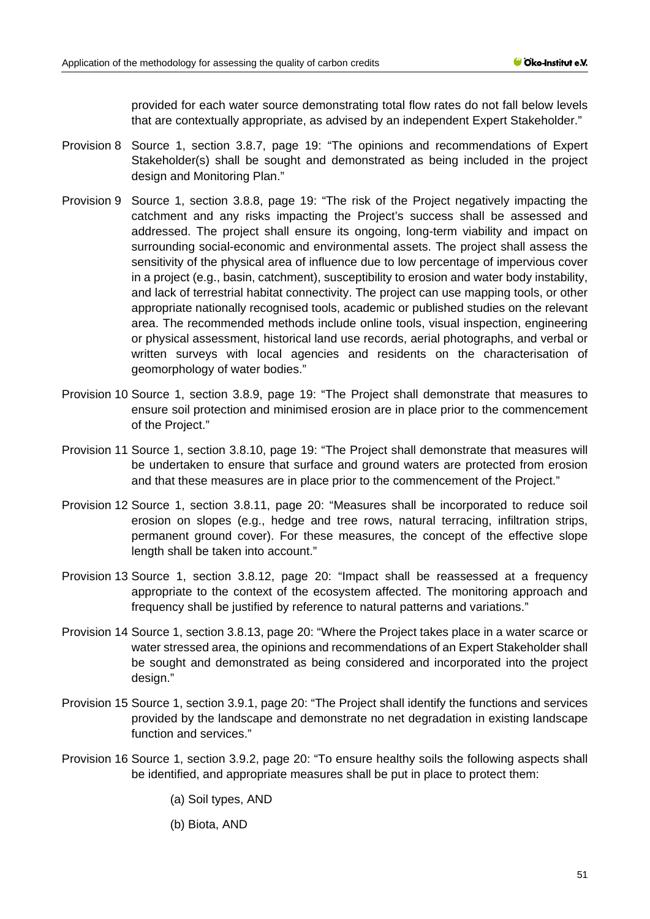provided for each water source demonstrating total flow rates do not fall below levels that are contextually appropriate, as advised by an independent Expert Stakeholder."

- Provision 8 Source 1, section 3.8.7, page 19: "The opinions and recommendations of Expert Stakeholder(s) shall be sought and demonstrated as being included in the project design and Monitoring Plan."
- Provision 9 Source 1, section 3.8.8, page 19: "The risk of the Project negatively impacting the catchment and any risks impacting the Project's success shall be assessed and addressed. The project shall ensure its ongoing, long-term viability and impact on surrounding social-economic and environmental assets. The project shall assess the sensitivity of the physical area of influence due to low percentage of impervious cover in a project (e.g., basin, catchment), susceptibility to erosion and water body instability, and lack of terrestrial habitat connectivity. The project can use mapping tools, or other appropriate nationally recognised tools, academic or published studies on the relevant area. The recommended methods include online tools, visual inspection, engineering or physical assessment, historical land use records, aerial photographs, and verbal or written surveys with local agencies and residents on the characterisation of geomorphology of water bodies."
- Provision 10 Source 1, section 3.8.9, page 19: "The Project shall demonstrate that measures to ensure soil protection and minimised erosion are in place prior to the commencement of the Project."
- Provision 11 Source 1, section 3.8.10, page 19: "The Project shall demonstrate that measures will be undertaken to ensure that surface and ground waters are protected from erosion and that these measures are in place prior to the commencement of the Project."
- Provision 12 Source 1, section 3.8.11, page 20: "Measures shall be incorporated to reduce soil erosion on slopes (e.g., hedge and tree rows, natural terracing, infiltration strips, permanent ground cover). For these measures, the concept of the effective slope length shall be taken into account."
- Provision 13 Source 1, section 3.8.12, page 20: "Impact shall be reassessed at a frequency appropriate to the context of the ecosystem affected. The monitoring approach and frequency shall be justified by reference to natural patterns and variations."
- Provision 14 Source 1, section 3.8.13, page 20: "Where the Project takes place in a water scarce or water stressed area, the opinions and recommendations of an Expert Stakeholder shall be sought and demonstrated as being considered and incorporated into the project design."
- Provision 15 Source 1, section 3.9.1, page 20: "The Project shall identify the functions and services provided by the landscape and demonstrate no net degradation in existing landscape function and services."
- Provision 16 Source 1, section 3.9.2, page 20: "To ensure healthy soils the following aspects shall be identified, and appropriate measures shall be put in place to protect them:

(a) Soil types, AND

(b) Biota, AND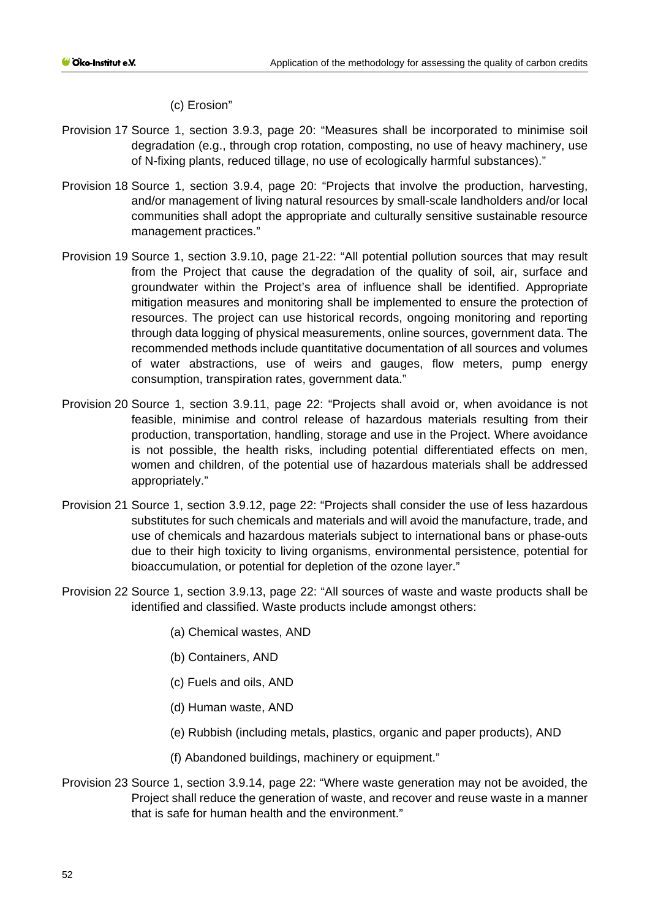(c) Erosion"

- Provision 17 Source 1, section 3.9.3, page 20: "Measures shall be incorporated to minimise soil degradation (e.g., through crop rotation, composting, no use of heavy machinery, use of N-fixing plants, reduced tillage, no use of ecologically harmful substances)."
- Provision 18 Source 1, section 3.9.4, page 20: "Projects that involve the production, harvesting, and/or management of living natural resources by small-scale landholders and/or local communities shall adopt the appropriate and culturally sensitive sustainable resource management practices."
- Provision 19 Source 1, section 3.9.10, page 21-22: "All potential pollution sources that may result from the Project that cause the degradation of the quality of soil, air, surface and groundwater within the Project's area of influence shall be identified. Appropriate mitigation measures and monitoring shall be implemented to ensure the protection of resources. The project can use historical records, ongoing monitoring and reporting through data logging of physical measurements, online sources, government data. The recommended methods include quantitative documentation of all sources and volumes of water abstractions, use of weirs and gauges, flow meters, pump energy consumption, transpiration rates, government data."
- Provision 20 Source 1, section 3.9.11, page 22: "Projects shall avoid or, when avoidance is not feasible, minimise and control release of hazardous materials resulting from their production, transportation, handling, storage and use in the Project. Where avoidance is not possible, the health risks, including potential differentiated effects on men, women and children, of the potential use of hazardous materials shall be addressed appropriately."
- Provision 21 Source 1, section 3.9.12, page 22: "Projects shall consider the use of less hazardous substitutes for such chemicals and materials and will avoid the manufacture, trade, and use of chemicals and hazardous materials subject to international bans or phase-outs due to their high toxicity to living organisms, environmental persistence, potential for bioaccumulation, or potential for depletion of the ozone layer."
- Provision 22 Source 1, section 3.9.13, page 22: "All sources of waste and waste products shall be identified and classified. Waste products include amongst others:
	- (a) Chemical wastes, AND
	- (b) Containers, AND
	- (c) Fuels and oils, AND
	- (d) Human waste, AND
	- (e) Rubbish (including metals, plastics, organic and paper products), AND
	- (f) Abandoned buildings, machinery or equipment."
- Provision 23 Source 1, section 3.9.14, page 22: "Where waste generation may not be avoided, the Project shall reduce the generation of waste, and recover and reuse waste in a manner that is safe for human health and the environment."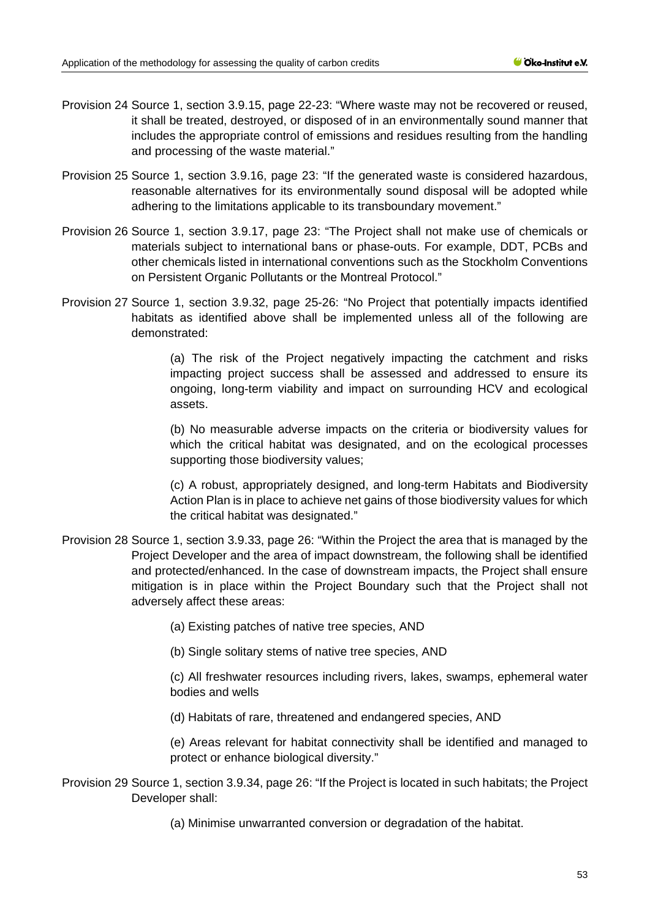- Provision 24 Source 1, section 3.9.15, page 22-23: "Where waste may not be recovered or reused, it shall be treated, destroyed, or disposed of in an environmentally sound manner that includes the appropriate control of emissions and residues resulting from the handling and processing of the waste material."
- Provision 25 Source 1, section 3.9.16, page 23: "If the generated waste is considered hazardous, reasonable alternatives for its environmentally sound disposal will be adopted while adhering to the limitations applicable to its transboundary movement."
- Provision 26 Source 1, section 3.9.17, page 23: "The Project shall not make use of chemicals or materials subject to international bans or phase-outs. For example, DDT, PCBs and other chemicals listed in international conventions such as the Stockholm Conventions on Persistent Organic Pollutants or the Montreal Protocol."
- Provision 27 Source 1, section 3.9.32, page 25-26: "No Project that potentially impacts identified habitats as identified above shall be implemented unless all of the following are demonstrated:

(a) The risk of the Project negatively impacting the catchment and risks impacting project success shall be assessed and addressed to ensure its ongoing, long-term viability and impact on surrounding HCV and ecological assets.

(b) No measurable adverse impacts on the criteria or biodiversity values for which the critical habitat was designated, and on the ecological processes supporting those biodiversity values;

(c) A robust, appropriately designed, and long-term Habitats and Biodiversity Action Plan is in place to achieve net gains of those biodiversity values for which the critical habitat was designated."

Provision 28 Source 1, section 3.9.33, page 26: "Within the Project the area that is managed by the Project Developer and the area of impact downstream, the following shall be identified and protected/enhanced. In the case of downstream impacts, the Project shall ensure mitigation is in place within the Project Boundary such that the Project shall not adversely affect these areas:

(a) Existing patches of native tree species, AND

(b) Single solitary stems of native tree species, AND

(c) All freshwater resources including rivers, lakes, swamps, ephemeral water bodies and wells

(d) Habitats of rare, threatened and endangered species, AND

(e) Areas relevant for habitat connectivity shall be identified and managed to protect or enhance biological diversity."

Provision 29 Source 1, section 3.9.34, page 26: "If the Project is located in such habitats; the Project Developer shall:

(a) Minimise unwarranted conversion or degradation of the habitat.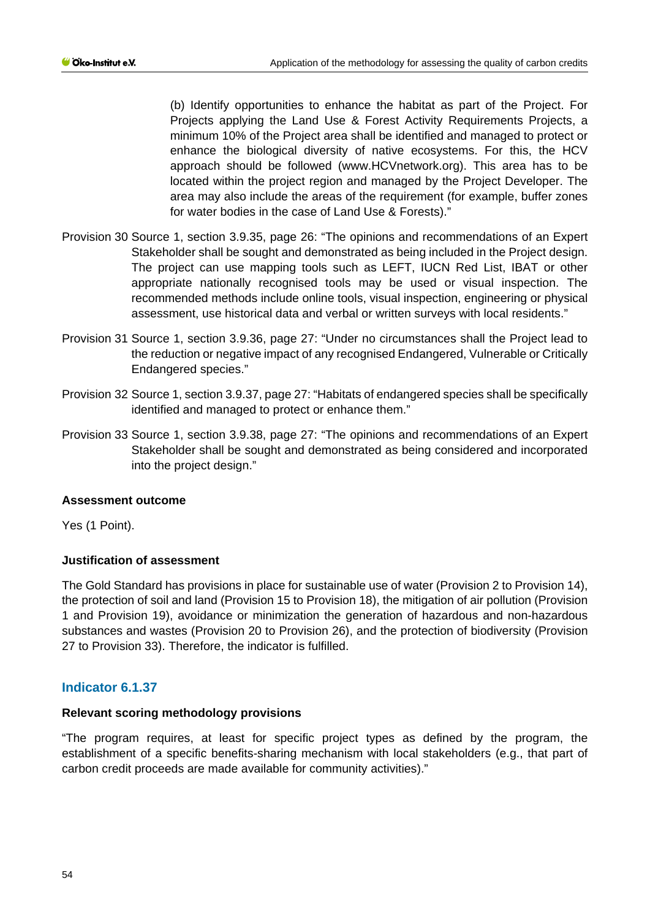(b) Identify opportunities to enhance the habitat as part of the Project. For Projects applying the Land Use & Forest Activity Requirements Projects, a minimum 10% of the Project area shall be identified and managed to protect or enhance the biological diversity of native ecosystems. For this, the HCV approach should be followed (www.HCVnetwork.org). This area has to be located within the project region and managed by the Project Developer. The area may also include the areas of the requirement (for example, buffer zones for water bodies in the case of Land Use & Forests)."

- Provision 30 Source 1, section 3.9.35, page 26: "The opinions and recommendations of an Expert Stakeholder shall be sought and demonstrated as being included in the Project design. The project can use mapping tools such as LEFT, IUCN Red List, IBAT or other appropriate nationally recognised tools may be used or visual inspection. The recommended methods include online tools, visual inspection, engineering or physical assessment, use historical data and verbal or written surveys with local residents."
- Provision 31 Source 1, section 3.9.36, page 27: "Under no circumstances shall the Project lead to the reduction or negative impact of any recognised Endangered, Vulnerable or Critically Endangered species."
- Provision 32 Source 1, section 3.9.37, page 27: "Habitats of endangered species shall be specifically identified and managed to protect or enhance them."
- Provision 33 Source 1, section 3.9.38, page 27: "The opinions and recommendations of an Expert Stakeholder shall be sought and demonstrated as being considered and incorporated into the project design."

#### **Assessment outcome**

Yes (1 Point).

# **Justification of assessment**

The Gold Standard has provisions in place for sustainable use of water (Provision 2 to Provision 14), the protection of soil and land (Provision 15 to Provision 18), the mitigation of air pollution (Provision 1 and Provision 19), avoidance or minimization the generation of hazardous and non-hazardous substances and wastes (Provision 20 to Provision 26), and the protection of biodiversity (Provision 27 to Provision 33). Therefore, the indicator is fulfilled.

# **Indicator 6.1.37**

# **Relevant scoring methodology provisions**

"The program requires, at least for specific project types as defined by the program, the establishment of a specific benefits-sharing mechanism with local stakeholders (e.g., that part of carbon credit proceeds are made available for community activities)."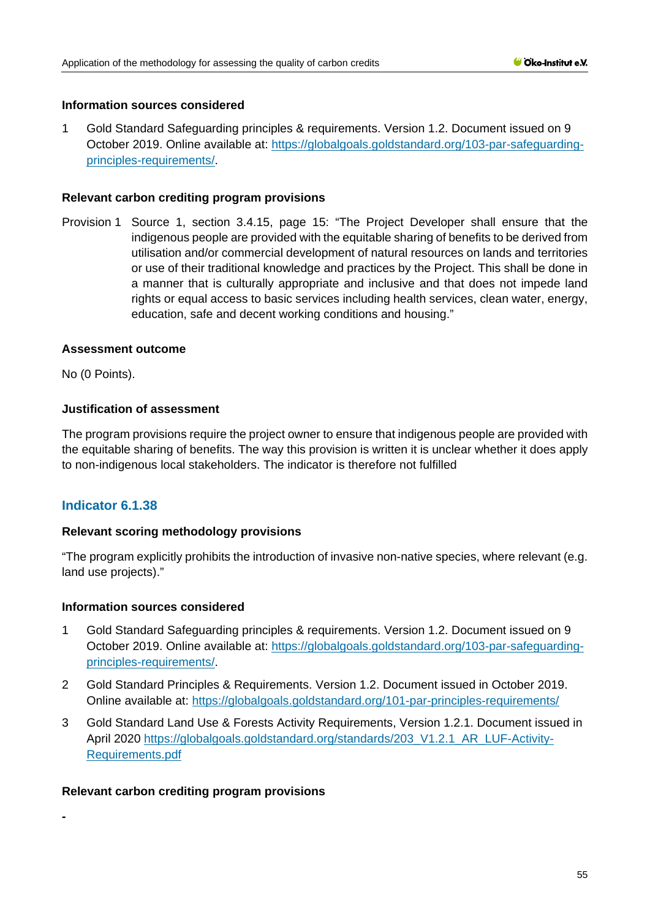### **Information sources considered**

1 Gold Standard Safeguarding principles & requirements. Version 1.2. Document issued on 9 October 2019. Online available at: [https://globalgoals.goldstandard.org/103-par-safeguarding](https://globalgoals.goldstandard.org/103-par-safeguarding-principles-requirements/)[principles-requirements/.](https://globalgoals.goldstandard.org/103-par-safeguarding-principles-requirements/)

### **Relevant carbon crediting program provisions**

Provision 1 Source 1, section 3.4.15, page 15: "The Project Developer shall ensure that the indigenous people are provided with the equitable sharing of benefits to be derived from utilisation and/or commercial development of natural resources on lands and territories or use of their traditional knowledge and practices by the Project. This shall be done in a manner that is culturally appropriate and inclusive and that does not impede land rights or equal access to basic services including health services, clean water, energy, education, safe and decent working conditions and housing."

### **Assessment outcome**

No (0 Points).

### **Justification of assessment**

The program provisions require the project owner to ensure that indigenous people are provided with the equitable sharing of benefits. The way this provision is written it is unclear whether it does apply to non-indigenous local stakeholders. The indicator is therefore not fulfilled

# **Indicator 6.1.38**

# **Relevant scoring methodology provisions**

"The program explicitly prohibits the introduction of invasive non-native species, where relevant (e.g. land use projects)."

#### **Information sources considered**

- 1 Gold Standard Safeguarding principles & requirements. Version 1.2. Document issued on 9 October 2019. Online available at: [https://globalgoals.goldstandard.org/103-par-safeguarding](https://globalgoals.goldstandard.org/103-par-safeguarding-principles-requirements/)[principles-requirements/.](https://globalgoals.goldstandard.org/103-par-safeguarding-principles-requirements/)
- 2 Gold Standard Principles & Requirements. Version 1.2. Document issued in October 2019. Online available at:<https://globalgoals.goldstandard.org/101-par-principles-requirements/>
- 3 Gold Standard Land Use & Forests Activity Requirements, Version 1.2.1. Document issued in April 2020 [https://globalgoals.goldstandard.org/standards/203\\_V1.2.1\\_AR\\_LUF-Activity-](https://globalgoals.goldstandard.org/standards/203_V1.2.1_AR_LUF-Activity-Requirements.pdf)[Requirements.pdf](https://globalgoals.goldstandard.org/standards/203_V1.2.1_AR_LUF-Activity-Requirements.pdf)

#### **Relevant carbon crediting program provisions**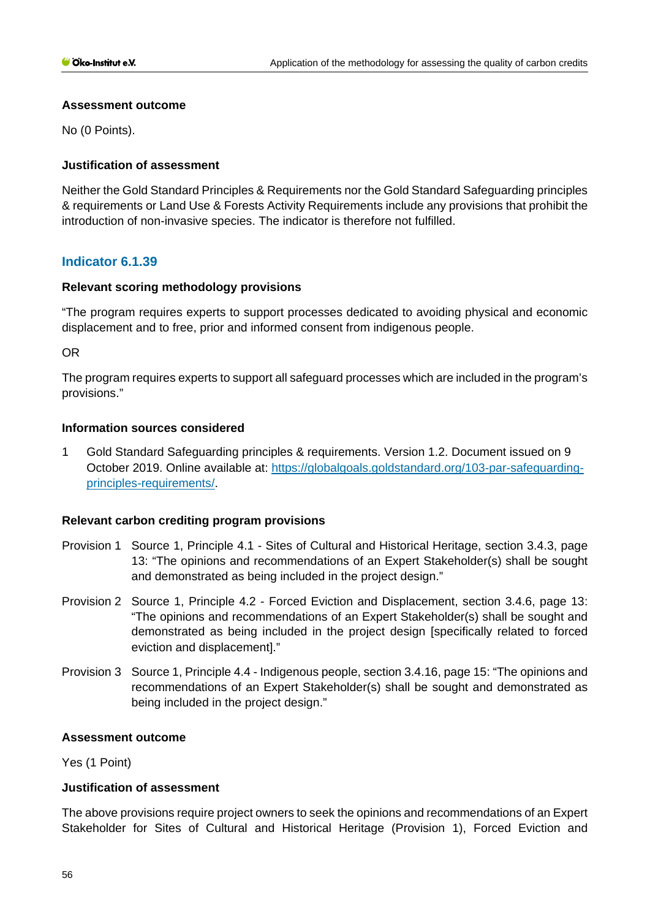### **Assessment outcome**

No (0 Points).

# **Justification of assessment**

Neither the Gold Standard Principles & Requirements nor the Gold Standard Safeguarding principles & requirements or Land Use & Forests Activity Requirements include any provisions that prohibit the introduction of non-invasive species. The indicator is therefore not fulfilled.

# **Indicator 6.1.39**

# **Relevant scoring methodology provisions**

"The program requires experts to support processes dedicated to avoiding physical and economic displacement and to free, prior and informed consent from indigenous people.

OR

The program requires experts to support all safeguard processes which are included in the program's provisions."

### **Information sources considered**

1 Gold Standard Safeguarding principles & requirements. Version 1.2. Document issued on 9 October 2019. Online available at: [https://globalgoals.goldstandard.org/103-par-safeguarding](https://globalgoals.goldstandard.org/103-par-safeguarding-principles-requirements/)[principles-requirements/.](https://globalgoals.goldstandard.org/103-par-safeguarding-principles-requirements/)

# **Relevant carbon crediting program provisions**

- Provision 1 Source 1, Principle 4.1 Sites of Cultural and Historical Heritage, section 3.4.3, page 13: "The opinions and recommendations of an Expert Stakeholder(s) shall be sought and demonstrated as being included in the project design."
- Provision 2 Source 1, Principle 4.2 Forced Eviction and Displacement, section 3.4.6, page 13: "The opinions and recommendations of an Expert Stakeholder(s) shall be sought and demonstrated as being included in the project design [specifically related to forced eviction and displacement]."
- Provision 3 Source 1, Principle 4.4 Indigenous people, section 3.4.16, page 15: "The opinions and recommendations of an Expert Stakeholder(s) shall be sought and demonstrated as being included in the project design."

#### **Assessment outcome**

Yes (1 Point)

# **Justification of assessment**

The above provisions require project owners to seek the opinions and recommendations of an Expert Stakeholder for Sites of Cultural and Historical Heritage (Provision 1), Forced Eviction and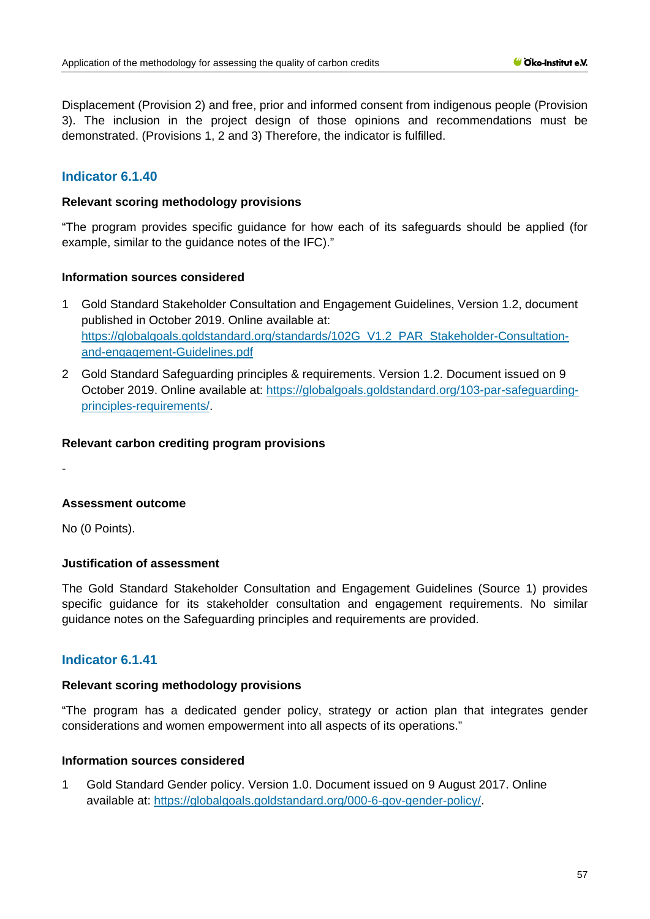Displacement (Provision 2) and free, prior and informed consent from indigenous people (Provision 3). The inclusion in the project design of those opinions and recommendations must be demonstrated. (Provisions 1, 2 and 3) Therefore, the indicator is fulfilled.

# **Indicator 6.1.40**

### **Relevant scoring methodology provisions**

"The program provides specific guidance for how each of its safeguards should be applied (for example, similar to the guidance notes of the IFC)."

#### **Information sources considered**

- 1 Gold Standard Stakeholder Consultation and Engagement Guidelines, Version 1.2, document published in October 2019. Online available at: [https://globalgoals.goldstandard.org/standards/102G\\_V1.2\\_PAR\\_Stakeholder-Consultation](https://globalgoals.goldstandard.org/standards/102G_V1.2_PAR_Stakeholder-Consultation-and-engagement-Guidelines.pdf)[and-engagement-Guidelines.pdf](https://globalgoals.goldstandard.org/standards/102G_V1.2_PAR_Stakeholder-Consultation-and-engagement-Guidelines.pdf)
- 2 Gold Standard Safeguarding principles & requirements. Version 1.2. Document issued on 9 October 2019. Online available at: [https://globalgoals.goldstandard.org/103-par-safeguarding](https://globalgoals.goldstandard.org/103-par-safeguarding-principles-requirements/)[principles-requirements/.](https://globalgoals.goldstandard.org/103-par-safeguarding-principles-requirements/)

### **Relevant carbon crediting program provisions**

-

# **Assessment outcome**

No (0 Points).

# **Justification of assessment**

The Gold Standard Stakeholder Consultation and Engagement Guidelines (Source 1) provides specific guidance for its stakeholder consultation and engagement requirements. No similar guidance notes on the Safeguarding principles and requirements are provided.

# **Indicator 6.1.41**

### **Relevant scoring methodology provisions**

"The program has a dedicated gender policy, strategy or action plan that integrates gender considerations and women empowerment into all aspects of its operations."

# **Information sources considered**

1 Gold Standard Gender policy. Version 1.0. Document issued on 9 August 2017. Online available at: [https://globalgoals.goldstandard.org/000-6-gov-gender-policy/.](https://globalgoals.goldstandard.org/000-6-gov-gender-policy/)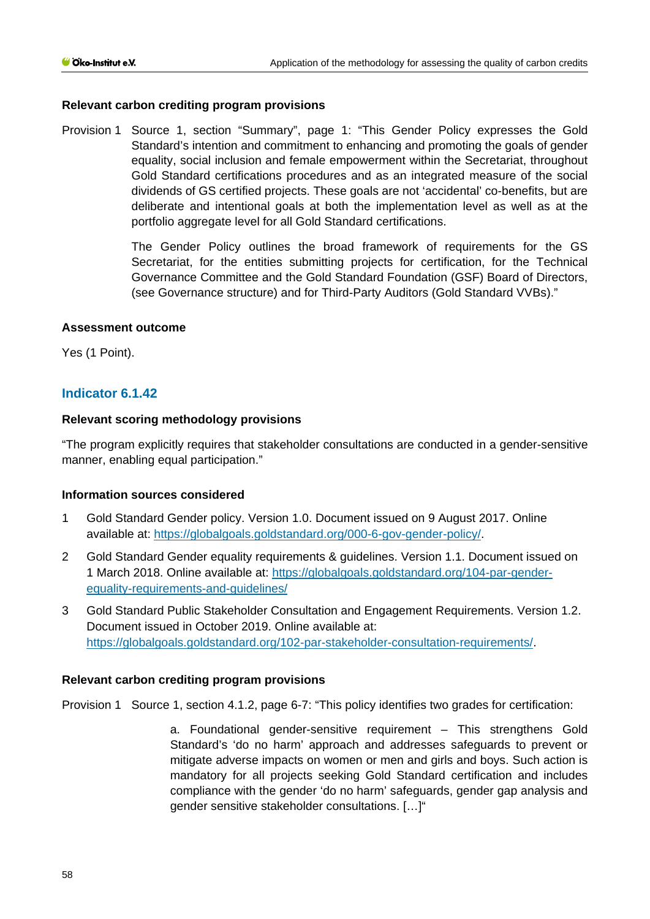### **Relevant carbon crediting program provisions**

Provision 1 Source 1, section "Summary", page 1: "This Gender Policy expresses the Gold Standard's intention and commitment to enhancing and promoting the goals of gender equality, social inclusion and female empowerment within the Secretariat, throughout Gold Standard certifications procedures and as an integrated measure of the social dividends of GS certified projects. These goals are not 'accidental' co-benefits, but are deliberate and intentional goals at both the implementation level as well as at the portfolio aggregate level for all Gold Standard certifications.

> The Gender Policy outlines the broad framework of requirements for the GS Secretariat, for the entities submitting projects for certification, for the Technical Governance Committee and the Gold Standard Foundation (GSF) Board of Directors, (see Governance structure) and for Third-Party Auditors (Gold Standard VVBs)."

### **Assessment outcome**

Yes (1 Point).

# **Indicator 6.1.42**

### **Relevant scoring methodology provisions**

"The program explicitly requires that stakeholder consultations are conducted in a gender-sensitive manner, enabling equal participation."

#### **Information sources considered**

- 1 Gold Standard Gender policy. Version 1.0. Document issued on 9 August 2017. Online available at: [https://globalgoals.goldstandard.org/000-6-gov-gender-policy/.](https://globalgoals.goldstandard.org/000-6-gov-gender-policy/)
- 2 Gold Standard Gender equality requirements & guidelines. Version 1.1. Document issued on 1 March 2018. Online available at: [https://globalgoals.goldstandard.org/104-par-gender](https://globalgoals.goldstandard.org/104-par-gender-equality-requirements-and-guidelines/)[equality-requirements-and-guidelines/](https://globalgoals.goldstandard.org/104-par-gender-equality-requirements-and-guidelines/)
- 3 Gold Standard Public Stakeholder Consultation and Engagement Requirements. Version 1.2. Document issued in October 2019. Online available at: [https://globalgoals.goldstandard.org/102-par-stakeholder-consultation-requirements/.](https://globalgoals.goldstandard.org/000-7-gov-stakeholder-consultation-policy/)

# **Relevant carbon crediting program provisions**

Provision 1 Source 1, section 4.1.2, page 6-7: "This policy identifies two grades for certification:

a. Foundational gender-sensitive requirement – This strengthens Gold Standard's 'do no harm' approach and addresses safeguards to prevent or mitigate adverse impacts on women or men and girls and boys. Such action is mandatory for all projects seeking Gold Standard certification and includes compliance with the gender 'do no harm' safeguards, gender gap analysis and gender sensitive stakeholder consultations. […]"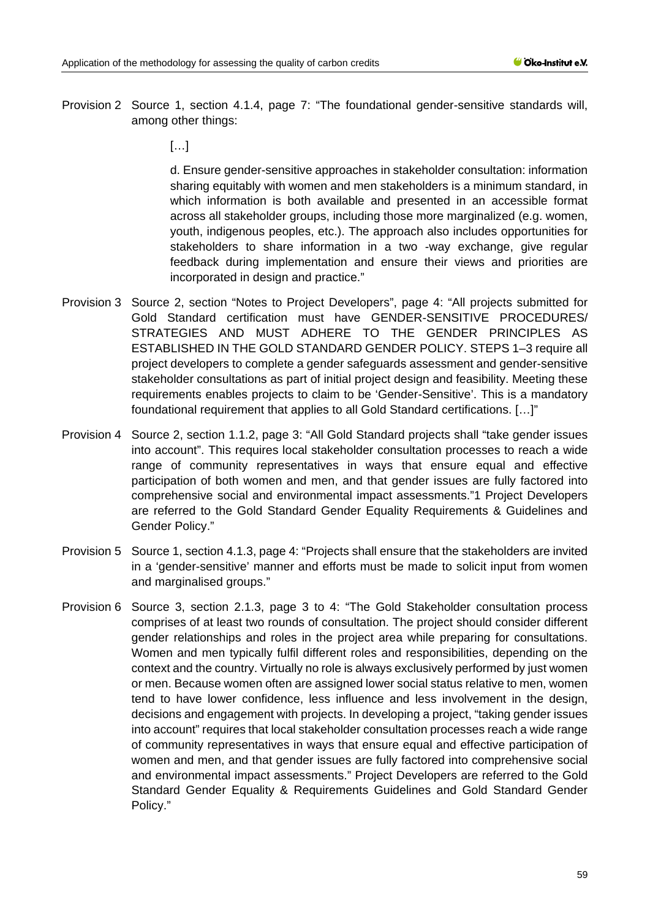- Provision 2 Source 1, section 4.1.4, page 7: "The foundational gender-sensitive standards will, among other things:
	- […]

d. Ensure gender-sensitive approaches in stakeholder consultation: information sharing equitably with women and men stakeholders is a minimum standard, in which information is both available and presented in an accessible format across all stakeholder groups, including those more marginalized (e.g. women, youth, indigenous peoples, etc.). The approach also includes opportunities for stakeholders to share information in a two -way exchange, give regular feedback during implementation and ensure their views and priorities are incorporated in design and practice."

- Provision 3 Source 2, section "Notes to Project Developers", page 4: "All projects submitted for Gold Standard certification must have GENDER-SENSITIVE PROCEDURES/ STRATEGIES AND MUST ADHERE TO THE GENDER PRINCIPLES AS ESTABLISHED IN THE GOLD STANDARD GENDER POLICY. STEPS 1–3 require all project developers to complete a gender safeguards assessment and gender-sensitive stakeholder consultations as part of initial project design and feasibility. Meeting these requirements enables projects to claim to be 'Gender-Sensitive'. This is a mandatory foundational requirement that applies to all Gold Standard certifications. […]"
- Provision 4 Source 2, section 1.1.2, page 3: "All Gold Standard projects shall "take gender issues into account". This requires local stakeholder consultation processes to reach a wide range of community representatives in ways that ensure equal and effective participation of both women and men, and that gender issues are fully factored into comprehensive social and environmental impact assessments."1 Project Developers are referred to the Gold Standard Gender Equality Requirements & Guidelines and Gender Policy."
- Provision 5 Source 1, section 4.1.3, page 4: "Projects shall ensure that the stakeholders are invited in a 'gender-sensitive' manner and efforts must be made to solicit input from women and marginalised groups."
- Provision 6 Source 3, section 2.1.3, page 3 to 4: "The Gold Stakeholder consultation process comprises of at least two rounds of consultation. The project should consider different gender relationships and roles in the project area while preparing for consultations. Women and men typically fulfil different roles and responsibilities, depending on the context and the country. Virtually no role is always exclusively performed by just women or men. Because women often are assigned lower social status relative to men, women tend to have lower confidence, less influence and less involvement in the design, decisions and engagement with projects. In developing a project, "taking gender issues into account" requires that local stakeholder consultation processes reach a wide range of community representatives in ways that ensure equal and effective participation of women and men, and that gender issues are fully factored into comprehensive social and environmental impact assessments." Project Developers are referred to the Gold Standard Gender Equality & Requirements Guidelines and Gold Standard Gender Policy."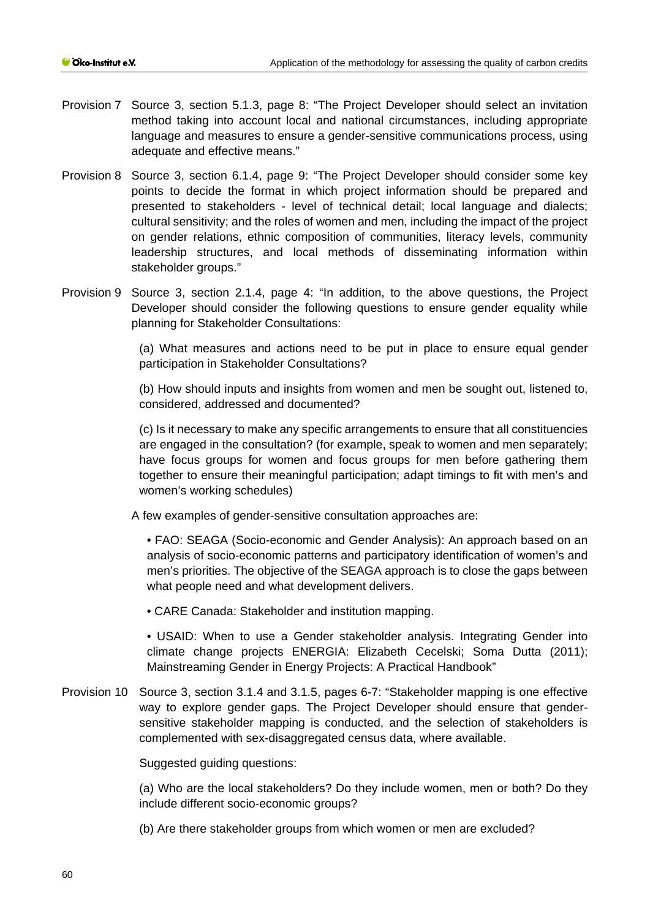- Provision 7 Source 3, section 5.1.3, page 8: "The Project Developer should select an invitation method taking into account local and national circumstances, including appropriate language and measures to ensure a gender-sensitive communications process, using adequate and effective means."
- Provision 8 Source 3, section 6.1.4, page 9: "The Project Developer should consider some key points to decide the format in which project information should be prepared and presented to stakeholders - level of technical detail; local language and dialects; cultural sensitivity; and the roles of women and men, including the impact of the project on gender relations, ethnic composition of communities, literacy levels, community leadership structures, and local methods of disseminating information within stakeholder groups."
- Provision 9 Source 3, section 2.1.4, page 4: "In addition, to the above questions, the Project Developer should consider the following questions to ensure gender equality while planning for Stakeholder Consultations:

(a) What measures and actions need to be put in place to ensure equal gender participation in Stakeholder Consultations?

(b) How should inputs and insights from women and men be sought out, listened to, considered, addressed and documented?

(c) Is it necessary to make any specific arrangements to ensure that all constituencies are engaged in the consultation? (for example, speak to women and men separately; have focus groups for women and focus groups for men before gathering them together to ensure their meaningful participation; adapt timings to fit with men's and women's working schedules)

A few examples of gender-sensitive consultation approaches are:

• FAO: SEAGA (Socio-economic and Gender Analysis): An approach based on an analysis of socio-economic patterns and participatory identification of women's and men's priorities. The objective of the SEAGA approach is to close the gaps between what people need and what development delivers.

• CARE Canada: Stakeholder and institution mapping.

• USAID: When to use a Gender stakeholder analysis. Integrating Gender into climate change projects ENERGIA: Elizabeth Cecelski; Soma Dutta (2011); Mainstreaming Gender in Energy Projects: A Practical Handbook"

Provision 10 Source 3, section 3.1.4 and 3.1.5, pages 6-7: "Stakeholder mapping is one effective way to explore gender gaps. The Project Developer should ensure that gendersensitive stakeholder mapping is conducted, and the selection of stakeholders is complemented with sex-disaggregated census data, where available.

Suggested guiding questions:

(a) Who are the local stakeholders? Do they include women, men or both? Do they include different socio-economic groups?

(b) Are there stakeholder groups from which women or men are excluded?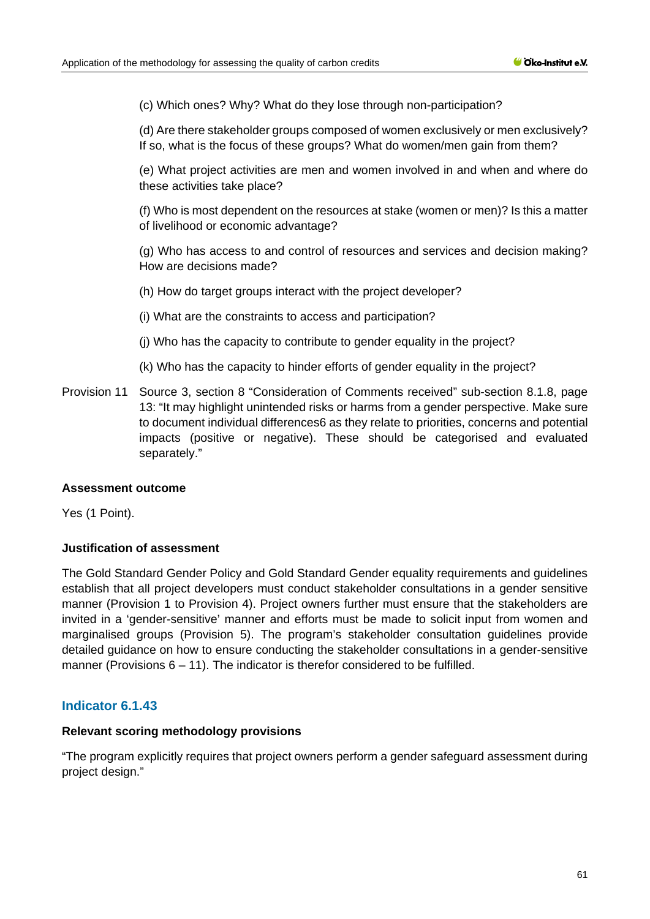(c) Which ones? Why? What do they lose through non-participation?

(d) Are there stakeholder groups composed of women exclusively or men exclusively? If so, what is the focus of these groups? What do women/men gain from them?

(e) What project activities are men and women involved in and when and where do these activities take place?

(f) Who is most dependent on the resources at stake (women or men)? Is this a matter of livelihood or economic advantage?

(g) Who has access to and control of resources and services and decision making? How are decisions made?

(h) How do target groups interact with the project developer?

(i) What are the constraints to access and participation?

- (j) Who has the capacity to contribute to gender equality in the project?
- (k) Who has the capacity to hinder efforts of gender equality in the project?
- Provision 11 Source 3, section 8 "Consideration of Comments received" sub-section 8.1.8, page 13: "It may highlight unintended risks or harms from a gender perspective. Make sure to document individual differences6 as they relate to priorities, concerns and potential impacts (positive or negative). These should be categorised and evaluated separately."

#### **Assessment outcome**

Yes (1 Point).

# **Justification of assessment**

The Gold Standard Gender Policy and Gold Standard Gender equality requirements and guidelines establish that all project developers must conduct stakeholder consultations in a gender sensitive manner (Provision 1 to Provision 4). Project owners further must ensure that the stakeholders are invited in a 'gender-sensitive' manner and efforts must be made to solicit input from women and marginalised groups (Provision 5). The program's stakeholder consultation guidelines provide detailed guidance on how to ensure conducting the stakeholder consultations in a gender-sensitive manner (Provisions  $6 - 11$ ). The indicator is therefor considered to be fulfilled.

# **Indicator 6.1.43**

#### **Relevant scoring methodology provisions**

"The program explicitly requires that project owners perform a gender safeguard assessment during project design."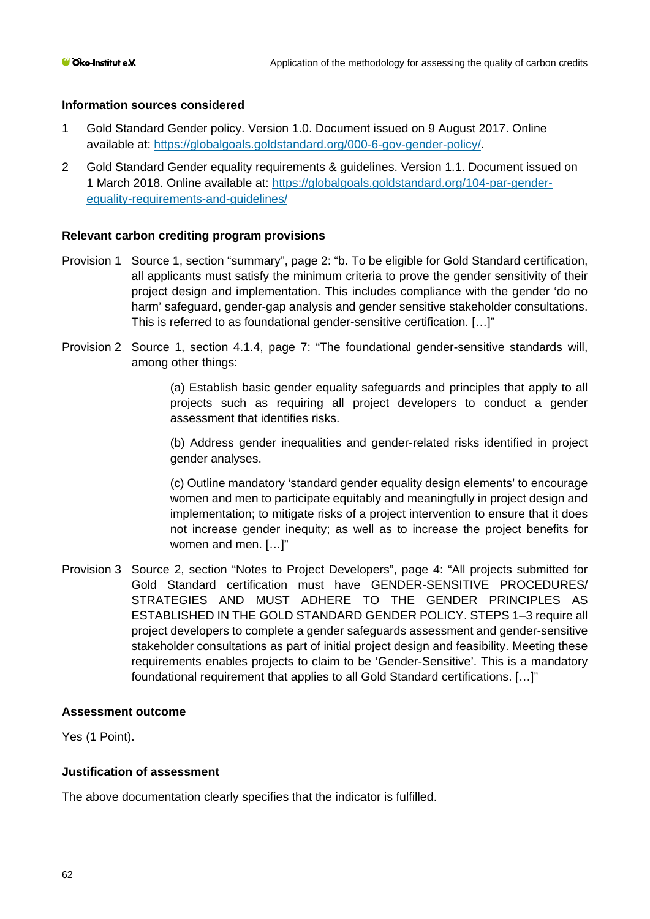### **Information sources considered**

- 1 Gold Standard Gender policy. Version 1.0. Document issued on 9 August 2017. Online available at: [https://globalgoals.goldstandard.org/000-6-gov-gender-policy/.](https://globalgoals.goldstandard.org/000-6-gov-gender-policy/)
- 2 Gold Standard Gender equality requirements & guidelines. Version 1.1. Document issued on 1 March 2018. Online available at: [https://globalgoals.goldstandard.org/104-par-gender](https://globalgoals.goldstandard.org/104-par-gender-equality-requirements-and-guidelines/)[equality-requirements-and-guidelines/](https://globalgoals.goldstandard.org/104-par-gender-equality-requirements-and-guidelines/)

### **Relevant carbon crediting program provisions**

- Provision 1 Source 1, section "summary", page 2: "b. To be eligible for Gold Standard certification, all applicants must satisfy the minimum criteria to prove the gender sensitivity of their project design and implementation. This includes compliance with the gender 'do no harm' safeguard, gender-gap analysis and gender sensitive stakeholder consultations. This is referred to as foundational gender-sensitive certification. […]"
- Provision 2 Source 1, section 4.1.4, page 7: "The foundational gender-sensitive standards will, among other things:

(a) Establish basic gender equality safeguards and principles that apply to all projects such as requiring all project developers to conduct a gender assessment that identifies risks.

(b) Address gender inequalities and gender-related risks identified in project gender analyses.

(c) Outline mandatory 'standard gender equality design elements' to encourage women and men to participate equitably and meaningfully in project design and implementation; to mitigate risks of a project intervention to ensure that it does not increase gender inequity; as well as to increase the project benefits for women and men. […]"

Provision 3 Source 2, section "Notes to Project Developers", page 4: "All projects submitted for Gold Standard certification must have GENDER-SENSITIVE PROCEDURES/ STRATEGIES AND MUST ADHERE TO THE GENDER PRINCIPLES AS ESTABLISHED IN THE GOLD STANDARD GENDER POLICY. STEPS 1–3 require all project developers to complete a gender safeguards assessment and gender-sensitive stakeholder consultations as part of initial project design and feasibility. Meeting these requirements enables projects to claim to be 'Gender-Sensitive'. This is a mandatory foundational requirement that applies to all Gold Standard certifications. […]"

### **Assessment outcome**

Yes (1 Point).

### **Justification of assessment**

The above documentation clearly specifies that the indicator is fulfilled.